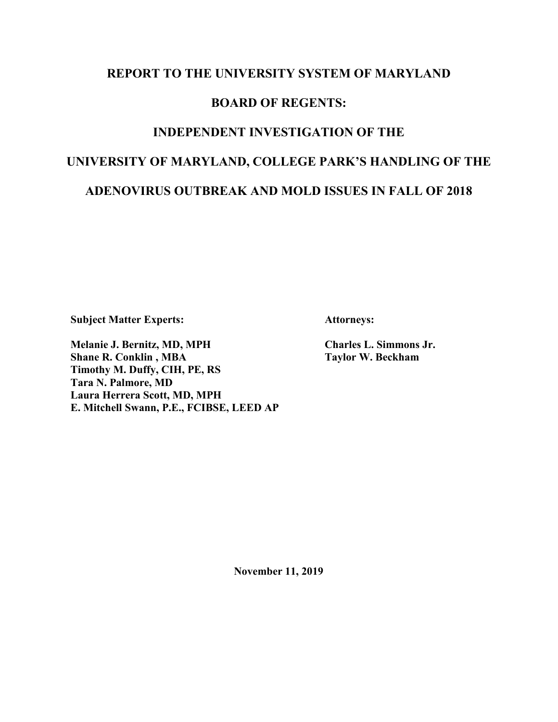### **REPORT TO THE UNIVERSITY SYSTEM OF MARYLAND**

## **BOARD OF REGENTS:**

## **INDEPENDENT INVESTIGATION OF THE**

# **UNIVERSITY OF MARYLAND, COLLEGE PARK'S HANDLING OF THE**

## **ADENOVIRUS OUTBREAK AND MOLD ISSUES IN FALL OF 2018**

**Subject Matter Experts:**

**Attorneys:** 

**Melanie J. Bernitz, MD, MPH Shane R. Conklin , MBA Timothy M. Duffy, CIH, PE, RS Tara N. Palmore, MD Laura Herrera Scott, MD, MPH E. Mitchell Swann, P.E., FCIBSE, LEED AP** **Charles L. Simmons Jr. Taylor W. Beckham**

**November 11, 2019**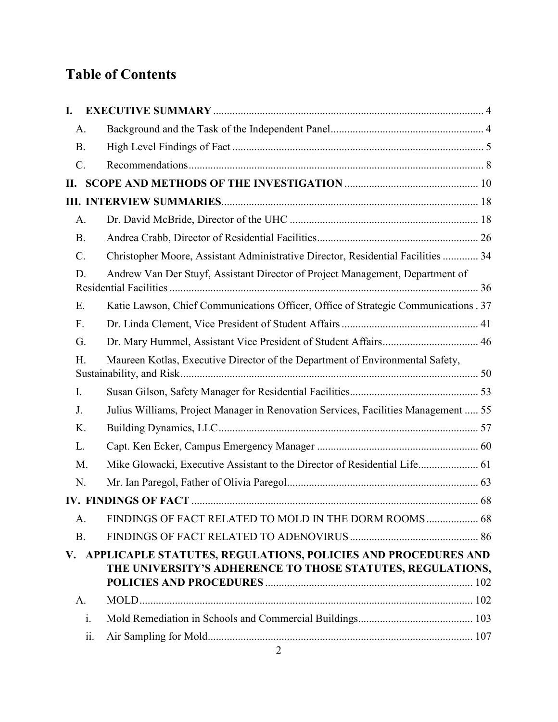## **Table of Contents**

| I.              |             |                                                                                     |  |
|-----------------|-------------|-------------------------------------------------------------------------------------|--|
|                 | A.          |                                                                                     |  |
| <b>B.</b>       |             |                                                                                     |  |
| $\mathcal{C}$ . |             |                                                                                     |  |
| П.              |             |                                                                                     |  |
|                 |             |                                                                                     |  |
|                 | $A_{\cdot}$ |                                                                                     |  |
| <b>B.</b>       |             |                                                                                     |  |
| $\mathcal{C}$ . |             | Christopher Moore, Assistant Administrative Director, Residential Facilities  34    |  |
|                 | D.          | Andrew Van Der Stuyf, Assistant Director of Project Management, Department of       |  |
| Ε.              |             | Katie Lawson, Chief Communications Officer, Office of Strategic Communications . 37 |  |
| $F_{\cdot}$     |             |                                                                                     |  |
|                 | G.          |                                                                                     |  |
|                 | H.          | Maureen Kotlas, Executive Director of the Department of Environmental Safety,       |  |
| I.              |             |                                                                                     |  |
| J.              |             | Julius Williams, Project Manager in Renovation Services, Facilities Management  55  |  |
|                 | K.          |                                                                                     |  |
| L.              |             |                                                                                     |  |
|                 | M.          | Mike Glowacki, Executive Assistant to the Director of Residential Life 61           |  |
|                 | N.          |                                                                                     |  |
|                 |             |                                                                                     |  |
|                 | A.          | <b>FINDINGS OF FACT RELATED TO MOLD IN THE DORM ROOMS 68</b>                        |  |
| <b>B.</b>       |             |                                                                                     |  |
| V.              |             | APPLICAPLE STATUTES, REGULATIONS, POLICIES AND PROCEDURES AND                       |  |
|                 |             | THE UNIVERSITY'S ADHERENCE TO THOSE STATUTES, REGULATIONS,                          |  |
|                 | $A_{\cdot}$ |                                                                                     |  |
|                 | i.          |                                                                                     |  |
|                 | 11.         |                                                                                     |  |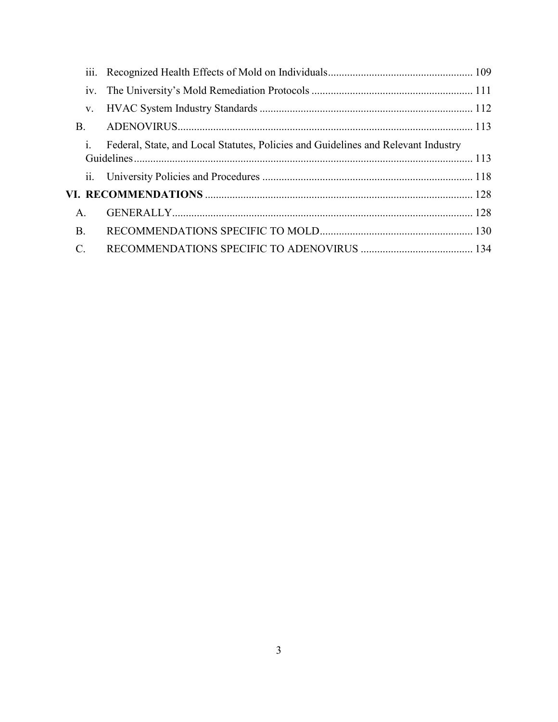| 111.            |                                                                                   |  |
|-----------------|-----------------------------------------------------------------------------------|--|
| 1V.             |                                                                                   |  |
| V.              |                                                                                   |  |
| <b>B.</b>       |                                                                                   |  |
| $\mathbf{1}$ .  | Federal, State, and Local Statutes, Policies and Guidelines and Relevant Industry |  |
|                 |                                                                                   |  |
|                 |                                                                                   |  |
| A.              |                                                                                   |  |
| <b>B</b> .      |                                                                                   |  |
| $\mathcal{C}$ . |                                                                                   |  |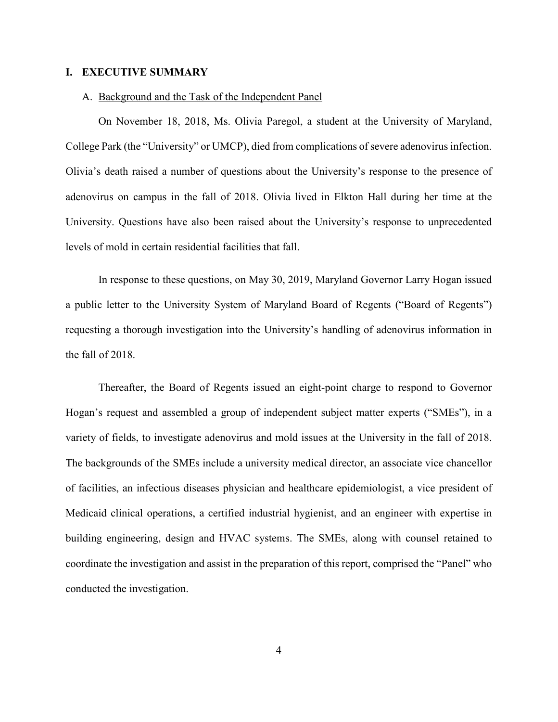#### **I. EXECUTIVE SUMMARY**

#### A. Background and the Task of the Independent Panel

On November 18, 2018, Ms. Olivia Paregol, a student at the University of Maryland, College Park (the "University" or UMCP), died from complications of severe adenovirus infection. Olivia's death raised a number of questions about the University's response to the presence of adenovirus on campus in the fall of 2018. Olivia lived in Elkton Hall during her time at the University. Questions have also been raised about the University's response to unprecedented levels of mold in certain residential facilities that fall.

In response to these questions, on May 30, 2019, Maryland Governor Larry Hogan issued a public letter to the University System of Maryland Board of Regents ("Board of Regents") requesting a thorough investigation into the University's handling of adenovirus information in the fall of 2018.

Thereafter, the Board of Regents issued an eight-point charge to respond to Governor Hogan's request and assembled a group of independent subject matter experts ("SMEs"), in a variety of fields, to investigate adenovirus and mold issues at the University in the fall of 2018. The backgrounds of the SMEs include a university medical director, an associate vice chancellor of facilities, an infectious diseases physician and healthcare epidemiologist, a vice president of Medicaid clinical operations, a certified industrial hygienist, and an engineer with expertise in building engineering, design and HVAC systems. The SMEs, along with counsel retained to coordinate the investigation and assist in the preparation of this report, comprised the "Panel" who conducted the investigation.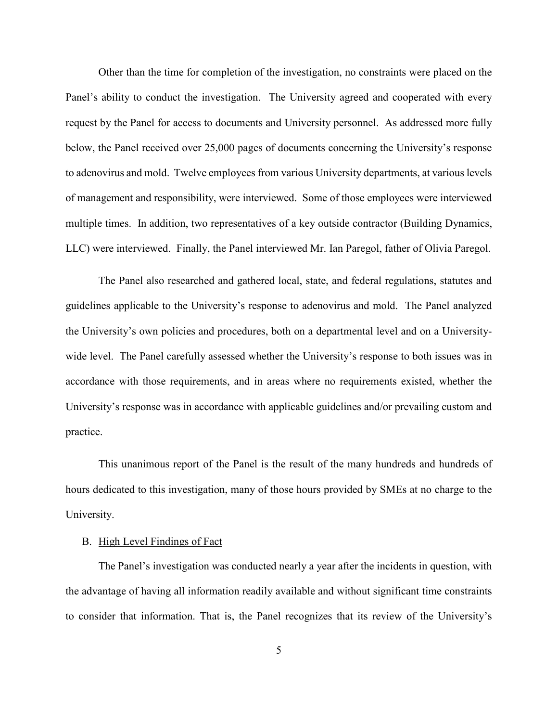Other than the time for completion of the investigation, no constraints were placed on the Panel's ability to conduct the investigation. The University agreed and cooperated with every request by the Panel for access to documents and University personnel. As addressed more fully below, the Panel received over 25,000 pages of documents concerning the University's response to adenovirus and mold. Twelve employees from various University departments, at various levels of management and responsibility, were interviewed. Some of those employees were interviewed multiple times. In addition, two representatives of a key outside contractor (Building Dynamics, LLC) were interviewed. Finally, the Panel interviewed Mr. Ian Paregol, father of Olivia Paregol.

The Panel also researched and gathered local, state, and federal regulations, statutes and guidelines applicable to the University's response to adenovirus and mold. The Panel analyzed the University's own policies and procedures, both on a departmental level and on a Universitywide level. The Panel carefully assessed whether the University's response to both issues was in accordance with those requirements, and in areas where no requirements existed, whether the University's response was in accordance with applicable guidelines and/or prevailing custom and practice.

This unanimous report of the Panel is the result of the many hundreds and hundreds of hours dedicated to this investigation, many of those hours provided by SMEs at no charge to the University.

#### B. High Level Findings of Fact

The Panel's investigation was conducted nearly a year after the incidents in question, with the advantage of having all information readily available and without significant time constraints to consider that information. That is, the Panel recognizes that its review of the University's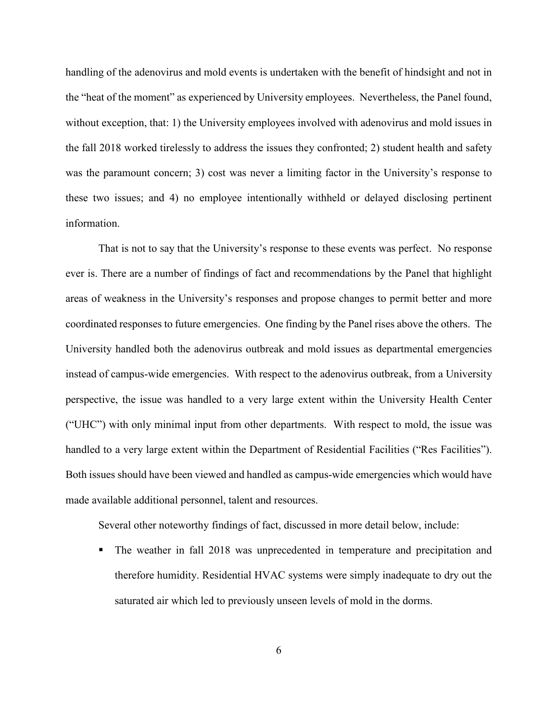handling of the adenovirus and mold events is undertaken with the benefit of hindsight and not in the "heat of the moment" as experienced by University employees. Nevertheless, the Panel found, without exception, that: 1) the University employees involved with adenovirus and mold issues in the fall 2018 worked tirelessly to address the issues they confronted; 2) student health and safety was the paramount concern; 3) cost was never a limiting factor in the University's response to these two issues; and 4) no employee intentionally withheld or delayed disclosing pertinent information.

That is not to say that the University's response to these events was perfect. No response ever is. There are a number of findings of fact and recommendations by the Panel that highlight areas of weakness in the University's responses and propose changes to permit better and more coordinated responses to future emergencies. One finding by the Panel rises above the others. The University handled both the adenovirus outbreak and mold issues as departmental emergencies instead of campus-wide emergencies. With respect to the adenovirus outbreak, from a University perspective, the issue was handled to a very large extent within the University Health Center ("UHC") with only minimal input from other departments. With respect to mold, the issue was handled to a very large extent within the Department of Residential Facilities ("Res Facilities"). Both issues should have been viewed and handled as campus-wide emergencies which would have made available additional personnel, talent and resources.

Several other noteworthy findings of fact, discussed in more detail below, include:

 The weather in fall 2018 was unprecedented in temperature and precipitation and therefore humidity. Residential HVAC systems were simply inadequate to dry out the saturated air which led to previously unseen levels of mold in the dorms.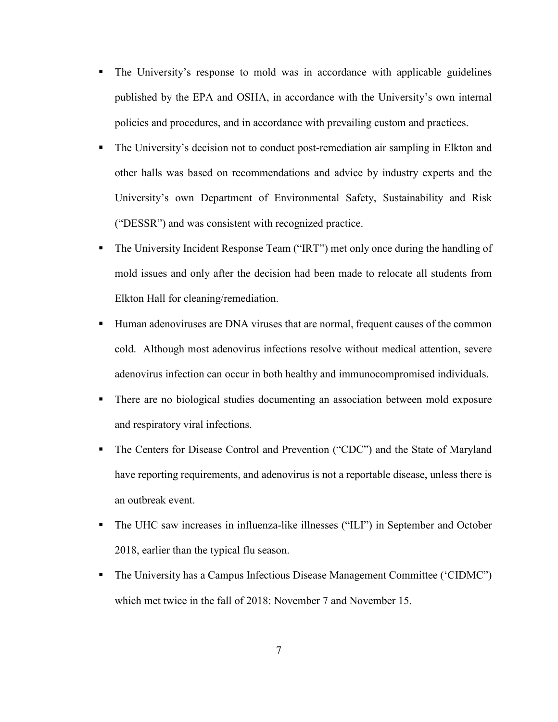- The University's response to mold was in accordance with applicable guidelines published by the EPA and OSHA, in accordance with the University's own internal policies and procedures, and in accordance with prevailing custom and practices.
- The University's decision not to conduct post-remediation air sampling in Elkton and other halls was based on recommendations and advice by industry experts and the University's own Department of Environmental Safety, Sustainability and Risk ("DESSR") and was consistent with recognized practice.
- The University Incident Response Team ("IRT") met only once during the handling of mold issues and only after the decision had been made to relocate all students from Elkton Hall for cleaning/remediation.
- Human adenoviruses are DNA viruses that are normal, frequent causes of the common cold. Although most adenovirus infections resolve without medical attention, severe adenovirus infection can occur in both healthy and immunocompromised individuals.
- There are no biological studies documenting an association between mold exposure and respiratory viral infections.
- The Centers for Disease Control and Prevention ("CDC") and the State of Maryland have reporting requirements, and adenovirus is not a reportable disease, unless there is an outbreak event.
- The UHC saw increases in influenza-like illnesses ("ILI") in September and October 2018, earlier than the typical flu season.
- The University has a Campus Infectious Disease Management Committee ('CIDMC") which met twice in the fall of 2018: November 7 and November 15.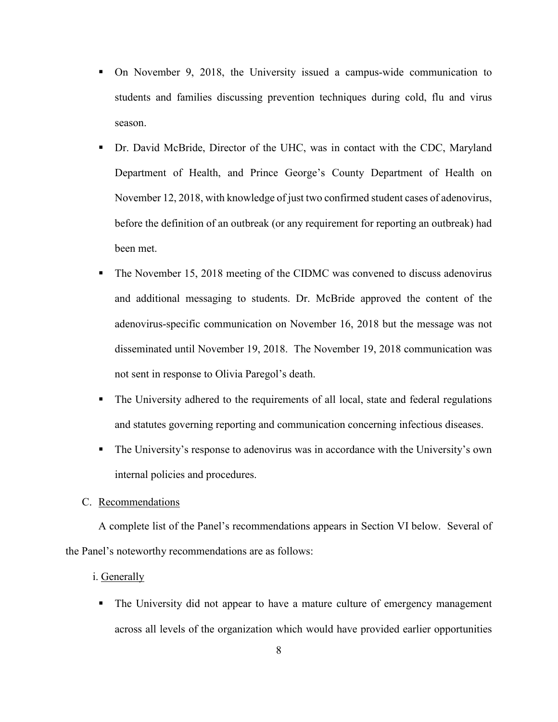- On November 9, 2018, the University issued a campus-wide communication to students and families discussing prevention techniques during cold, flu and virus season.
- Dr. David McBride, Director of the UHC, was in contact with the CDC, Maryland Department of Health, and Prince George's County Department of Health on November 12, 2018, with knowledge of just two confirmed student cases of adenovirus, before the definition of an outbreak (or any requirement for reporting an outbreak) had been met.
- The November 15, 2018 meeting of the CIDMC was convened to discuss adenovirus and additional messaging to students. Dr. McBride approved the content of the adenovirus-specific communication on November 16, 2018 but the message was not disseminated until November 19, 2018. The November 19, 2018 communication was not sent in response to Olivia Paregol's death.
- The University adhered to the requirements of all local, state and federal regulations and statutes governing reporting and communication concerning infectious diseases.
- The University's response to adenovirus was in accordance with the University's own internal policies and procedures.
- C. Recommendations

A complete list of the Panel's recommendations appears in Section VI below. Several of the Panel's noteworthy recommendations are as follows:

- i. Generally
	- The University did not appear to have a mature culture of emergency management across all levels of the organization which would have provided earlier opportunities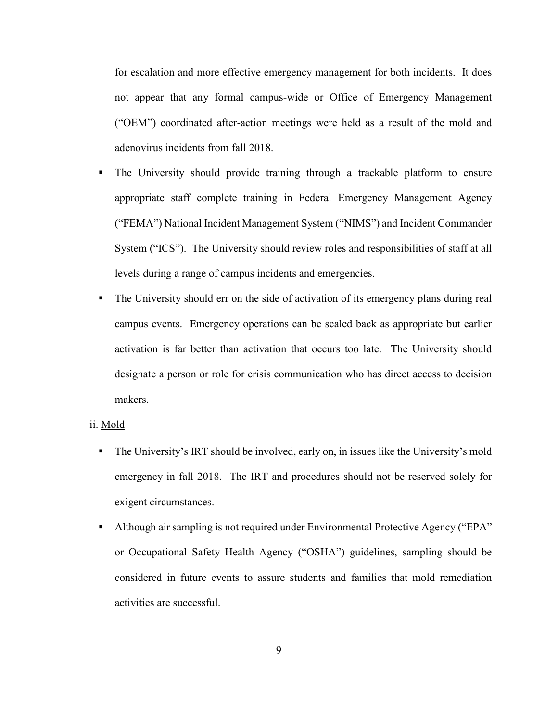for escalation and more effective emergency management for both incidents. It does not appear that any formal campus-wide or Office of Emergency Management ("OEM") coordinated after-action meetings were held as a result of the mold and adenovirus incidents from fall 2018.

- The University should provide training through a trackable platform to ensure appropriate staff complete training in Federal Emergency Management Agency ("FEMA") National Incident Management System ("NIMS") and Incident Commander System ("ICS"). The University should review roles and responsibilities of staff at all levels during a range of campus incidents and emergencies.
- The University should err on the side of activation of its emergency plans during real campus events. Emergency operations can be scaled back as appropriate but earlier activation is far better than activation that occurs too late. The University should designate a person or role for crisis communication who has direct access to decision makers.

#### ii. Mold

- The University's IRT should be involved, early on, in issues like the University's mold emergency in fall 2018. The IRT and procedures should not be reserved solely for exigent circumstances.
- Although air sampling is not required under Environmental Protective Agency ("EPA" or Occupational Safety Health Agency ("OSHA") guidelines, sampling should be considered in future events to assure students and families that mold remediation activities are successful.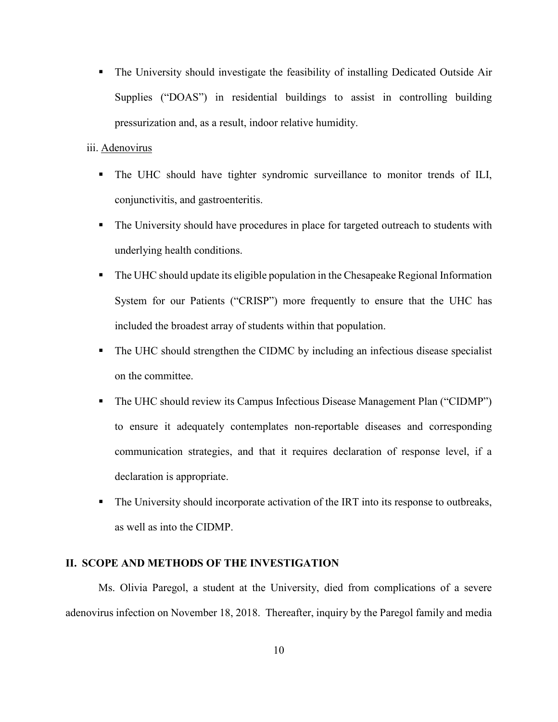The University should investigate the feasibility of installing Dedicated Outside Air Supplies ("DOAS") in residential buildings to assist in controlling building pressurization and, as a result, indoor relative humidity.

#### iii. Adenovirus

- The UHC should have tighter syndromic surveillance to monitor trends of ILI, conjunctivitis, and gastroenteritis.
- The University should have procedures in place for targeted outreach to students with underlying health conditions.
- The UHC should update its eligible population in the Chesapeake Regional Information System for our Patients ("CRISP") more frequently to ensure that the UHC has included the broadest array of students within that population.
- The UHC should strengthen the CIDMC by including an infectious disease specialist on the committee.
- The UHC should review its Campus Infectious Disease Management Plan ("CIDMP") to ensure it adequately contemplates non-reportable diseases and corresponding communication strategies, and that it requires declaration of response level, if a declaration is appropriate.
- The University should incorporate activation of the IRT into its response to outbreaks, as well as into the CIDMP.

#### **II. SCOPE AND METHODS OF THE INVESTIGATION**

Ms. Olivia Paregol, a student at the University, died from complications of a severe adenovirus infection on November 18, 2018. Thereafter, inquiry by the Paregol family and media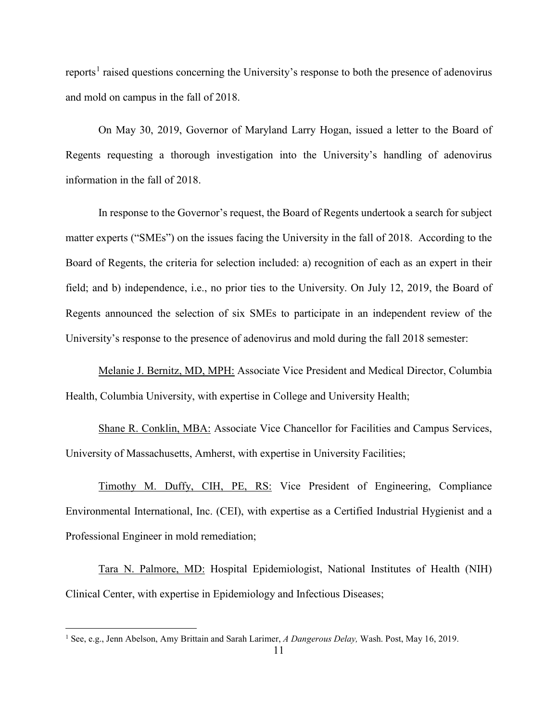reports<sup>1</sup> raised questions concerning the University's response to both the presence of adenovirus and mold on campus in the fall of 2018.

On May 30, 2019, Governor of Maryland Larry Hogan, issued a letter to the Board of Regents requesting a thorough investigation into the University's handling of adenovirus information in the fall of 2018.

In response to the Governor's request, the Board of Regents undertook a search for subject matter experts ("SMEs") on the issues facing the University in the fall of 2018. According to the Board of Regents, the criteria for selection included: a) recognition of each as an expert in their field; and b) independence, i.e., no prior ties to the University. On July 12, 2019, the Board of Regents announced the selection of six SMEs to participate in an independent review of the University's response to the presence of adenovirus and mold during the fall 2018 semester:

Melanie J. Bernitz, MD, MPH: Associate Vice President and Medical Director, Columbia Health, Columbia University, with expertise in College and University Health;

Shane R. Conklin, MBA: Associate Vice Chancellor for Facilities and Campus Services, University of Massachusetts, Amherst, with expertise in University Facilities;

Timothy M. Duffy, CIH, PE, RS: Vice President of Engineering, Compliance Environmental International, Inc. (CEI), with expertise as a Certified Industrial Hygienist and a Professional Engineer in mold remediation;

Tara N. Palmore, MD: Hospital Epidemiologist, National Institutes of Health (NIH) Clinical Center, with expertise in Epidemiology and Infectious Diseases;

 $\overline{\phantom{a}}$ 

<sup>1</sup> See, e.g., Jenn Abelson, Amy Brittain and Sarah Larimer, *A Dangerous Delay,* Wash. Post, May 16, 2019.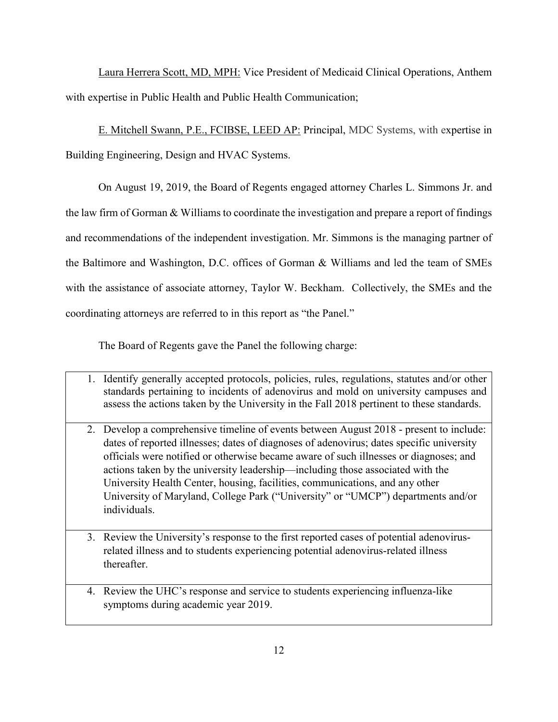Laura Herrera Scott, MD, MPH: Vice President of Medicaid Clinical Operations, Anthem with expertise in Public Health and Public Health Communication;

E. Mitchell Swann, P.E., FCIBSE, LEED AP: Principal, MDC Systems, with expertise in Building Engineering, Design and HVAC Systems.

On August 19, 2019, the Board of Regents engaged attorney Charles L. Simmons Jr. and the law firm of Gorman & Williams to coordinate the investigation and prepare a report of findings and recommendations of the independent investigation. Mr. Simmons is the managing partner of the Baltimore and Washington, D.C. offices of Gorman & Williams and led the team of SMEs with the assistance of associate attorney, Taylor W. Beckham. Collectively, the SMEs and the coordinating attorneys are referred to in this report as "the Panel."

The Board of Regents gave the Panel the following charge:

- 1. Identify generally accepted protocols, policies, rules, regulations, statutes and/or other standards pertaining to incidents of adenovirus and mold on university campuses and assess the actions taken by the University in the Fall 2018 pertinent to these standards.
- 2. Develop a comprehensive timeline of events between August 2018 present to include: dates of reported illnesses; dates of diagnoses of adenovirus; dates specific university officials were notified or otherwise became aware of such illnesses or diagnoses; and actions taken by the university leadership—including those associated with the University Health Center, housing, facilities, communications, and any other University of Maryland, College Park ("University" or "UMCP") departments and/or individuals.
- 3. Review the University's response to the first reported cases of potential adenovirusrelated illness and to students experiencing potential adenovirus-related illness thereafter.
- 4. Review the UHC's response and service to students experiencing influenza-like symptoms during academic year 2019.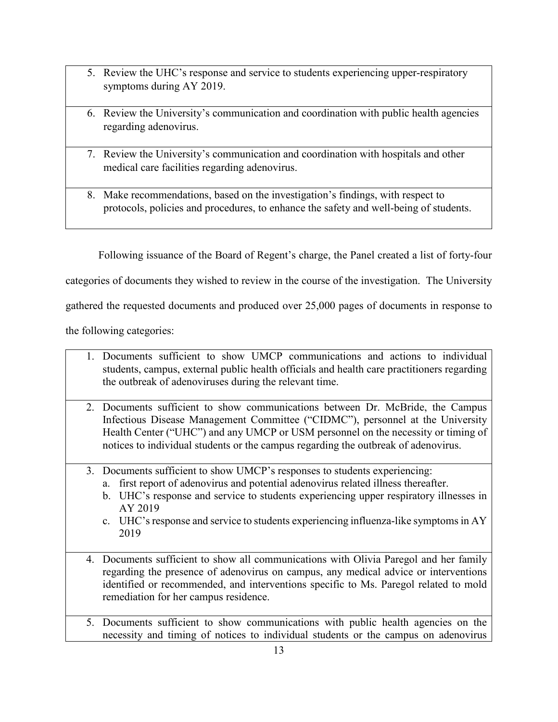- 5. Review the UHC's response and service to students experiencing upper-respiratory symptoms during AY 2019.
- 6. Review the University's communication and coordination with public health agencies regarding adenovirus.
- 7. Review the University's communication and coordination with hospitals and other medical care facilities regarding adenovirus.
- 8. Make recommendations, based on the investigation's findings, with respect to protocols, policies and procedures, to enhance the safety and well-being of students.

Following issuance of the Board of Regent's charge, the Panel created a list of forty-four

categories of documents they wished to review in the course of the investigation. The University

gathered the requested documents and produced over 25,000 pages of documents in response to

the following categories:

- 1. Documents sufficient to show UMCP communications and actions to individual students, campus, external public health officials and health care practitioners regarding the outbreak of adenoviruses during the relevant time.
- 2. Documents sufficient to show communications between Dr. McBride, the Campus Infectious Disease Management Committee ("CIDMC"), personnel at the University Health Center ("UHC") and any UMCP or USM personnel on the necessity or timing of notices to individual students or the campus regarding the outbreak of adenovirus.
- 3. Documents sufficient to show UMCP's responses to students experiencing:
	- a. first report of adenovirus and potential adenovirus related illness thereafter.
	- b. UHC's response and service to students experiencing upper respiratory illnesses in AY 2019
	- c. UHC's response and service to students experiencing influenza-like symptoms in AY 2019
- 4. Documents sufficient to show all communications with Olivia Paregol and her family regarding the presence of adenovirus on campus, any medical advice or interventions identified or recommended, and interventions specific to Ms. Paregol related to mold remediation for her campus residence.
- 5. Documents sufficient to show communications with public health agencies on the necessity and timing of notices to individual students or the campus on adenovirus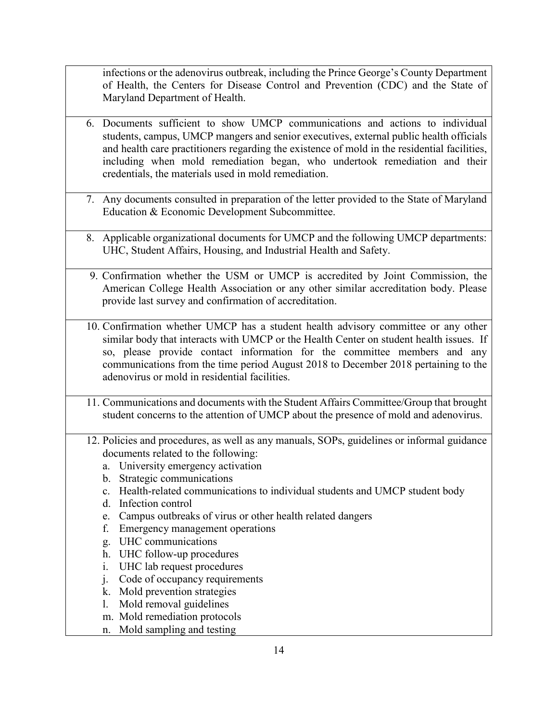infections or the adenovirus outbreak, including the Prince George's County Department of Health, the Centers for Disease Control and Prevention (CDC) and the State of Maryland Department of Health.

- 6. Documents sufficient to show UMCP communications and actions to individual students, campus, UMCP mangers and senior executives, external public health officials and health care practitioners regarding the existence of mold in the residential facilities, including when mold remediation began, who undertook remediation and their credentials, the materials used in mold remediation.
- 7. Any documents consulted in preparation of the letter provided to the State of Maryland Education & Economic Development Subcommittee.
- 8. Applicable organizational documents for UMCP and the following UMCP departments: UHC, Student Affairs, Housing, and Industrial Health and Safety.
- 9. Confirmation whether the USM or UMCP is accredited by Joint Commission, the American College Health Association or any other similar accreditation body. Please provide last survey and confirmation of accreditation.
- 10. Confirmation whether UMCP has a student health advisory committee or any other similar body that interacts with UMCP or the Health Center on student health issues. If so, please provide contact information for the committee members and any communications from the time period August 2018 to December 2018 pertaining to the adenovirus or mold in residential facilities.
- 11. Communications and documents with the Student Affairs Committee/Group that brought student concerns to the attention of UMCP about the presence of mold and adenovirus.
- 12. Policies and procedures, as well as any manuals, SOPs, guidelines or informal guidance documents related to the following:
	- a. University emergency activation
	- b. Strategic communications
	- c. Health-related communications to individual students and UMCP student body
	- d. Infection control
	- e. Campus outbreaks of virus or other health related dangers
	- f. Emergency management operations
	- g. UHC communications
	- h. UHC follow-up procedures
	- i. UHC lab request procedures
	- j. Code of occupancy requirements
	- k. Mold prevention strategies
	- l. Mold removal guidelines
	- m. Mold remediation protocols
	- n. Mold sampling and testing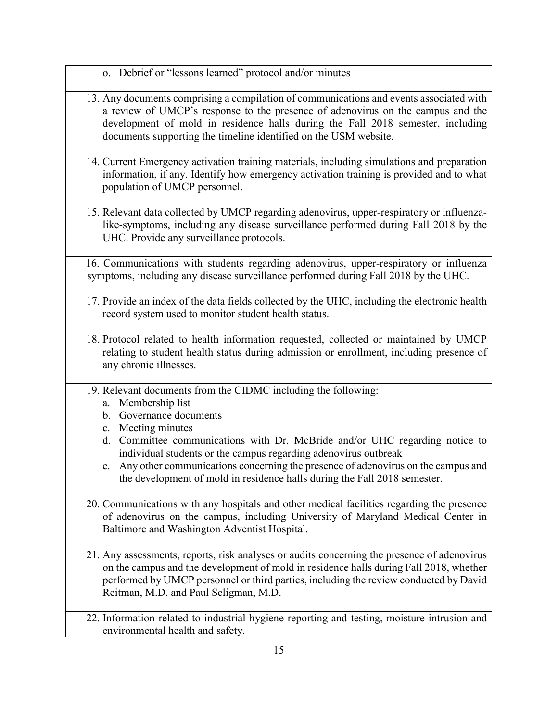o. Debrief or "lessons learned" protocol and/or minutes

- 13. Any documents comprising a compilation of communications and events associated with a review of UMCP's response to the presence of adenovirus on the campus and the development of mold in residence halls during the Fall 2018 semester, including documents supporting the timeline identified on the USM website.
- 14. Current Emergency activation training materials, including simulations and preparation information, if any. Identify how emergency activation training is provided and to what population of UMCP personnel.
- 15. Relevant data collected by UMCP regarding adenovirus, upper-respiratory or influenzalike-symptoms, including any disease surveillance performed during Fall 2018 by the UHC. Provide any surveillance protocols.
- 16. Communications with students regarding adenovirus, upper-respiratory or influenza symptoms, including any disease surveillance performed during Fall 2018 by the UHC.
- 17. Provide an index of the data fields collected by the UHC, including the electronic health record system used to monitor student health status.
- 18. Protocol related to health information requested, collected or maintained by UMCP relating to student health status during admission or enrollment, including presence of any chronic illnesses.
- 19. Relevant documents from the CIDMC including the following:
	- a. Membership list
	- b. Governance documents
	- c. Meeting minutes
	- d. Committee communications with Dr. McBride and/or UHC regarding notice to individual students or the campus regarding adenovirus outbreak
	- e. Any other communications concerning the presence of adenovirus on the campus and the development of mold in residence halls during the Fall 2018 semester.
- 20. Communications with any hospitals and other medical facilities regarding the presence of adenovirus on the campus, including University of Maryland Medical Center in Baltimore and Washington Adventist Hospital.
- 21. Any assessments, reports, risk analyses or audits concerning the presence of adenovirus on the campus and the development of mold in residence halls during Fall 2018, whether performed by UMCP personnel or third parties, including the review conducted by David Reitman, M.D. and Paul Seligman, M.D.
- 22. Information related to industrial hygiene reporting and testing, moisture intrusion and environmental health and safety.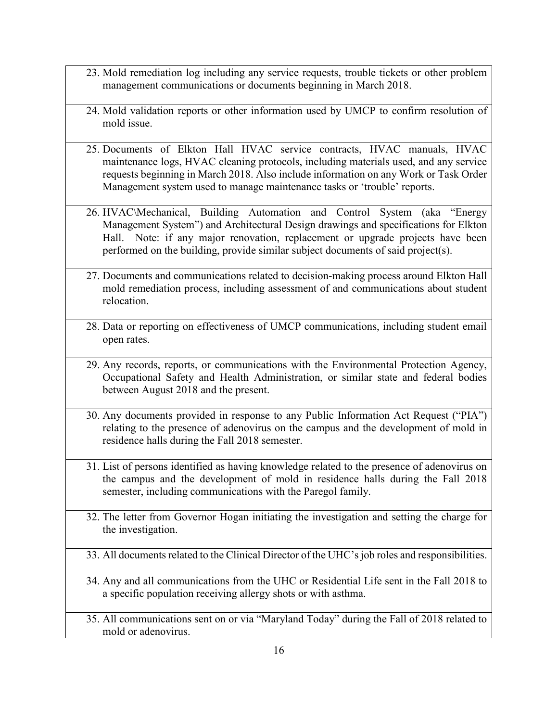- 23. Mold remediation log including any service requests, trouble tickets or other problem management communications or documents beginning in March 2018.
- 24. Mold validation reports or other information used by UMCP to confirm resolution of mold issue.
- 25. Documents of Elkton Hall HVAC service contracts, HVAC manuals, HVAC maintenance logs, HVAC cleaning protocols, including materials used, and any service requests beginning in March 2018. Also include information on any Work or Task Order Management system used to manage maintenance tasks or 'trouble' reports.
- 26. HVAC\Mechanical, Building Automation and Control System (aka "Energy Management System") and Architectural Design drawings and specifications for Elkton Hall. Note: if any major renovation, replacement or upgrade projects have been performed on the building, provide similar subject documents of said project(s).
- 27. Documents and communications related to decision-making process around Elkton Hall mold remediation process, including assessment of and communications about student relocation.
- 28. Data or reporting on effectiveness of UMCP communications, including student email open rates.
- 29. Any records, reports, or communications with the Environmental Protection Agency, Occupational Safety and Health Administration, or similar state and federal bodies between August 2018 and the present.
- 30. Any documents provided in response to any Public Information Act Request ("PIA") relating to the presence of adenovirus on the campus and the development of mold in residence halls during the Fall 2018 semester.
- 31. List of persons identified as having knowledge related to the presence of adenovirus on the campus and the development of mold in residence halls during the Fall 2018 semester, including communications with the Paregol family.
- 32. The letter from Governor Hogan initiating the investigation and setting the charge for the investigation.
- 33. All documents related to the Clinical Director of the UHC's job roles and responsibilities.
- 34. Any and all communications from the UHC or Residential Life sent in the Fall 2018 to a specific population receiving allergy shots or with asthma.
- 35. All communications sent on or via "Maryland Today" during the Fall of 2018 related to mold or adenovirus.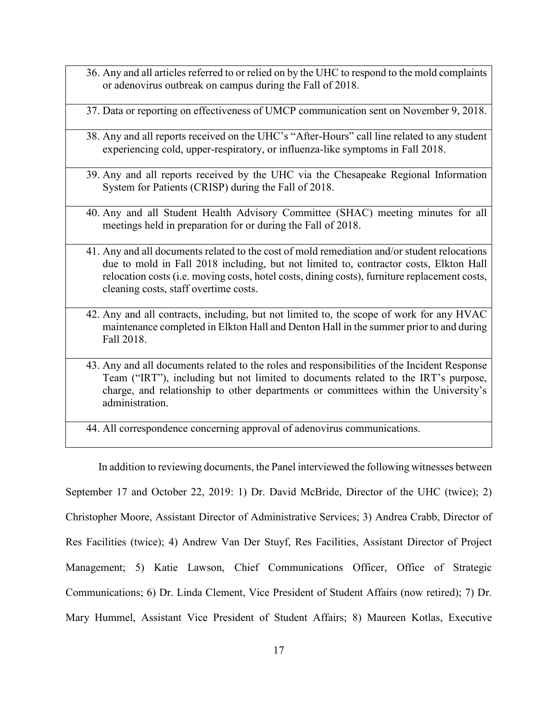- 36. Any and all articles referred to or relied on by the UHC to respond to the mold complaints or adenovirus outbreak on campus during the Fall of 2018.
- 37. Data or reporting on effectiveness of UMCP communication sent on November 9, 2018.
- 38. Any and all reports received on the UHC's "After-Hours" call line related to any student experiencing cold, upper-respiratory, or influenza-like symptoms in Fall 2018.
- 39. Any and all reports received by the UHC via the Chesapeake Regional Information System for Patients (CRISP) during the Fall of 2018.
- 40. Any and all Student Health Advisory Committee (SHAC) meeting minutes for all meetings held in preparation for or during the Fall of 2018.
- 41. Any and all documents related to the cost of mold remediation and/or student relocations due to mold in Fall 2018 including, but not limited to, contractor costs, Elkton Hall relocation costs (i.e. moving costs, hotel costs, dining costs), furniture replacement costs, cleaning costs, staff overtime costs.
- 42. Any and all contracts, including, but not limited to, the scope of work for any HVAC maintenance completed in Elkton Hall and Denton Hall in the summer prior to and during Fall 2018.
- 43. Any and all documents related to the roles and responsibilities of the Incident Response Team ("IRT"), including but not limited to documents related to the IRT's purpose, charge, and relationship to other departments or committees within the University's administration.
- 44. All correspondence concerning approval of adenovirus communications.

In addition to reviewing documents, the Panel interviewed the following witnesses between September 17 and October 22, 2019: 1) Dr. David McBride, Director of the UHC (twice); 2) Christopher Moore, Assistant Director of Administrative Services; 3) Andrea Crabb, Director of Res Facilities (twice); 4) Andrew Van Der Stuyf, Res Facilities, Assistant Director of Project Management; 5) Katie Lawson, Chief Communications Officer, Office of Strategic Communications; 6) Dr. Linda Clement, Vice President of Student Affairs (now retired); 7) Dr. Mary Hummel, Assistant Vice President of Student Affairs; 8) Maureen Kotlas, Executive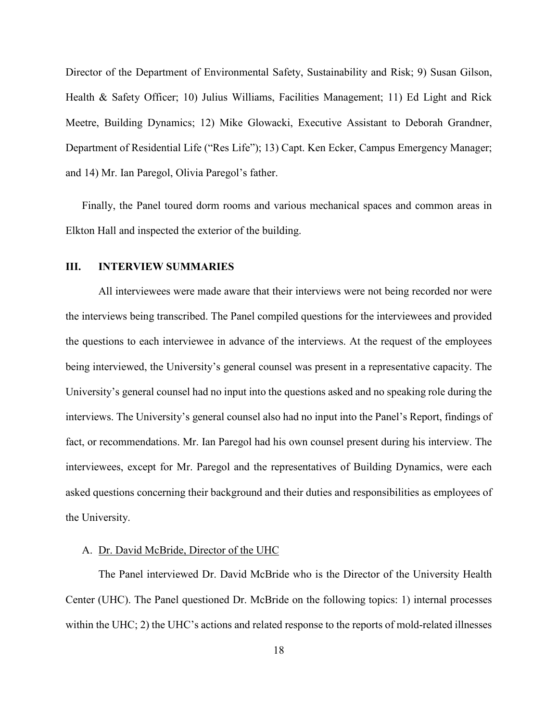Director of the Department of Environmental Safety, Sustainability and Risk; 9) Susan Gilson, Health & Safety Officer; 10) Julius Williams, Facilities Management; 11) Ed Light and Rick Meetre, Building Dynamics; 12) Mike Glowacki, Executive Assistant to Deborah Grandner, Department of Residential Life ("Res Life"); 13) Capt. Ken Ecker, Campus Emergency Manager; and 14) Mr. Ian Paregol, Olivia Paregol's father.

Finally, the Panel toured dorm rooms and various mechanical spaces and common areas in Elkton Hall and inspected the exterior of the building.

#### **III. INTERVIEW SUMMARIES**

All interviewees were made aware that their interviews were not being recorded nor were the interviews being transcribed. The Panel compiled questions for the interviewees and provided the questions to each interviewee in advance of the interviews. At the request of the employees being interviewed, the University's general counsel was present in a representative capacity. The University's general counsel had no input into the questions asked and no speaking role during the interviews. The University's general counsel also had no input into the Panel's Report, findings of fact, or recommendations. Mr. Ian Paregol had his own counsel present during his interview. The interviewees, except for Mr. Paregol and the representatives of Building Dynamics, were each asked questions concerning their background and their duties and responsibilities as employees of the University.

#### A. Dr. David McBride, Director of the UHC

The Panel interviewed Dr. David McBride who is the Director of the University Health Center (UHC). The Panel questioned Dr. McBride on the following topics: 1) internal processes within the UHC; 2) the UHC's actions and related response to the reports of mold-related illnesses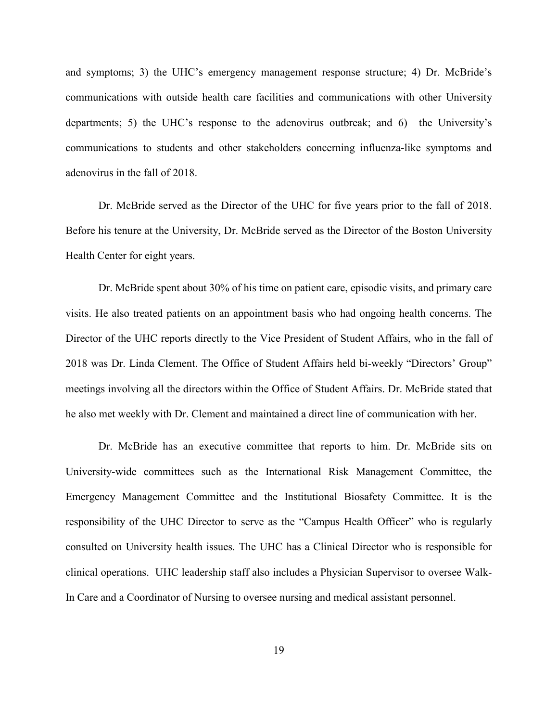and symptoms; 3) the UHC's emergency management response structure; 4) Dr. McBride's communications with outside health care facilities and communications with other University departments; 5) the UHC's response to the adenovirus outbreak; and 6) the University's communications to students and other stakeholders concerning influenza-like symptoms and adenovirus in the fall of 2018.

Dr. McBride served as the Director of the UHC for five years prior to the fall of 2018. Before his tenure at the University, Dr. McBride served as the Director of the Boston University Health Center for eight years.

Dr. McBride spent about 30% of his time on patient care, episodic visits, and primary care visits. He also treated patients on an appointment basis who had ongoing health concerns. The Director of the UHC reports directly to the Vice President of Student Affairs, who in the fall of 2018 was Dr. Linda Clement. The Office of Student Affairs held bi-weekly "Directors' Group" meetings involving all the directors within the Office of Student Affairs. Dr. McBride stated that he also met weekly with Dr. Clement and maintained a direct line of communication with her.

Dr. McBride has an executive committee that reports to him. Dr. McBride sits on University-wide committees such as the International Risk Management Committee, the Emergency Management Committee and the Institutional Biosafety Committee. It is the responsibility of the UHC Director to serve as the "Campus Health Officer" who is regularly consulted on University health issues. The UHC has a Clinical Director who is responsible for clinical operations. UHC leadership staff also includes a Physician Supervisor to oversee Walk-In Care and a Coordinator of Nursing to oversee nursing and medical assistant personnel.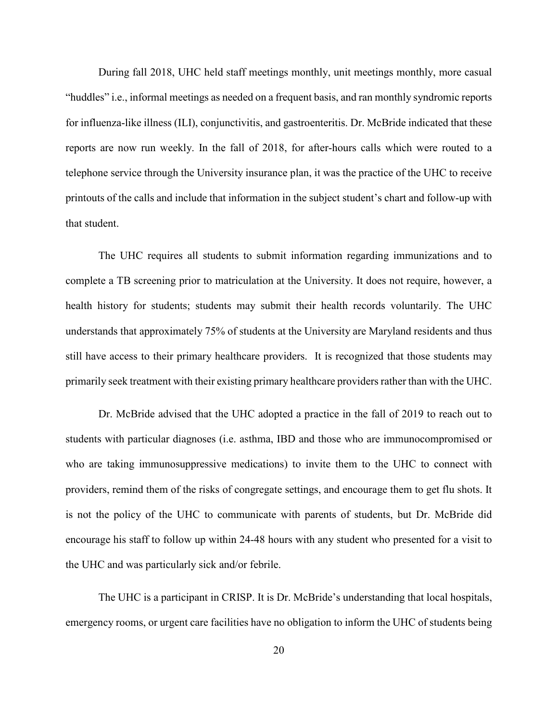During fall 2018, UHC held staff meetings monthly, unit meetings monthly, more casual "huddles" i.e., informal meetings as needed on a frequent basis, and ran monthly syndromic reports for influenza-like illness (ILI), conjunctivitis, and gastroenteritis. Dr. McBride indicated that these reports are now run weekly. In the fall of 2018, for after-hours calls which were routed to a telephone service through the University insurance plan, it was the practice of the UHC to receive printouts of the calls and include that information in the subject student's chart and follow-up with that student.

The UHC requires all students to submit information regarding immunizations and to complete a TB screening prior to matriculation at the University. It does not require, however, a health history for students; students may submit their health records voluntarily. The UHC understands that approximately 75% of students at the University are Maryland residents and thus still have access to their primary healthcare providers. It is recognized that those students may primarily seek treatment with their existing primary healthcare providers rather than with the UHC.

Dr. McBride advised that the UHC adopted a practice in the fall of 2019 to reach out to students with particular diagnoses (i.e. asthma, IBD and those who are immunocompromised or who are taking immunosuppressive medications) to invite them to the UHC to connect with providers, remind them of the risks of congregate settings, and encourage them to get flu shots. It is not the policy of the UHC to communicate with parents of students, but Dr. McBride did encourage his staff to follow up within 24-48 hours with any student who presented for a visit to the UHC and was particularly sick and/or febrile.

The UHC is a participant in CRISP. It is Dr. McBride's understanding that local hospitals, emergency rooms, or urgent care facilities have no obligation to inform the UHC of students being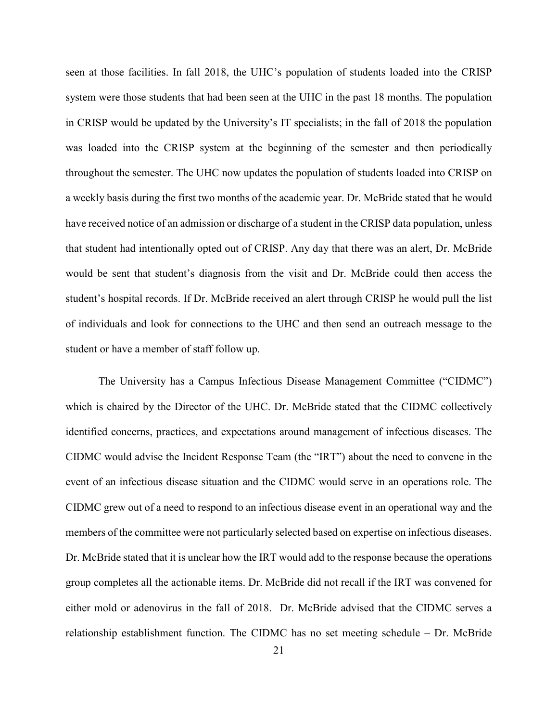seen at those facilities. In fall 2018, the UHC's population of students loaded into the CRISP system were those students that had been seen at the UHC in the past 18 months. The population in CRISP would be updated by the University's IT specialists; in the fall of 2018 the population was loaded into the CRISP system at the beginning of the semester and then periodically throughout the semester. The UHC now updates the population of students loaded into CRISP on a weekly basis during the first two months of the academic year. Dr. McBride stated that he would have received notice of an admission or discharge of a student in the CRISP data population, unless that student had intentionally opted out of CRISP. Any day that there was an alert, Dr. McBride would be sent that student's diagnosis from the visit and Dr. McBride could then access the student's hospital records. If Dr. McBride received an alert through CRISP he would pull the list of individuals and look for connections to the UHC and then send an outreach message to the student or have a member of staff follow up.

The University has a Campus Infectious Disease Management Committee ("CIDMC") which is chaired by the Director of the UHC. Dr. McBride stated that the CIDMC collectively identified concerns, practices, and expectations around management of infectious diseases. The CIDMC would advise the Incident Response Team (the "IRT") about the need to convene in the event of an infectious disease situation and the CIDMC would serve in an operations role. The CIDMC grew out of a need to respond to an infectious disease event in an operational way and the members of the committee were not particularly selected based on expertise on infectious diseases. Dr. McBride stated that it is unclear how the IRT would add to the response because the operations group completes all the actionable items. Dr. McBride did not recall if the IRT was convened for either mold or adenovirus in the fall of 2018. Dr. McBride advised that the CIDMC serves a relationship establishment function. The CIDMC has no set meeting schedule – Dr. McBride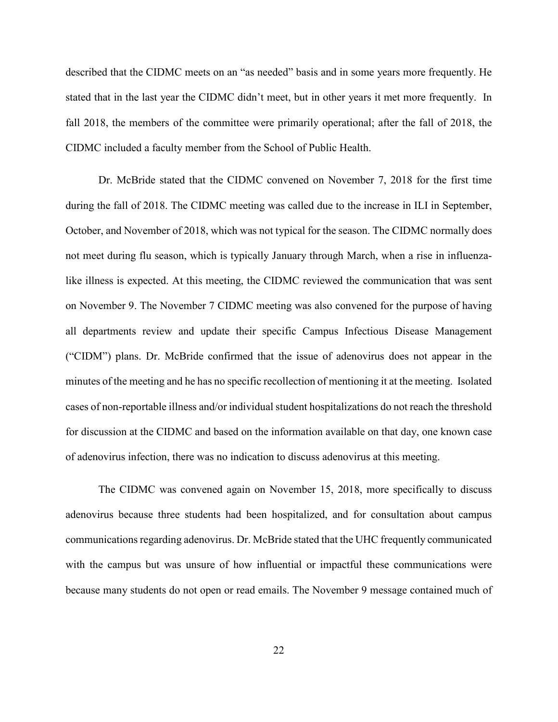described that the CIDMC meets on an "as needed" basis and in some years more frequently. He stated that in the last year the CIDMC didn't meet, but in other years it met more frequently. In fall 2018, the members of the committee were primarily operational; after the fall of 2018, the CIDMC included a faculty member from the School of Public Health.

Dr. McBride stated that the CIDMC convened on November 7, 2018 for the first time during the fall of 2018. The CIDMC meeting was called due to the increase in ILI in September, October, and November of 2018, which was not typical for the season. The CIDMC normally does not meet during flu season, which is typically January through March, when a rise in influenzalike illness is expected. At this meeting, the CIDMC reviewed the communication that was sent on November 9. The November 7 CIDMC meeting was also convened for the purpose of having all departments review and update their specific Campus Infectious Disease Management ("CIDM") plans. Dr. McBride confirmed that the issue of adenovirus does not appear in the minutes of the meeting and he has no specific recollection of mentioning it at the meeting. Isolated cases of non-reportable illness and/or individual student hospitalizations do not reach the threshold for discussion at the CIDMC and based on the information available on that day, one known case of adenovirus infection, there was no indication to discuss adenovirus at this meeting.

The CIDMC was convened again on November 15, 2018, more specifically to discuss adenovirus because three students had been hospitalized, and for consultation about campus communications regarding adenovirus. Dr. McBride stated that the UHC frequently communicated with the campus but was unsure of how influential or impactful these communications were because many students do not open or read emails. The November 9 message contained much of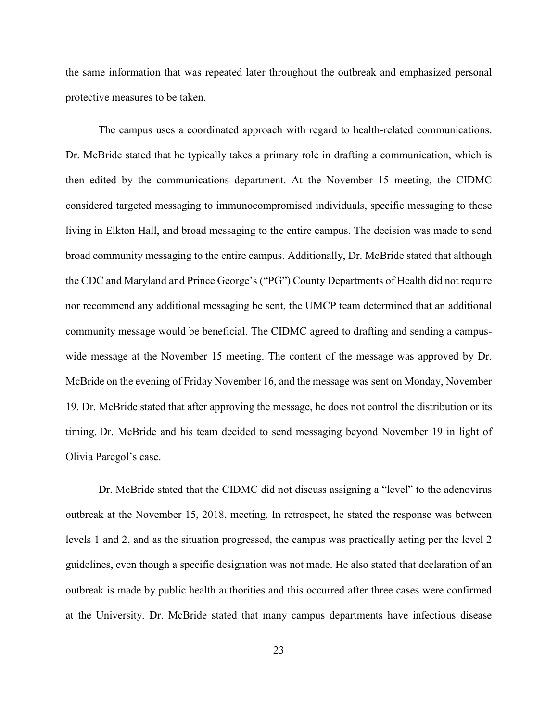the same information that was repeated later throughout the outbreak and emphasized personal protective measures to be taken.

The campus uses a coordinated approach with regard to health-related communications. Dr. McBride stated that he typically takes a primary role in drafting a communication, which is then edited by the communications department. At the November 15 meeting, the CIDMC considered targeted messaging to immunocompromised individuals, specific messaging to those living in Elkton Hall, and broad messaging to the entire campus. The decision was made to send broad community messaging to the entire campus. Additionally, Dr. McBride stated that although the CDC and Maryland and Prince George's ("PG") County Departments of Health did not require nor recommend any additional messaging be sent, the UMCP team determined that an additional community message would be beneficial. The CIDMC agreed to drafting and sending a campuswide message at the November 15 meeting. The content of the message was approved by Dr. McBride on the evening of Friday November 16, and the message was sent on Monday, November 19. Dr. McBride stated that after approving the message, he does not control the distribution or its timing. Dr. McBride and his team decided to send messaging beyond November 19 in light of Olivia Paregol's case.

Dr. McBride stated that the CIDMC did not discuss assigning a "level" to the adenovirus outbreak at the November 15, 2018, meeting. In retrospect, he stated the response was between levels 1 and 2, and as the situation progressed, the campus was practically acting per the level 2 guidelines, even though a specific designation was not made. He also stated that declaration of an outbreak is made by public health authorities and this occurred after three cases were confirmed at the University. Dr. McBride stated that many campus departments have infectious disease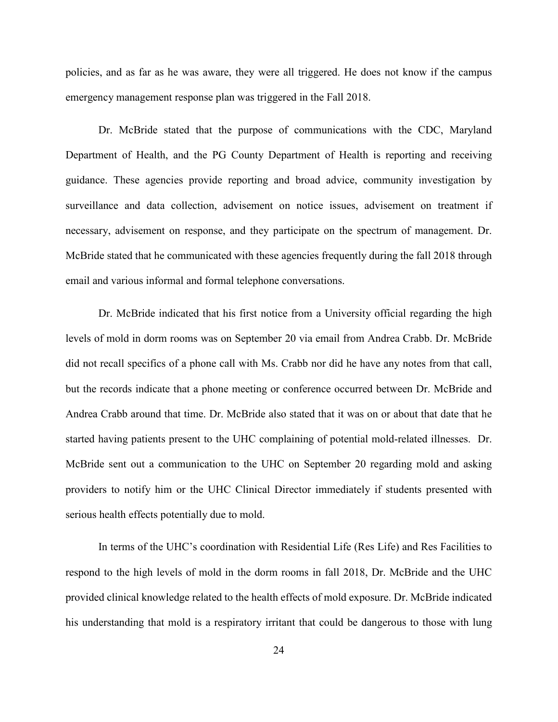policies, and as far as he was aware, they were all triggered. He does not know if the campus emergency management response plan was triggered in the Fall 2018.

Dr. McBride stated that the purpose of communications with the CDC, Maryland Department of Health, and the PG County Department of Health is reporting and receiving guidance. These agencies provide reporting and broad advice, community investigation by surveillance and data collection, advisement on notice issues, advisement on treatment if necessary, advisement on response, and they participate on the spectrum of management. Dr. McBride stated that he communicated with these agencies frequently during the fall 2018 through email and various informal and formal telephone conversations.

Dr. McBride indicated that his first notice from a University official regarding the high levels of mold in dorm rooms was on September 20 via email from Andrea Crabb. Dr. McBride did not recall specifics of a phone call with Ms. Crabb nor did he have any notes from that call, but the records indicate that a phone meeting or conference occurred between Dr. McBride and Andrea Crabb around that time. Dr. McBride also stated that it was on or about that date that he started having patients present to the UHC complaining of potential mold-related illnesses. Dr. McBride sent out a communication to the UHC on September 20 regarding mold and asking providers to notify him or the UHC Clinical Director immediately if students presented with serious health effects potentially due to mold.

In terms of the UHC's coordination with Residential Life (Res Life) and Res Facilities to respond to the high levels of mold in the dorm rooms in fall 2018, Dr. McBride and the UHC provided clinical knowledge related to the health effects of mold exposure. Dr. McBride indicated his understanding that mold is a respiratory irritant that could be dangerous to those with lung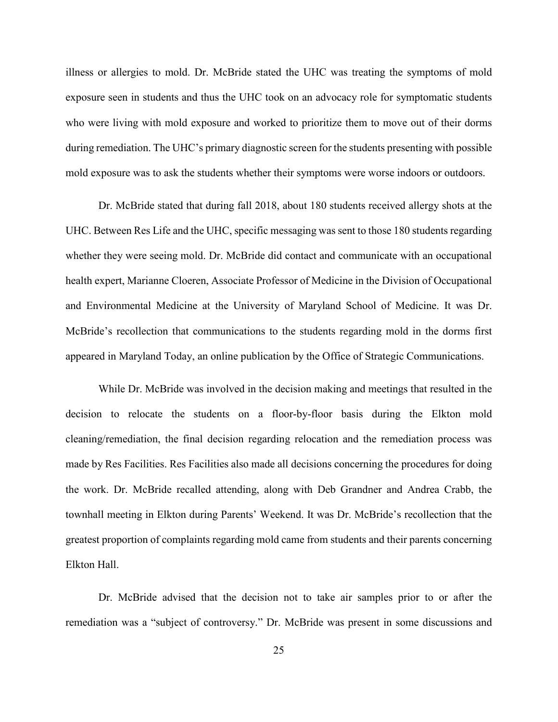illness or allergies to mold. Dr. McBride stated the UHC was treating the symptoms of mold exposure seen in students and thus the UHC took on an advocacy role for symptomatic students who were living with mold exposure and worked to prioritize them to move out of their dorms during remediation. The UHC's primary diagnostic screen for the students presenting with possible mold exposure was to ask the students whether their symptoms were worse indoors or outdoors.

Dr. McBride stated that during fall 2018, about 180 students received allergy shots at the UHC. Between Res Life and the UHC, specific messaging was sent to those 180 students regarding whether they were seeing mold. Dr. McBride did contact and communicate with an occupational health expert, Marianne Cloeren, Associate Professor of Medicine in the Division of Occupational and Environmental Medicine at the University of Maryland School of Medicine. It was Dr. McBride's recollection that communications to the students regarding mold in the dorms first appeared in Maryland Today, an online publication by the Office of Strategic Communications.

While Dr. McBride was involved in the decision making and meetings that resulted in the decision to relocate the students on a floor-by-floor basis during the Elkton mold cleaning/remediation, the final decision regarding relocation and the remediation process was made by Res Facilities. Res Facilities also made all decisions concerning the procedures for doing the work. Dr. McBride recalled attending, along with Deb Grandner and Andrea Crabb, the townhall meeting in Elkton during Parents' Weekend. It was Dr. McBride's recollection that the greatest proportion of complaints regarding mold came from students and their parents concerning Elkton Hall.

Dr. McBride advised that the decision not to take air samples prior to or after the remediation was a "subject of controversy." Dr. McBride was present in some discussions and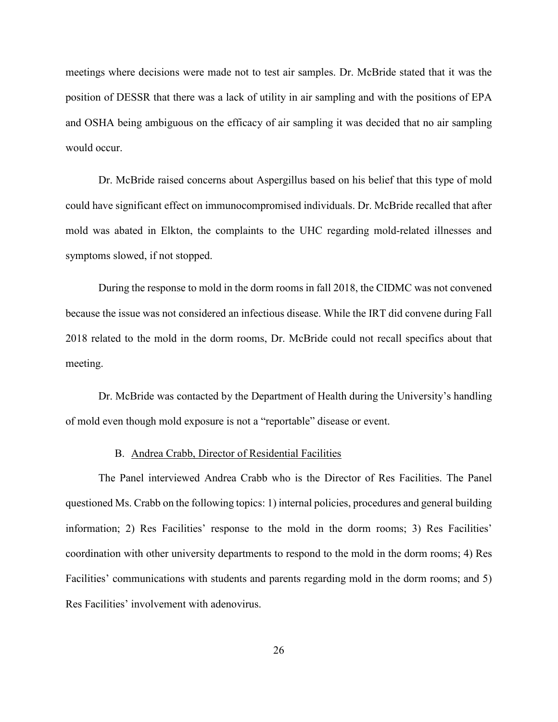meetings where decisions were made not to test air samples. Dr. McBride stated that it was the position of DESSR that there was a lack of utility in air sampling and with the positions of EPA and OSHA being ambiguous on the efficacy of air sampling it was decided that no air sampling would occur.

Dr. McBride raised concerns about Aspergillus based on his belief that this type of mold could have significant effect on immunocompromised individuals. Dr. McBride recalled that after mold was abated in Elkton, the complaints to the UHC regarding mold-related illnesses and symptoms slowed, if not stopped.

During the response to mold in the dorm rooms in fall 2018, the CIDMC was not convened because the issue was not considered an infectious disease. While the IRT did convene during Fall 2018 related to the mold in the dorm rooms, Dr. McBride could not recall specifics about that meeting.

Dr. McBride was contacted by the Department of Health during the University's handling of mold even though mold exposure is not a "reportable" disease or event.

#### B. Andrea Crabb, Director of Residential Facilities

The Panel interviewed Andrea Crabb who is the Director of Res Facilities. The Panel questioned Ms. Crabb on the following topics: 1) internal policies, procedures and general building information; 2) Res Facilities' response to the mold in the dorm rooms; 3) Res Facilities' coordination with other university departments to respond to the mold in the dorm rooms; 4) Res Facilities' communications with students and parents regarding mold in the dorm rooms; and 5) Res Facilities' involvement with adenovirus.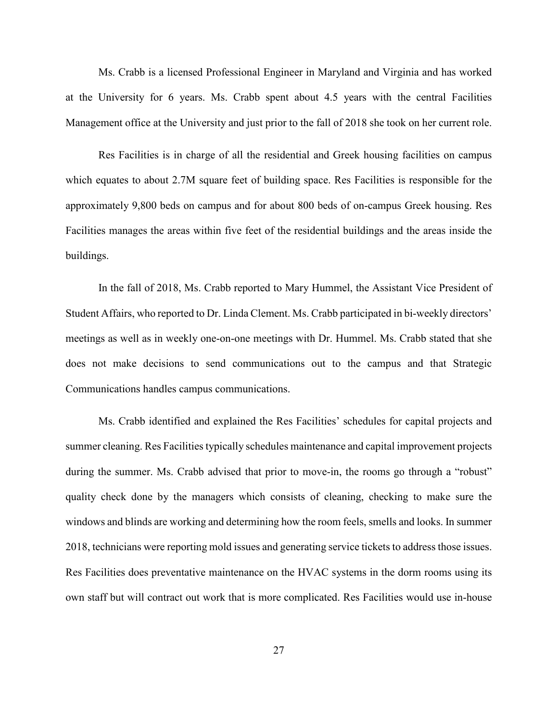Ms. Crabb is a licensed Professional Engineer in Maryland and Virginia and has worked at the University for 6 years. Ms. Crabb spent about 4.5 years with the central Facilities Management office at the University and just prior to the fall of 2018 she took on her current role.

Res Facilities is in charge of all the residential and Greek housing facilities on campus which equates to about 2.7M square feet of building space. Res Facilities is responsible for the approximately 9,800 beds on campus and for about 800 beds of on-campus Greek housing. Res Facilities manages the areas within five feet of the residential buildings and the areas inside the buildings.

In the fall of 2018, Ms. Crabb reported to Mary Hummel, the Assistant Vice President of Student Affairs, who reported to Dr. Linda Clement. Ms. Crabb participated in bi-weekly directors' meetings as well as in weekly one-on-one meetings with Dr. Hummel. Ms. Crabb stated that she does not make decisions to send communications out to the campus and that Strategic Communications handles campus communications.

Ms. Crabb identified and explained the Res Facilities' schedules for capital projects and summer cleaning. Res Facilities typically schedules maintenance and capital improvement projects during the summer. Ms. Crabb advised that prior to move-in, the rooms go through a "robust" quality check done by the managers which consists of cleaning, checking to make sure the windows and blinds are working and determining how the room feels, smells and looks. In summer 2018, technicians were reporting mold issues and generating service tickets to address those issues. Res Facilities does preventative maintenance on the HVAC systems in the dorm rooms using its own staff but will contract out work that is more complicated. Res Facilities would use in-house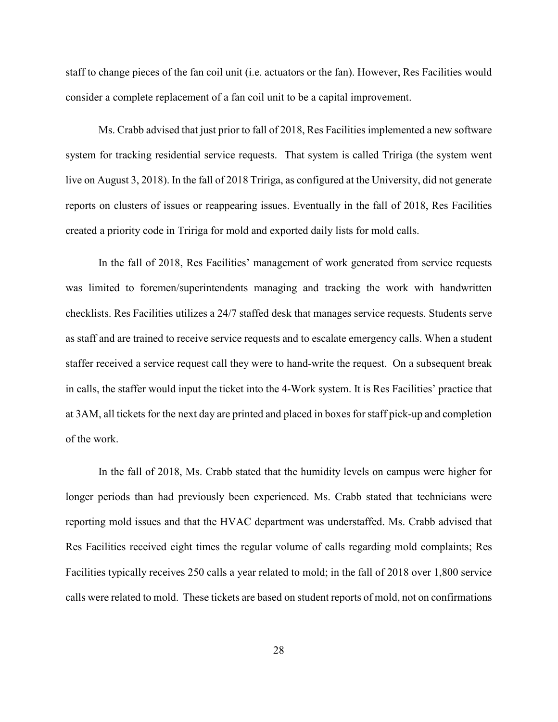staff to change pieces of the fan coil unit (i.e. actuators or the fan). However, Res Facilities would consider a complete replacement of a fan coil unit to be a capital improvement.

Ms. Crabb advised that just prior to fall of 2018, Res Facilities implemented a new software system for tracking residential service requests. That system is called Tririga (the system went live on August 3, 2018). In the fall of 2018 Tririga, as configured at the University, did not generate reports on clusters of issues or reappearing issues. Eventually in the fall of 2018, Res Facilities created a priority code in Tririga for mold and exported daily lists for mold calls.

In the fall of 2018, Res Facilities' management of work generated from service requests was limited to foremen/superintendents managing and tracking the work with handwritten checklists. Res Facilities utilizes a 24/7 staffed desk that manages service requests. Students serve as staff and are trained to receive service requests and to escalate emergency calls. When a student staffer received a service request call they were to hand-write the request. On a subsequent break in calls, the staffer would input the ticket into the 4-Work system. It is Res Facilities' practice that at 3AM, all tickets for the next day are printed and placed in boxes for staff pick-up and completion of the work.

In the fall of 2018, Ms. Crabb stated that the humidity levels on campus were higher for longer periods than had previously been experienced. Ms. Crabb stated that technicians were reporting mold issues and that the HVAC department was understaffed. Ms. Crabb advised that Res Facilities received eight times the regular volume of calls regarding mold complaints; Res Facilities typically receives 250 calls a year related to mold; in the fall of 2018 over 1,800 service calls were related to mold. These tickets are based on student reports of mold, not on confirmations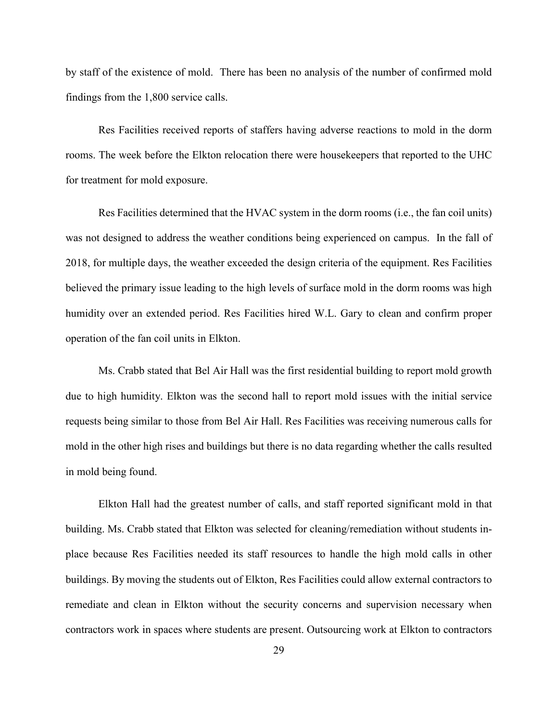by staff of the existence of mold. There has been no analysis of the number of confirmed mold findings from the 1,800 service calls.

Res Facilities received reports of staffers having adverse reactions to mold in the dorm rooms. The week before the Elkton relocation there were housekeepers that reported to the UHC for treatment for mold exposure.

Res Facilities determined that the HVAC system in the dorm rooms (i.e., the fan coil units) was not designed to address the weather conditions being experienced on campus. In the fall of 2018, for multiple days, the weather exceeded the design criteria of the equipment. Res Facilities believed the primary issue leading to the high levels of surface mold in the dorm rooms was high humidity over an extended period. Res Facilities hired W.L. Gary to clean and confirm proper operation of the fan coil units in Elkton.

Ms. Crabb stated that Bel Air Hall was the first residential building to report mold growth due to high humidity. Elkton was the second hall to report mold issues with the initial service requests being similar to those from Bel Air Hall. Res Facilities was receiving numerous calls for mold in the other high rises and buildings but there is no data regarding whether the calls resulted in mold being found.

Elkton Hall had the greatest number of calls, and staff reported significant mold in that building. Ms. Crabb stated that Elkton was selected for cleaning/remediation without students inplace because Res Facilities needed its staff resources to handle the high mold calls in other buildings. By moving the students out of Elkton, Res Facilities could allow external contractors to remediate and clean in Elkton without the security concerns and supervision necessary when contractors work in spaces where students are present. Outsourcing work at Elkton to contractors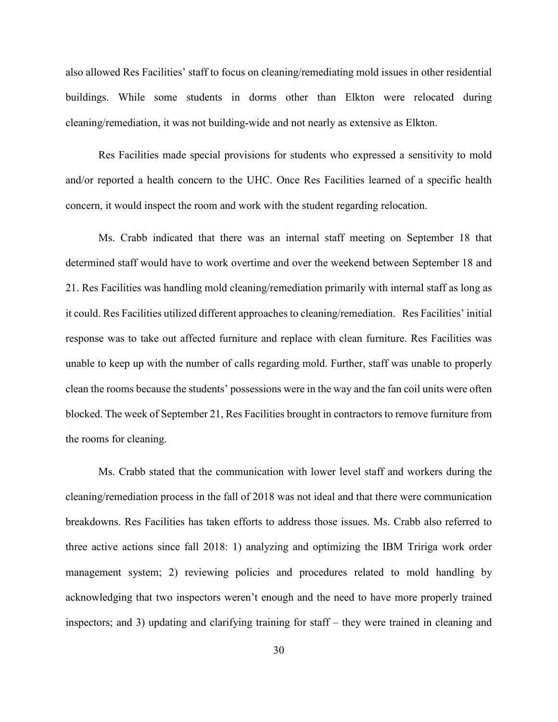also allowed Res Facilities' staff to focus on cleaning/remediating mold issues in other residential buildings. While some students in dorms other than Elkton were relocated during cleaning/remediation, it was not building-wide and not nearly as extensive as Elkton.

Res Facilities made special provisions for students who expressed a sensitivity to mold and/or reported a health concern to the UHC. Once Res Facilities learned of a specific health concern, it would inspect the room and work with the student regarding relocation.

Ms. Crabb indicated that there was an internal staff meeting on September 18 that determined staff would have to work overtime and over the weekend between September 18 and 21. Res Facilities was handling mold cleaning/remediation primarily with internal staff as long as it could. Res Facilities utilized different approaches to cleaning/remediation. Res Facilities' initial response was to take out affected furniture and replace with clean furniture. Res Facilities was unable to keep up with the number of calls regarding mold. Further, staff was unable to properly clean the rooms because the students' possessions were in the way and the fan coil units were often blocked. The week of September 21, Res Facilities brought in contractors to remove furniture from the rooms for cleaning.

Ms. Crabb stated that the communication with lower level staff and workers during the cleaning/remediation process in the fall of 2018 was not ideal and that there were communication breakdowns. Res Facilities has taken efforts to address those issues. Ms. Crabb also referred to three active actions since fall 2018: 1) analyzing and optimizing the IBM Tririga work order management system; 2) reviewing policies and procedures related to mold handling by acknowledging that two inspectors weren't enough and the need to have more properly trained inspectors; and 3) updating and clarifying training for staff – they were trained in cleaning and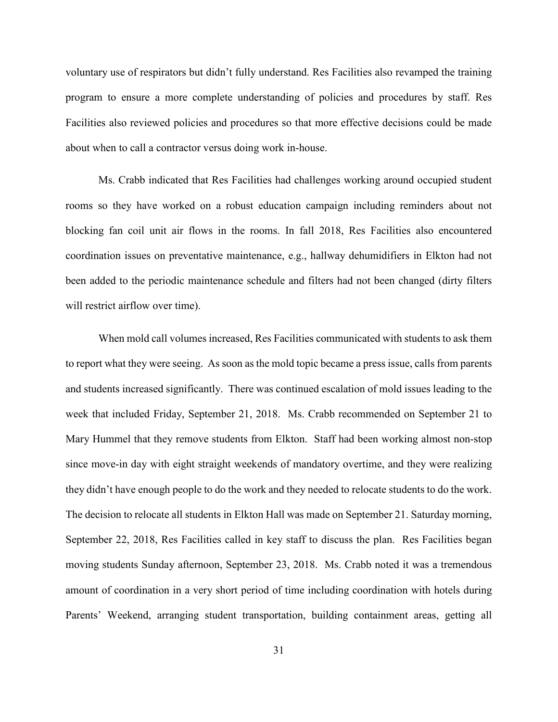voluntary use of respirators but didn't fully understand. Res Facilities also revamped the training program to ensure a more complete understanding of policies and procedures by staff. Res Facilities also reviewed policies and procedures so that more effective decisions could be made about when to call a contractor versus doing work in-house.

Ms. Crabb indicated that Res Facilities had challenges working around occupied student rooms so they have worked on a robust education campaign including reminders about not blocking fan coil unit air flows in the rooms. In fall 2018, Res Facilities also encountered coordination issues on preventative maintenance, e.g., hallway dehumidifiers in Elkton had not been added to the periodic maintenance schedule and filters had not been changed (dirty filters will restrict airflow over time).

When mold call volumes increased, Res Facilities communicated with students to ask them to report what they were seeing. As soon as the mold topic became a press issue, calls from parents and students increased significantly. There was continued escalation of mold issues leading to the week that included Friday, September 21, 2018. Ms. Crabb recommended on September 21 to Mary Hummel that they remove students from Elkton. Staff had been working almost non-stop since move-in day with eight straight weekends of mandatory overtime, and they were realizing they didn't have enough people to do the work and they needed to relocate students to do the work. The decision to relocate all students in Elkton Hall was made on September 21. Saturday morning, September 22, 2018, Res Facilities called in key staff to discuss the plan. Res Facilities began moving students Sunday afternoon, September 23, 2018. Ms. Crabb noted it was a tremendous amount of coordination in a very short period of time including coordination with hotels during Parents' Weekend, arranging student transportation, building containment areas, getting all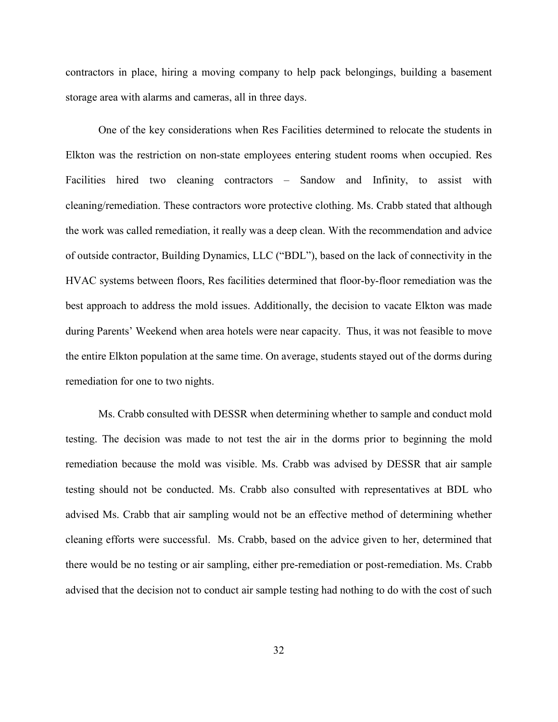contractors in place, hiring a moving company to help pack belongings, building a basement storage area with alarms and cameras, all in three days.

One of the key considerations when Res Facilities determined to relocate the students in Elkton was the restriction on non-state employees entering student rooms when occupied. Res Facilities hired two cleaning contractors – Sandow and Infinity, to assist with cleaning/remediation. These contractors wore protective clothing. Ms. Crabb stated that although the work was called remediation, it really was a deep clean. With the recommendation and advice of outside contractor, Building Dynamics, LLC ("BDL"), based on the lack of connectivity in the HVAC systems between floors, Res facilities determined that floor-by-floor remediation was the best approach to address the mold issues. Additionally, the decision to vacate Elkton was made during Parents' Weekend when area hotels were near capacity. Thus, it was not feasible to move the entire Elkton population at the same time. On average, students stayed out of the dorms during remediation for one to two nights.

Ms. Crabb consulted with DESSR when determining whether to sample and conduct mold testing. The decision was made to not test the air in the dorms prior to beginning the mold remediation because the mold was visible. Ms. Crabb was advised by DESSR that air sample testing should not be conducted. Ms. Crabb also consulted with representatives at BDL who advised Ms. Crabb that air sampling would not be an effective method of determining whether cleaning efforts were successful. Ms. Crabb, based on the advice given to her, determined that there would be no testing or air sampling, either pre-remediation or post-remediation. Ms. Crabb advised that the decision not to conduct air sample testing had nothing to do with the cost of such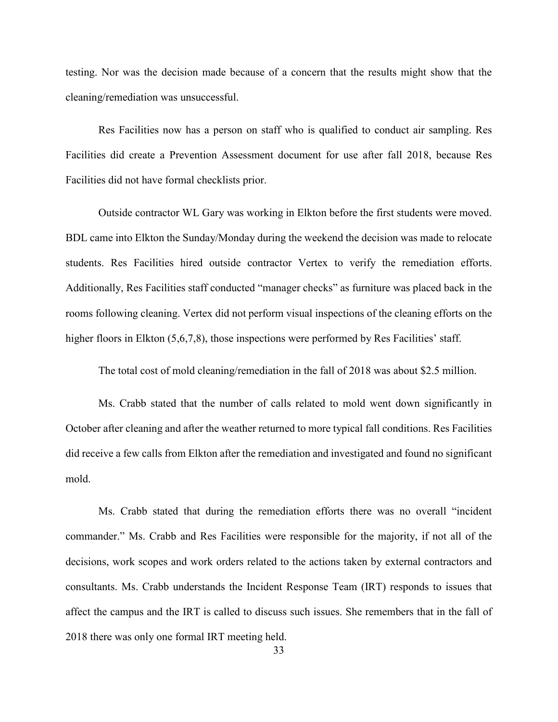testing. Nor was the decision made because of a concern that the results might show that the cleaning/remediation was unsuccessful.

Res Facilities now has a person on staff who is qualified to conduct air sampling. Res Facilities did create a Prevention Assessment document for use after fall 2018, because Res Facilities did not have formal checklists prior.

Outside contractor WL Gary was working in Elkton before the first students were moved. BDL came into Elkton the Sunday/Monday during the weekend the decision was made to relocate students. Res Facilities hired outside contractor Vertex to verify the remediation efforts. Additionally, Res Facilities staff conducted "manager checks" as furniture was placed back in the rooms following cleaning. Vertex did not perform visual inspections of the cleaning efforts on the higher floors in Elkton (5,6,7,8), those inspections were performed by Res Facilities' staff.

The total cost of mold cleaning/remediation in the fall of 2018 was about \$2.5 million.

Ms. Crabb stated that the number of calls related to mold went down significantly in October after cleaning and after the weather returned to more typical fall conditions. Res Facilities did receive a few calls from Elkton after the remediation and investigated and found no significant mold.

Ms. Crabb stated that during the remediation efforts there was no overall "incident commander." Ms. Crabb and Res Facilities were responsible for the majority, if not all of the decisions, work scopes and work orders related to the actions taken by external contractors and consultants. Ms. Crabb understands the Incident Response Team (IRT) responds to issues that affect the campus and the IRT is called to discuss such issues. She remembers that in the fall of 2018 there was only one formal IRT meeting held.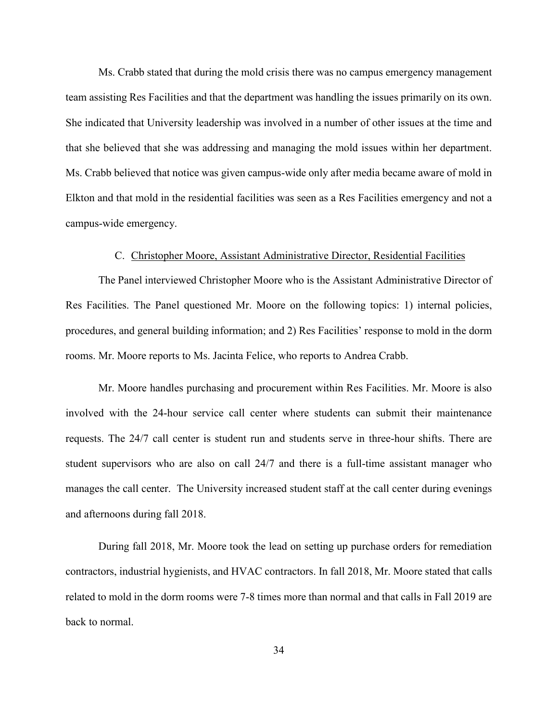Ms. Crabb stated that during the mold crisis there was no campus emergency management team assisting Res Facilities and that the department was handling the issues primarily on its own. She indicated that University leadership was involved in a number of other issues at the time and that she believed that she was addressing and managing the mold issues within her department. Ms. Crabb believed that notice was given campus-wide only after media became aware of mold in Elkton and that mold in the residential facilities was seen as a Res Facilities emergency and not a campus-wide emergency.

#### C. Christopher Moore, Assistant Administrative Director, Residential Facilities

The Panel interviewed Christopher Moore who is the Assistant Administrative Director of Res Facilities. The Panel questioned Mr. Moore on the following topics: 1) internal policies, procedures, and general building information; and 2) Res Facilities' response to mold in the dorm rooms. Mr. Moore reports to Ms. Jacinta Felice, who reports to Andrea Crabb.

Mr. Moore handles purchasing and procurement within Res Facilities. Mr. Moore is also involved with the 24-hour service call center where students can submit their maintenance requests. The 24/7 call center is student run and students serve in three-hour shifts. There are student supervisors who are also on call 24/7 and there is a full-time assistant manager who manages the call center. The University increased student staff at the call center during evenings and afternoons during fall 2018.

During fall 2018, Mr. Moore took the lead on setting up purchase orders for remediation contractors, industrial hygienists, and HVAC contractors. In fall 2018, Mr. Moore stated that calls related to mold in the dorm rooms were 7-8 times more than normal and that calls in Fall 2019 are back to normal.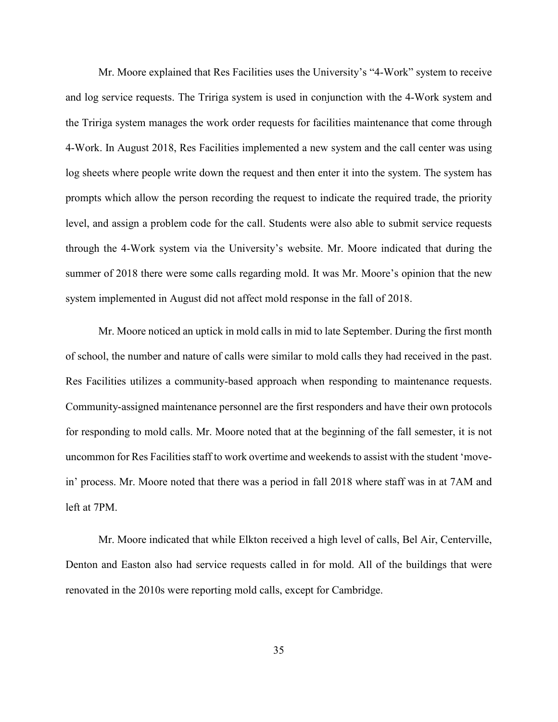Mr. Moore explained that Res Facilities uses the University's "4-Work" system to receive and log service requests. The Tririga system is used in conjunction with the 4-Work system and the Tririga system manages the work order requests for facilities maintenance that come through 4-Work. In August 2018, Res Facilities implemented a new system and the call center was using log sheets where people write down the request and then enter it into the system. The system has prompts which allow the person recording the request to indicate the required trade, the priority level, and assign a problem code for the call. Students were also able to submit service requests through the 4-Work system via the University's website. Mr. Moore indicated that during the summer of 2018 there were some calls regarding mold. It was Mr. Moore's opinion that the new system implemented in August did not affect mold response in the fall of 2018.

Mr. Moore noticed an uptick in mold calls in mid to late September. During the first month of school, the number and nature of calls were similar to mold calls they had received in the past. Res Facilities utilizes a community-based approach when responding to maintenance requests. Community-assigned maintenance personnel are the first responders and have their own protocols for responding to mold calls. Mr. Moore noted that at the beginning of the fall semester, it is not uncommon for Res Facilities staff to work overtime and weekends to assist with the student 'movein' process. Mr. Moore noted that there was a period in fall 2018 where staff was in at 7AM and left at 7PM.

Mr. Moore indicated that while Elkton received a high level of calls, Bel Air, Centerville, Denton and Easton also had service requests called in for mold. All of the buildings that were renovated in the 2010s were reporting mold calls, except for Cambridge.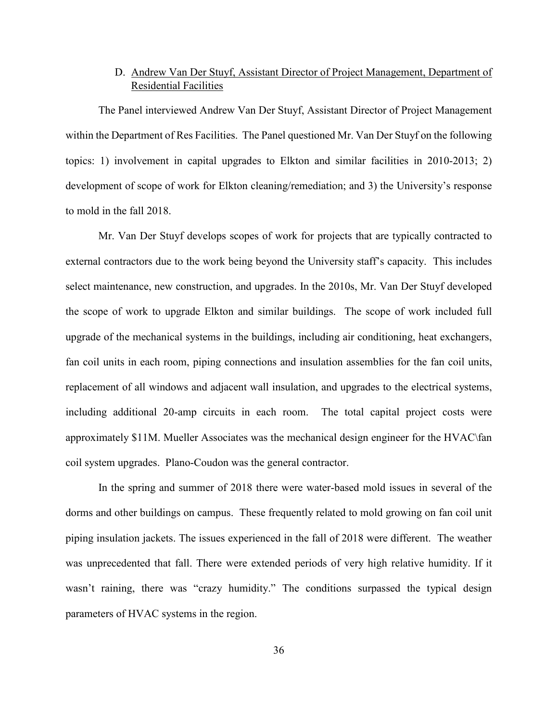#### D. Andrew Van Der Stuyf, Assistant Director of Project Management, Department of Residential Facilities

The Panel interviewed Andrew Van Der Stuyf, Assistant Director of Project Management within the Department of Res Facilities. The Panel questioned Mr. Van Der Stuyf on the following topics: 1) involvement in capital upgrades to Elkton and similar facilities in 2010-2013; 2) development of scope of work for Elkton cleaning/remediation; and 3) the University's response to mold in the fall 2018.

Mr. Van Der Stuyf develops scopes of work for projects that are typically contracted to external contractors due to the work being beyond the University staff's capacity. This includes select maintenance, new construction, and upgrades. In the 2010s, Mr. Van Der Stuyf developed the scope of work to upgrade Elkton and similar buildings. The scope of work included full upgrade of the mechanical systems in the buildings, including air conditioning, heat exchangers, fan coil units in each room, piping connections and insulation assemblies for the fan coil units, replacement of all windows and adjacent wall insulation, and upgrades to the electrical systems, including additional 20-amp circuits in each room. The total capital project costs were approximately \$11M. Mueller Associates was the mechanical design engineer for the HVAC\fan coil system upgrades. Plano-Coudon was the general contractor.

In the spring and summer of 2018 there were water-based mold issues in several of the dorms and other buildings on campus. These frequently related to mold growing on fan coil unit piping insulation jackets. The issues experienced in the fall of 2018 were different. The weather was unprecedented that fall. There were extended periods of very high relative humidity. If it wasn't raining, there was "crazy humidity." The conditions surpassed the typical design parameters of HVAC systems in the region.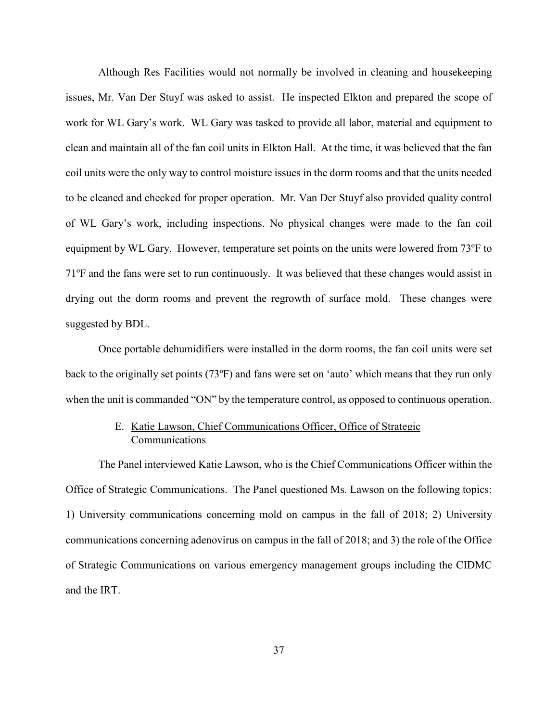Although Res Facilities would not normally be involved in cleaning and housekeeping issues, Mr. Van Der Stuyf was asked to assist. He inspected Elkton and prepared the scope of work for WL Gary's work. WL Gary was tasked to provide all labor, material and equipment to clean and maintain all of the fan coil units in Elkton Hall. At the time, it was believed that the fan coil units were the only way to control moisture issues in the dorm rooms and that the units needed to be cleaned and checked for proper operation. Mr. Van Der Stuyf also provided quality control of WL Gary's work, including inspections. No physical changes were made to the fan coil equipment by WL Gary. However, temperature set points on the units were lowered from 73ºF to 71ºF and the fans were set to run continuously. It was believed that these changes would assist in drying out the dorm rooms and prevent the regrowth of surface mold. These changes were suggested by BDL.

Once portable dehumidifiers were installed in the dorm rooms, the fan coil units were set back to the originally set points (73ºF) and fans were set on 'auto' which means that they run only when the unit is commanded "ON" by the temperature control, as opposed to continuous operation.

# E. Katie Lawson, Chief Communications Officer, Office of Strategic Communications

The Panel interviewed Katie Lawson, who is the Chief Communications Officer within the Office of Strategic Communications. The Panel questioned Ms. Lawson on the following topics: 1) University communications concerning mold on campus in the fall of 2018; 2) University communications concerning adenovirus on campus in the fall of 2018; and 3) the role of the Office of Strategic Communications on various emergency management groups including the CIDMC and the IRT.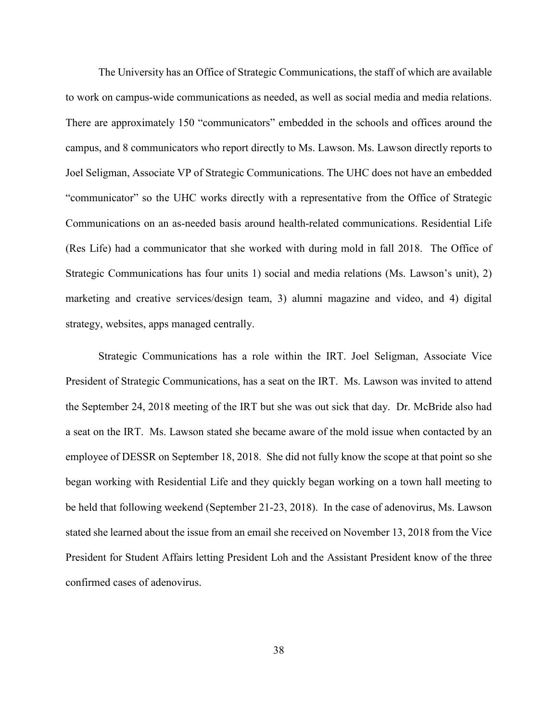The University has an Office of Strategic Communications, the staff of which are available to work on campus-wide communications as needed, as well as social media and media relations. There are approximately 150 "communicators" embedded in the schools and offices around the campus, and 8 communicators who report directly to Ms. Lawson. Ms. Lawson directly reports to Joel Seligman, Associate VP of Strategic Communications. The UHC does not have an embedded "communicator" so the UHC works directly with a representative from the Office of Strategic Communications on an as-needed basis around health-related communications. Residential Life (Res Life) had a communicator that she worked with during mold in fall 2018. The Office of Strategic Communications has four units 1) social and media relations (Ms. Lawson's unit), 2) marketing and creative services/design team, 3) alumni magazine and video, and 4) digital strategy, websites, apps managed centrally.

Strategic Communications has a role within the IRT. Joel Seligman, Associate Vice President of Strategic Communications, has a seat on the IRT. Ms. Lawson was invited to attend the September 24, 2018 meeting of the IRT but she was out sick that day. Dr. McBride also had a seat on the IRT. Ms. Lawson stated she became aware of the mold issue when contacted by an employee of DESSR on September 18, 2018. She did not fully know the scope at that point so she began working with Residential Life and they quickly began working on a town hall meeting to be held that following weekend (September 21-23, 2018). In the case of adenovirus, Ms. Lawson stated she learned about the issue from an email she received on November 13, 2018 from the Vice President for Student Affairs letting President Loh and the Assistant President know of the three confirmed cases of adenovirus.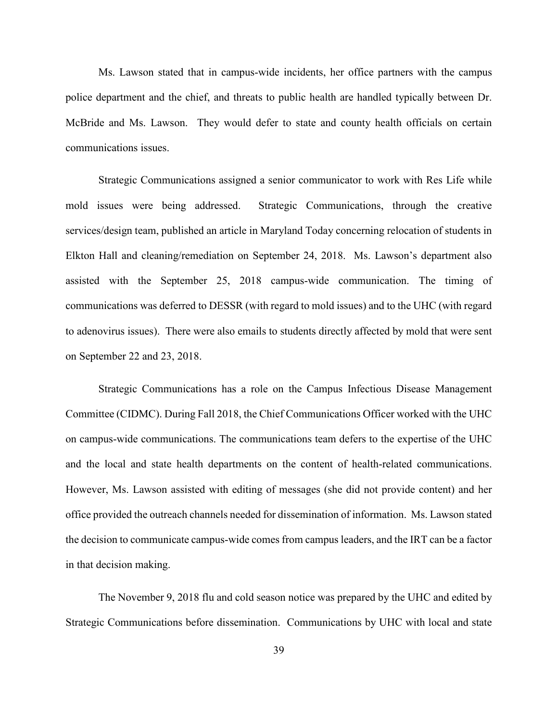Ms. Lawson stated that in campus-wide incidents, her office partners with the campus police department and the chief, and threats to public health are handled typically between Dr. McBride and Ms. Lawson. They would defer to state and county health officials on certain communications issues.

Strategic Communications assigned a senior communicator to work with Res Life while mold issues were being addressed. Strategic Communications, through the creative services/design team, published an article in Maryland Today concerning relocation of students in Elkton Hall and cleaning/remediation on September 24, 2018. Ms. Lawson's department also assisted with the September 25, 2018 campus-wide communication. The timing of communications was deferred to DESSR (with regard to mold issues) and to the UHC (with regard to adenovirus issues). There were also emails to students directly affected by mold that were sent on September 22 and 23, 2018.

Strategic Communications has a role on the Campus Infectious Disease Management Committee (CIDMC). During Fall 2018, the Chief Communications Officer worked with the UHC on campus-wide communications. The communications team defers to the expertise of the UHC and the local and state health departments on the content of health-related communications. However, Ms. Lawson assisted with editing of messages (she did not provide content) and her office provided the outreach channels needed for dissemination of information. Ms. Lawson stated the decision to communicate campus-wide comes from campus leaders, and the IRT can be a factor in that decision making.

The November 9, 2018 flu and cold season notice was prepared by the UHC and edited by Strategic Communications before dissemination. Communications by UHC with local and state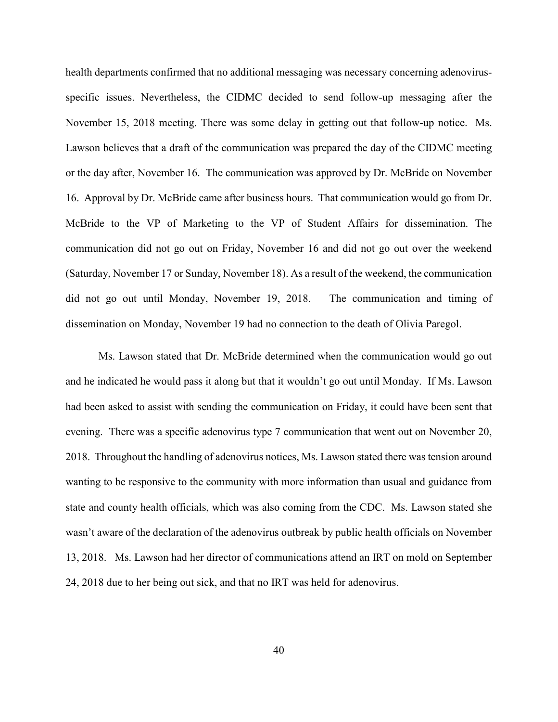health departments confirmed that no additional messaging was necessary concerning adenovirusspecific issues. Nevertheless, the CIDMC decided to send follow-up messaging after the November 15, 2018 meeting. There was some delay in getting out that follow-up notice. Ms. Lawson believes that a draft of the communication was prepared the day of the CIDMC meeting or the day after, November 16. The communication was approved by Dr. McBride on November 16. Approval by Dr. McBride came after business hours. That communication would go from Dr. McBride to the VP of Marketing to the VP of Student Affairs for dissemination. The communication did not go out on Friday, November 16 and did not go out over the weekend (Saturday, November 17 or Sunday, November 18). As a result of the weekend, the communication did not go out until Monday, November 19, 2018. The communication and timing of dissemination on Monday, November 19 had no connection to the death of Olivia Paregol.

Ms. Lawson stated that Dr. McBride determined when the communication would go out and he indicated he would pass it along but that it wouldn't go out until Monday. If Ms. Lawson had been asked to assist with sending the communication on Friday, it could have been sent that evening. There was a specific adenovirus type 7 communication that went out on November 20, 2018. Throughout the handling of adenovirus notices, Ms. Lawson stated there was tension around wanting to be responsive to the community with more information than usual and guidance from state and county health officials, which was also coming from the CDC. Ms. Lawson stated she wasn't aware of the declaration of the adenovirus outbreak by public health officials on November 13, 2018. Ms. Lawson had her director of communications attend an IRT on mold on September 24, 2018 due to her being out sick, and that no IRT was held for adenovirus.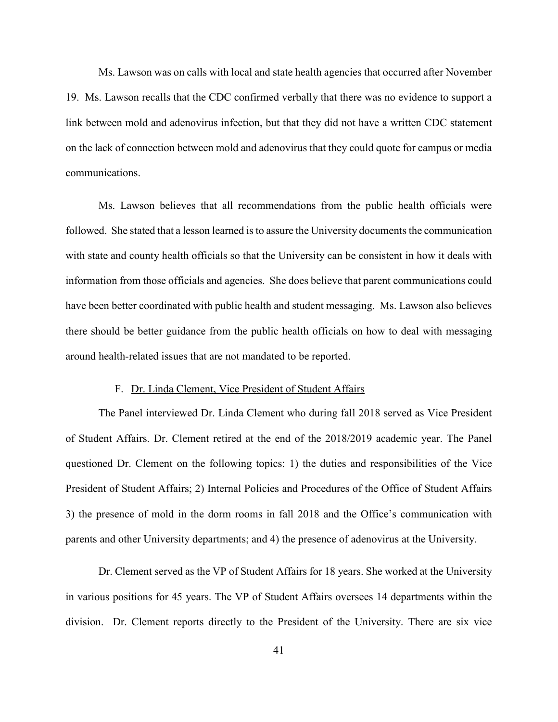Ms. Lawson was on calls with local and state health agencies that occurred after November 19. Ms. Lawson recalls that the CDC confirmed verbally that there was no evidence to support a link between mold and adenovirus infection, but that they did not have a written CDC statement on the lack of connection between mold and adenovirus that they could quote for campus or media communications.

Ms. Lawson believes that all recommendations from the public health officials were followed. She stated that a lesson learned is to assure the University documents the communication with state and county health officials so that the University can be consistent in how it deals with information from those officials and agencies. She does believe that parent communications could have been better coordinated with public health and student messaging. Ms. Lawson also believes there should be better guidance from the public health officials on how to deal with messaging around health-related issues that are not mandated to be reported.

# F. Dr. Linda Clement, Vice President of Student Affairs

The Panel interviewed Dr. Linda Clement who during fall 2018 served as Vice President of Student Affairs. Dr. Clement retired at the end of the 2018/2019 academic year. The Panel questioned Dr. Clement on the following topics: 1) the duties and responsibilities of the Vice President of Student Affairs; 2) Internal Policies and Procedures of the Office of Student Affairs 3) the presence of mold in the dorm rooms in fall 2018 and the Office's communication with parents and other University departments; and 4) the presence of adenovirus at the University.

Dr. Clement served as the VP of Student Affairs for 18 years. She worked at the University in various positions for 45 years. The VP of Student Affairs oversees 14 departments within the division. Dr. Clement reports directly to the President of the University. There are six vice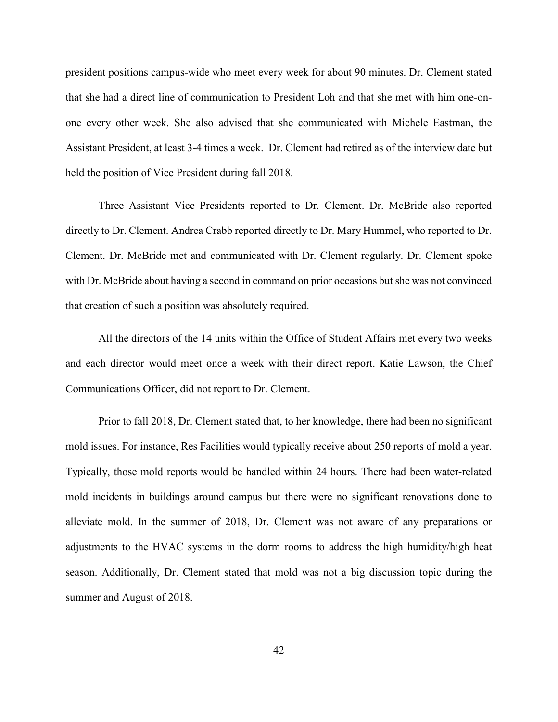president positions campus-wide who meet every week for about 90 minutes. Dr. Clement stated that she had a direct line of communication to President Loh and that she met with him one-onone every other week. She also advised that she communicated with Michele Eastman, the Assistant President, at least 3-4 times a week. Dr. Clement had retired as of the interview date but held the position of Vice President during fall 2018.

Three Assistant Vice Presidents reported to Dr. Clement. Dr. McBride also reported directly to Dr. Clement. Andrea Crabb reported directly to Dr. Mary Hummel, who reported to Dr. Clement. Dr. McBride met and communicated with Dr. Clement regularly. Dr. Clement spoke with Dr. McBride about having a second in command on prior occasions but she was not convinced that creation of such a position was absolutely required.

All the directors of the 14 units within the Office of Student Affairs met every two weeks and each director would meet once a week with their direct report. Katie Lawson, the Chief Communications Officer, did not report to Dr. Clement.

Prior to fall 2018, Dr. Clement stated that, to her knowledge, there had been no significant mold issues. For instance, Res Facilities would typically receive about 250 reports of mold a year. Typically, those mold reports would be handled within 24 hours. There had been water-related mold incidents in buildings around campus but there were no significant renovations done to alleviate mold. In the summer of 2018, Dr. Clement was not aware of any preparations or adjustments to the HVAC systems in the dorm rooms to address the high humidity/high heat season. Additionally, Dr. Clement stated that mold was not a big discussion topic during the summer and August of 2018.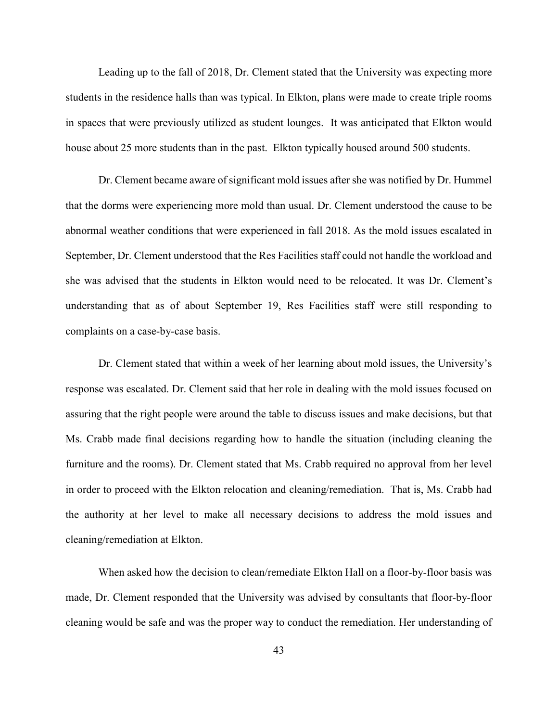Leading up to the fall of 2018, Dr. Clement stated that the University was expecting more students in the residence halls than was typical. In Elkton, plans were made to create triple rooms in spaces that were previously utilized as student lounges. It was anticipated that Elkton would house about 25 more students than in the past. Elkton typically housed around 500 students.

Dr. Clement became aware of significant mold issues after she was notified by Dr. Hummel that the dorms were experiencing more mold than usual. Dr. Clement understood the cause to be abnormal weather conditions that were experienced in fall 2018. As the mold issues escalated in September, Dr. Clement understood that the Res Facilities staff could not handle the workload and she was advised that the students in Elkton would need to be relocated. It was Dr. Clement's understanding that as of about September 19, Res Facilities staff were still responding to complaints on a case-by-case basis.

Dr. Clement stated that within a week of her learning about mold issues, the University's response was escalated. Dr. Clement said that her role in dealing with the mold issues focused on assuring that the right people were around the table to discuss issues and make decisions, but that Ms. Crabb made final decisions regarding how to handle the situation (including cleaning the furniture and the rooms). Dr. Clement stated that Ms. Crabb required no approval from her level in order to proceed with the Elkton relocation and cleaning/remediation. That is, Ms. Crabb had the authority at her level to make all necessary decisions to address the mold issues and cleaning/remediation at Elkton.

When asked how the decision to clean/remediate Elkton Hall on a floor-by-floor basis was made, Dr. Clement responded that the University was advised by consultants that floor-by-floor cleaning would be safe and was the proper way to conduct the remediation. Her understanding of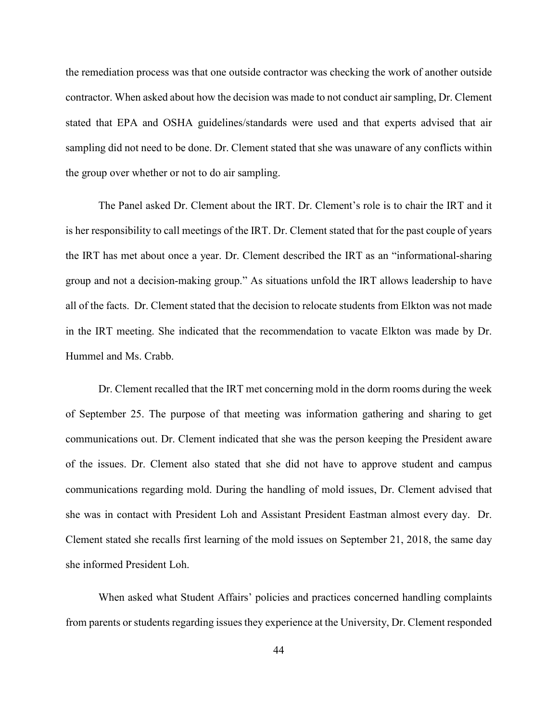the remediation process was that one outside contractor was checking the work of another outside contractor. When asked about how the decision was made to not conduct air sampling, Dr. Clement stated that EPA and OSHA guidelines/standards were used and that experts advised that air sampling did not need to be done. Dr. Clement stated that she was unaware of any conflicts within the group over whether or not to do air sampling.

The Panel asked Dr. Clement about the IRT. Dr. Clement's role is to chair the IRT and it is her responsibility to call meetings of the IRT. Dr. Clement stated that for the past couple of years the IRT has met about once a year. Dr. Clement described the IRT as an "informational-sharing group and not a decision-making group." As situations unfold the IRT allows leadership to have all of the facts. Dr. Clement stated that the decision to relocate students from Elkton was not made in the IRT meeting. She indicated that the recommendation to vacate Elkton was made by Dr. Hummel and Ms. Crabb.

Dr. Clement recalled that the IRT met concerning mold in the dorm rooms during the week of September 25. The purpose of that meeting was information gathering and sharing to get communications out. Dr. Clement indicated that she was the person keeping the President aware of the issues. Dr. Clement also stated that she did not have to approve student and campus communications regarding mold. During the handling of mold issues, Dr. Clement advised that she was in contact with President Loh and Assistant President Eastman almost every day. Dr. Clement stated she recalls first learning of the mold issues on September 21, 2018, the same day she informed President Loh.

When asked what Student Affairs' policies and practices concerned handling complaints from parents or students regarding issues they experience at the University, Dr. Clement responded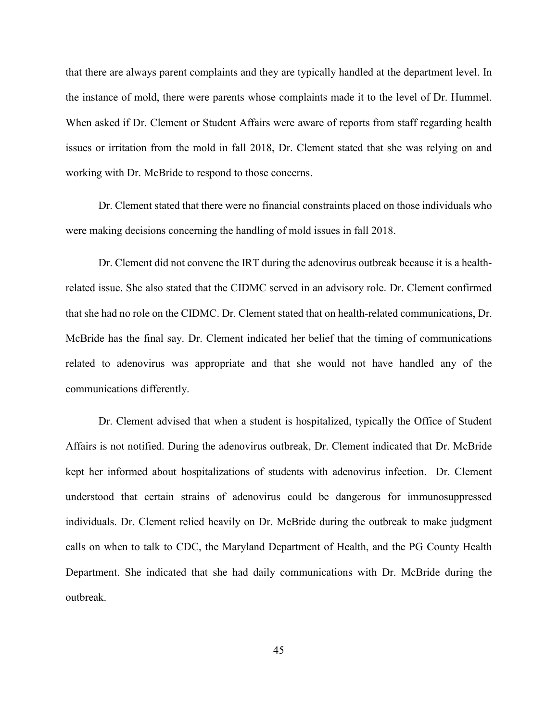that there are always parent complaints and they are typically handled at the department level. In the instance of mold, there were parents whose complaints made it to the level of Dr. Hummel. When asked if Dr. Clement or Student Affairs were aware of reports from staff regarding health issues or irritation from the mold in fall 2018, Dr. Clement stated that she was relying on and working with Dr. McBride to respond to those concerns.

Dr. Clement stated that there were no financial constraints placed on those individuals who were making decisions concerning the handling of mold issues in fall 2018.

Dr. Clement did not convene the IRT during the adenovirus outbreak because it is a healthrelated issue. She also stated that the CIDMC served in an advisory role. Dr. Clement confirmed that she had no role on the CIDMC. Dr. Clement stated that on health-related communications, Dr. McBride has the final say. Dr. Clement indicated her belief that the timing of communications related to adenovirus was appropriate and that she would not have handled any of the communications differently.

Dr. Clement advised that when a student is hospitalized, typically the Office of Student Affairs is not notified. During the adenovirus outbreak, Dr. Clement indicated that Dr. McBride kept her informed about hospitalizations of students with adenovirus infection. Dr. Clement understood that certain strains of adenovirus could be dangerous for immunosuppressed individuals. Dr. Clement relied heavily on Dr. McBride during the outbreak to make judgment calls on when to talk to CDC, the Maryland Department of Health, and the PG County Health Department. She indicated that she had daily communications with Dr. McBride during the outbreak.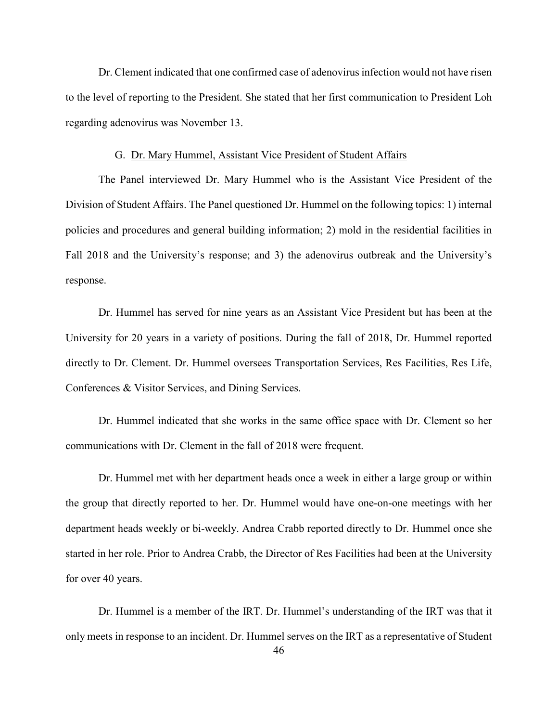Dr. Clement indicated that one confirmed case of adenovirus infection would not have risen to the level of reporting to the President. She stated that her first communication to President Loh regarding adenovirus was November 13.

## G. Dr. Mary Hummel, Assistant Vice President of Student Affairs

The Panel interviewed Dr. Mary Hummel who is the Assistant Vice President of the Division of Student Affairs. The Panel questioned Dr. Hummel on the following topics: 1) internal policies and procedures and general building information; 2) mold in the residential facilities in Fall 2018 and the University's response; and 3) the adenovirus outbreak and the University's response.

Dr. Hummel has served for nine years as an Assistant Vice President but has been at the University for 20 years in a variety of positions. During the fall of 2018, Dr. Hummel reported directly to Dr. Clement. Dr. Hummel oversees Transportation Services, Res Facilities, Res Life, Conferences & Visitor Services, and Dining Services.

Dr. Hummel indicated that she works in the same office space with Dr. Clement so her communications with Dr. Clement in the fall of 2018 were frequent.

Dr. Hummel met with her department heads once a week in either a large group or within the group that directly reported to her. Dr. Hummel would have one-on-one meetings with her department heads weekly or bi-weekly. Andrea Crabb reported directly to Dr. Hummel once she started in her role. Prior to Andrea Crabb, the Director of Res Facilities had been at the University for over 40 years.

Dr. Hummel is a member of the IRT. Dr. Hummel's understanding of the IRT was that it only meets in response to an incident. Dr. Hummel serves on the IRT as a representative of Student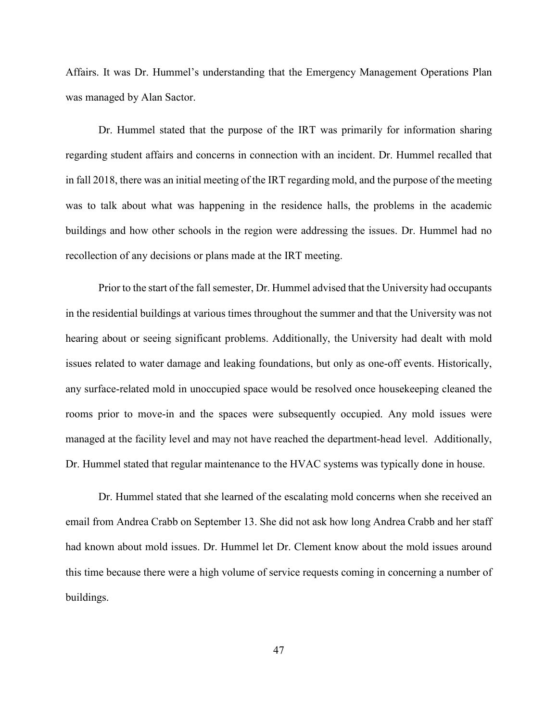Affairs. It was Dr. Hummel's understanding that the Emergency Management Operations Plan was managed by Alan Sactor.

Dr. Hummel stated that the purpose of the IRT was primarily for information sharing regarding student affairs and concerns in connection with an incident. Dr. Hummel recalled that in fall 2018, there was an initial meeting of the IRT regarding mold, and the purpose of the meeting was to talk about what was happening in the residence halls, the problems in the academic buildings and how other schools in the region were addressing the issues. Dr. Hummel had no recollection of any decisions or plans made at the IRT meeting.

Prior to the start of the fall semester, Dr. Hummel advised that the University had occupants in the residential buildings at various times throughout the summer and that the University was not hearing about or seeing significant problems. Additionally, the University had dealt with mold issues related to water damage and leaking foundations, but only as one-off events. Historically, any surface-related mold in unoccupied space would be resolved once housekeeping cleaned the rooms prior to move-in and the spaces were subsequently occupied. Any mold issues were managed at the facility level and may not have reached the department-head level. Additionally, Dr. Hummel stated that regular maintenance to the HVAC systems was typically done in house.

Dr. Hummel stated that she learned of the escalating mold concerns when she received an email from Andrea Crabb on September 13. She did not ask how long Andrea Crabb and her staff had known about mold issues. Dr. Hummel let Dr. Clement know about the mold issues around this time because there were a high volume of service requests coming in concerning a number of buildings.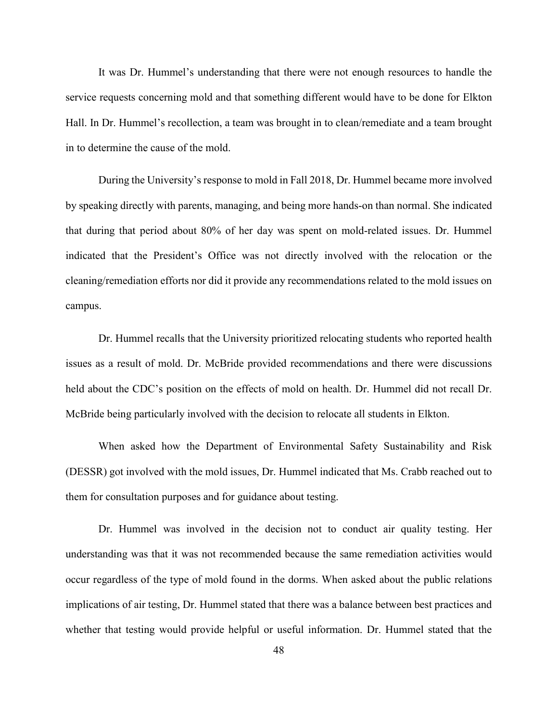It was Dr. Hummel's understanding that there were not enough resources to handle the service requests concerning mold and that something different would have to be done for Elkton Hall. In Dr. Hummel's recollection, a team was brought in to clean/remediate and a team brought in to determine the cause of the mold.

During the University's response to mold in Fall 2018, Dr. Hummel became more involved by speaking directly with parents, managing, and being more hands-on than normal. She indicated that during that period about 80% of her day was spent on mold-related issues. Dr. Hummel indicated that the President's Office was not directly involved with the relocation or the cleaning/remediation efforts nor did it provide any recommendations related to the mold issues on campus.

Dr. Hummel recalls that the University prioritized relocating students who reported health issues as a result of mold. Dr. McBride provided recommendations and there were discussions held about the CDC's position on the effects of mold on health. Dr. Hummel did not recall Dr. McBride being particularly involved with the decision to relocate all students in Elkton.

When asked how the Department of Environmental Safety Sustainability and Risk (DESSR) got involved with the mold issues, Dr. Hummel indicated that Ms. Crabb reached out to them for consultation purposes and for guidance about testing.

Dr. Hummel was involved in the decision not to conduct air quality testing. Her understanding was that it was not recommended because the same remediation activities would occur regardless of the type of mold found in the dorms. When asked about the public relations implications of air testing, Dr. Hummel stated that there was a balance between best practices and whether that testing would provide helpful or useful information. Dr. Hummel stated that the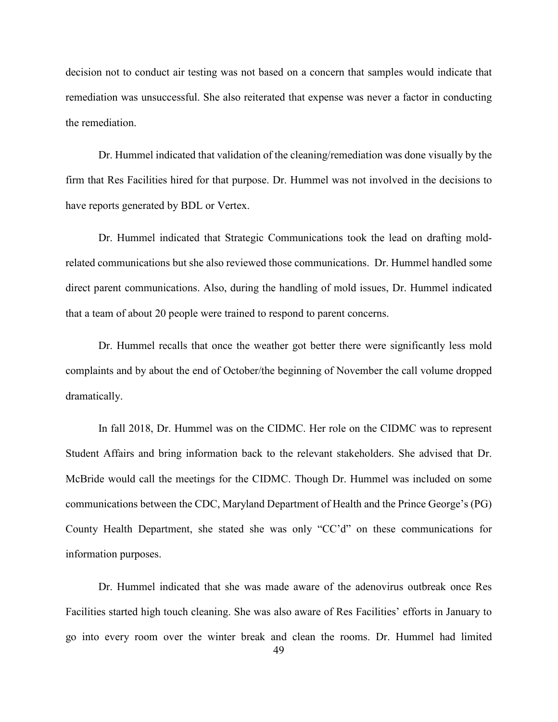decision not to conduct air testing was not based on a concern that samples would indicate that remediation was unsuccessful. She also reiterated that expense was never a factor in conducting the remediation.

Dr. Hummel indicated that validation of the cleaning/remediation was done visually by the firm that Res Facilities hired for that purpose. Dr. Hummel was not involved in the decisions to have reports generated by BDL or Vertex.

Dr. Hummel indicated that Strategic Communications took the lead on drafting moldrelated communications but she also reviewed those communications. Dr. Hummel handled some direct parent communications. Also, during the handling of mold issues, Dr. Hummel indicated that a team of about 20 people were trained to respond to parent concerns.

Dr. Hummel recalls that once the weather got better there were significantly less mold complaints and by about the end of October/the beginning of November the call volume dropped dramatically.

In fall 2018, Dr. Hummel was on the CIDMC. Her role on the CIDMC was to represent Student Affairs and bring information back to the relevant stakeholders. She advised that Dr. McBride would call the meetings for the CIDMC. Though Dr. Hummel was included on some communications between the CDC, Maryland Department of Health and the Prince George's (PG) County Health Department, she stated she was only "CC'd" on these communications for information purposes.

Dr. Hummel indicated that she was made aware of the adenovirus outbreak once Res Facilities started high touch cleaning. She was also aware of Res Facilities' efforts in January to go into every room over the winter break and clean the rooms. Dr. Hummel had limited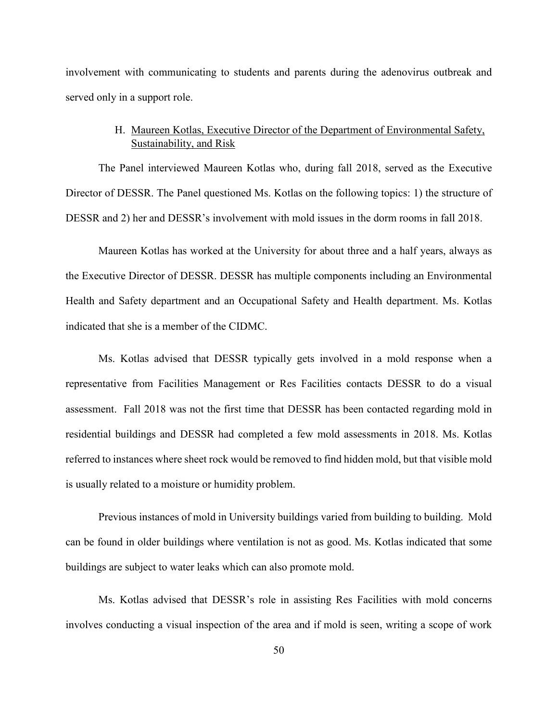involvement with communicating to students and parents during the adenovirus outbreak and served only in a support role.

# H. Maureen Kotlas, Executive Director of the Department of Environmental Safety, Sustainability, and Risk

The Panel interviewed Maureen Kotlas who, during fall 2018, served as the Executive Director of DESSR. The Panel questioned Ms. Kotlas on the following topics: 1) the structure of DESSR and 2) her and DESSR's involvement with mold issues in the dorm rooms in fall 2018.

Maureen Kotlas has worked at the University for about three and a half years, always as the Executive Director of DESSR. DESSR has multiple components including an Environmental Health and Safety department and an Occupational Safety and Health department. Ms. Kotlas indicated that she is a member of the CIDMC.

Ms. Kotlas advised that DESSR typically gets involved in a mold response when a representative from Facilities Management or Res Facilities contacts DESSR to do a visual assessment. Fall 2018 was not the first time that DESSR has been contacted regarding mold in residential buildings and DESSR had completed a few mold assessments in 2018. Ms. Kotlas referred to instances where sheet rock would be removed to find hidden mold, but that visible mold is usually related to a moisture or humidity problem.

Previous instances of mold in University buildings varied from building to building. Mold can be found in older buildings where ventilation is not as good. Ms. Kotlas indicated that some buildings are subject to water leaks which can also promote mold.

Ms. Kotlas advised that DESSR's role in assisting Res Facilities with mold concerns involves conducting a visual inspection of the area and if mold is seen, writing a scope of work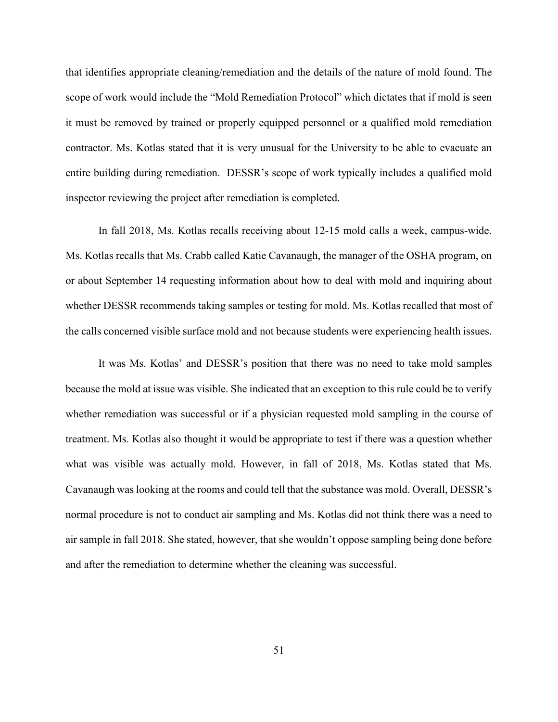that identifies appropriate cleaning/remediation and the details of the nature of mold found. The scope of work would include the "Mold Remediation Protocol" which dictates that if mold is seen it must be removed by trained or properly equipped personnel or a qualified mold remediation contractor. Ms. Kotlas stated that it is very unusual for the University to be able to evacuate an entire building during remediation. DESSR's scope of work typically includes a qualified mold inspector reviewing the project after remediation is completed.

In fall 2018, Ms. Kotlas recalls receiving about 12-15 mold calls a week, campus-wide. Ms. Kotlas recalls that Ms. Crabb called Katie Cavanaugh, the manager of the OSHA program, on or about September 14 requesting information about how to deal with mold and inquiring about whether DESSR recommends taking samples or testing for mold. Ms. Kotlas recalled that most of the calls concerned visible surface mold and not because students were experiencing health issues.

It was Ms. Kotlas' and DESSR's position that there was no need to take mold samples because the mold at issue was visible. She indicated that an exception to this rule could be to verify whether remediation was successful or if a physician requested mold sampling in the course of treatment. Ms. Kotlas also thought it would be appropriate to test if there was a question whether what was visible was actually mold. However, in fall of 2018, Ms. Kotlas stated that Ms. Cavanaugh was looking at the rooms and could tell that the substance was mold. Overall, DESSR's normal procedure is not to conduct air sampling and Ms. Kotlas did not think there was a need to air sample in fall 2018. She stated, however, that she wouldn't oppose sampling being done before and after the remediation to determine whether the cleaning was successful.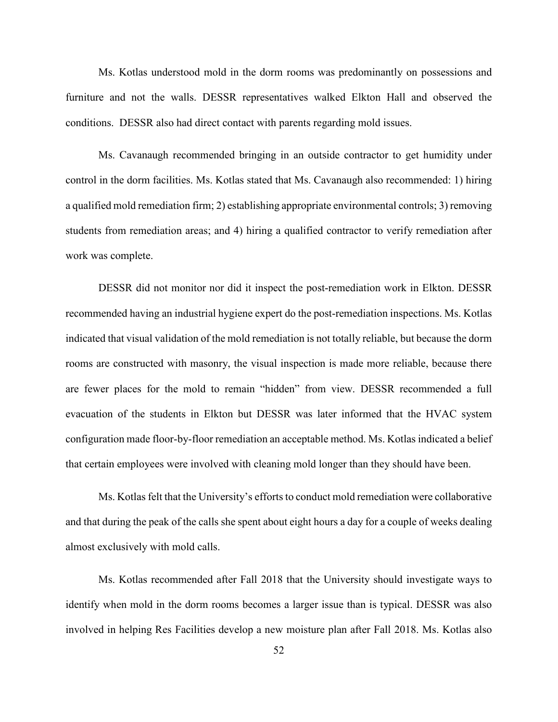Ms. Kotlas understood mold in the dorm rooms was predominantly on possessions and furniture and not the walls. DESSR representatives walked Elkton Hall and observed the conditions. DESSR also had direct contact with parents regarding mold issues.

Ms. Cavanaugh recommended bringing in an outside contractor to get humidity under control in the dorm facilities. Ms. Kotlas stated that Ms. Cavanaugh also recommended: 1) hiring a qualified mold remediation firm; 2) establishing appropriate environmental controls; 3) removing students from remediation areas; and 4) hiring a qualified contractor to verify remediation after work was complete.

DESSR did not monitor nor did it inspect the post-remediation work in Elkton. DESSR recommended having an industrial hygiene expert do the post-remediation inspections. Ms. Kotlas indicated that visual validation of the mold remediation is not totally reliable, but because the dorm rooms are constructed with masonry, the visual inspection is made more reliable, because there are fewer places for the mold to remain "hidden" from view. DESSR recommended a full evacuation of the students in Elkton but DESSR was later informed that the HVAC system configuration made floor-by-floor remediation an acceptable method. Ms. Kotlas indicated a belief that certain employees were involved with cleaning mold longer than they should have been.

Ms. Kotlas felt that the University's efforts to conduct mold remediation were collaborative and that during the peak of the calls she spent about eight hours a day for a couple of weeks dealing almost exclusively with mold calls.

Ms. Kotlas recommended after Fall 2018 that the University should investigate ways to identify when mold in the dorm rooms becomes a larger issue than is typical. DESSR was also involved in helping Res Facilities develop a new moisture plan after Fall 2018. Ms. Kotlas also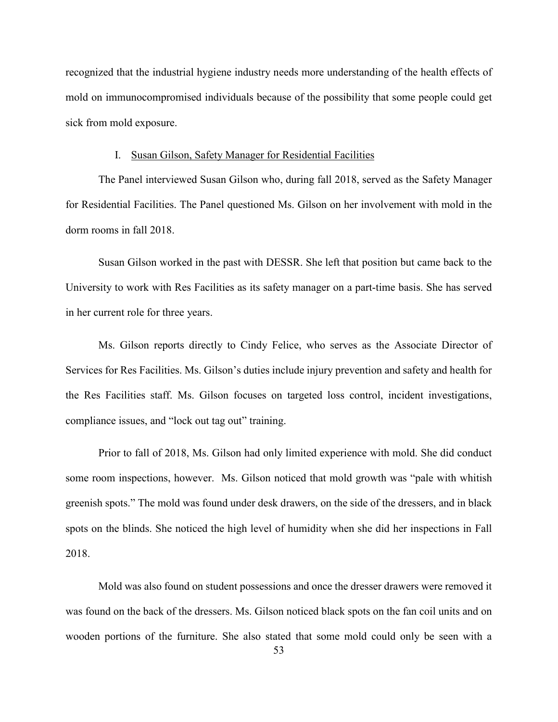recognized that the industrial hygiene industry needs more understanding of the health effects of mold on immunocompromised individuals because of the possibility that some people could get sick from mold exposure.

## I. Susan Gilson, Safety Manager for Residential Facilities

The Panel interviewed Susan Gilson who, during fall 2018, served as the Safety Manager for Residential Facilities. The Panel questioned Ms. Gilson on her involvement with mold in the dorm rooms in fall 2018.

Susan Gilson worked in the past with DESSR. She left that position but came back to the University to work with Res Facilities as its safety manager on a part-time basis. She has served in her current role for three years.

Ms. Gilson reports directly to Cindy Felice, who serves as the Associate Director of Services for Res Facilities. Ms. Gilson's duties include injury prevention and safety and health for the Res Facilities staff. Ms. Gilson focuses on targeted loss control, incident investigations, compliance issues, and "lock out tag out" training.

Prior to fall of 2018, Ms. Gilson had only limited experience with mold. She did conduct some room inspections, however. Ms. Gilson noticed that mold growth was "pale with whitish greenish spots." The mold was found under desk drawers, on the side of the dressers, and in black spots on the blinds. She noticed the high level of humidity when she did her inspections in Fall 2018.

Mold was also found on student possessions and once the dresser drawers were removed it was found on the back of the dressers. Ms. Gilson noticed black spots on the fan coil units and on wooden portions of the furniture. She also stated that some mold could only be seen with a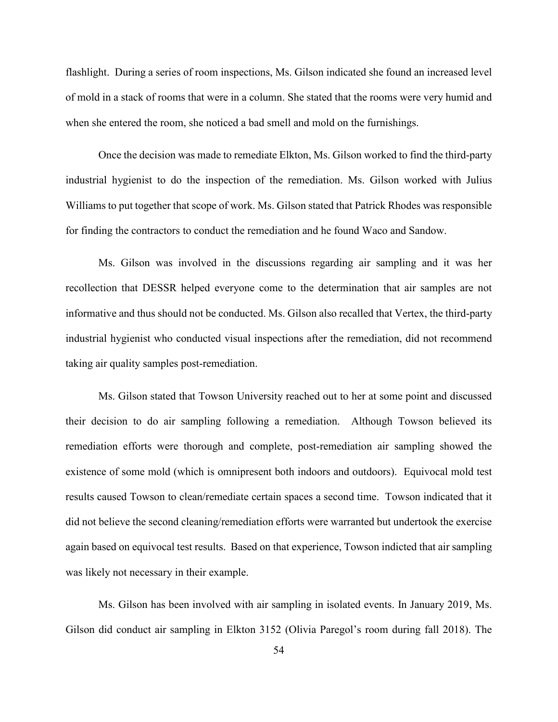flashlight. During a series of room inspections, Ms. Gilson indicated she found an increased level of mold in a stack of rooms that were in a column. She stated that the rooms were very humid and when she entered the room, she noticed a bad smell and mold on the furnishings.

Once the decision was made to remediate Elkton, Ms. Gilson worked to find the third-party industrial hygienist to do the inspection of the remediation. Ms. Gilson worked with Julius Williams to put together that scope of work. Ms. Gilson stated that Patrick Rhodes was responsible for finding the contractors to conduct the remediation and he found Waco and Sandow.

Ms. Gilson was involved in the discussions regarding air sampling and it was her recollection that DESSR helped everyone come to the determination that air samples are not informative and thus should not be conducted. Ms. Gilson also recalled that Vertex, the third-party industrial hygienist who conducted visual inspections after the remediation, did not recommend taking air quality samples post-remediation.

Ms. Gilson stated that Towson University reached out to her at some point and discussed their decision to do air sampling following a remediation. Although Towson believed its remediation efforts were thorough and complete, post-remediation air sampling showed the existence of some mold (which is omnipresent both indoors and outdoors). Equivocal mold test results caused Towson to clean/remediate certain spaces a second time. Towson indicated that it did not believe the second cleaning/remediation efforts were warranted but undertook the exercise again based on equivocal test results. Based on that experience, Towson indicted that air sampling was likely not necessary in their example.

Ms. Gilson has been involved with air sampling in isolated events. In January 2019, Ms. Gilson did conduct air sampling in Elkton 3152 (Olivia Paregol's room during fall 2018). The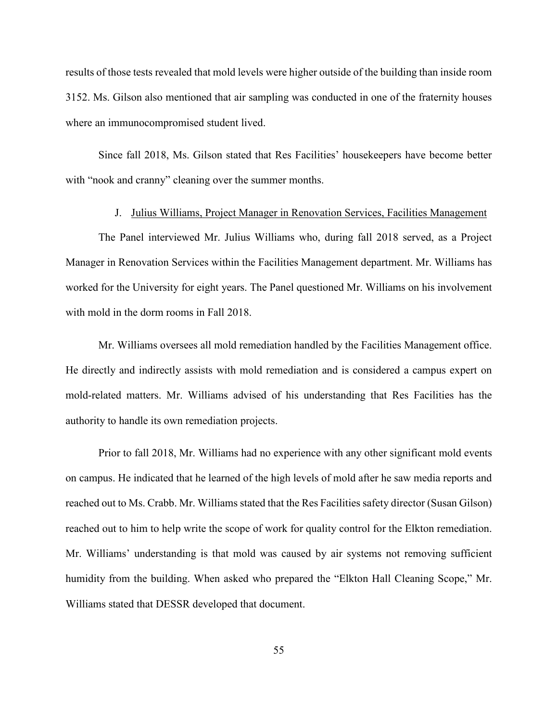results of those tests revealed that mold levels were higher outside of the building than inside room 3152. Ms. Gilson also mentioned that air sampling was conducted in one of the fraternity houses where an immunocompromised student lived.

Since fall 2018, Ms. Gilson stated that Res Facilities' housekeepers have become better with "nook and cranny" cleaning over the summer months.

#### J. Julius Williams, Project Manager in Renovation Services, Facilities Management

The Panel interviewed Mr. Julius Williams who, during fall 2018 served, as a Project Manager in Renovation Services within the Facilities Management department. Mr. Williams has worked for the University for eight years. The Panel questioned Mr. Williams on his involvement with mold in the dorm rooms in Fall 2018.

Mr. Williams oversees all mold remediation handled by the Facilities Management office. He directly and indirectly assists with mold remediation and is considered a campus expert on mold-related matters. Mr. Williams advised of his understanding that Res Facilities has the authority to handle its own remediation projects.

Prior to fall 2018, Mr. Williams had no experience with any other significant mold events on campus. He indicated that he learned of the high levels of mold after he saw media reports and reached out to Ms. Crabb. Mr. Williams stated that the Res Facilities safety director (Susan Gilson) reached out to him to help write the scope of work for quality control for the Elkton remediation. Mr. Williams' understanding is that mold was caused by air systems not removing sufficient humidity from the building. When asked who prepared the "Elkton Hall Cleaning Scope," Mr. Williams stated that DESSR developed that document.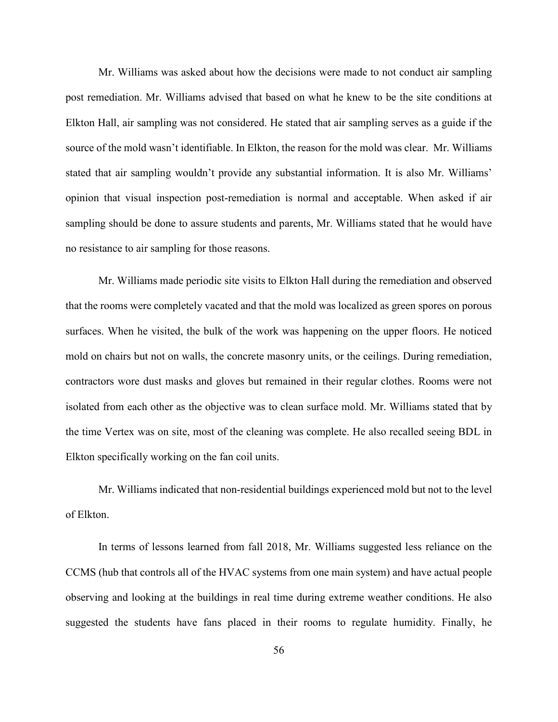Mr. Williams was asked about how the decisions were made to not conduct air sampling post remediation. Mr. Williams advised that based on what he knew to be the site conditions at Elkton Hall, air sampling was not considered. He stated that air sampling serves as a guide if the source of the mold wasn't identifiable. In Elkton, the reason for the mold was clear. Mr. Williams stated that air sampling wouldn't provide any substantial information. It is also Mr. Williams' opinion that visual inspection post-remediation is normal and acceptable. When asked if air sampling should be done to assure students and parents, Mr. Williams stated that he would have no resistance to air sampling for those reasons.

Mr. Williams made periodic site visits to Elkton Hall during the remediation and observed that the rooms were completely vacated and that the mold was localized as green spores on porous surfaces. When he visited, the bulk of the work was happening on the upper floors. He noticed mold on chairs but not on walls, the concrete masonry units, or the ceilings. During remediation, contractors wore dust masks and gloves but remained in their regular clothes. Rooms were not isolated from each other as the objective was to clean surface mold. Mr. Williams stated that by the time Vertex was on site, most of the cleaning was complete. He also recalled seeing BDL in Elkton specifically working on the fan coil units.

Mr. Williams indicated that non-residential buildings experienced mold but not to the level of Elkton.

In terms of lessons learned from fall 2018, Mr. Williams suggested less reliance on the CCMS (hub that controls all of the HVAC systems from one main system) and have actual people observing and looking at the buildings in real time during extreme weather conditions. He also suggested the students have fans placed in their rooms to regulate humidity. Finally, he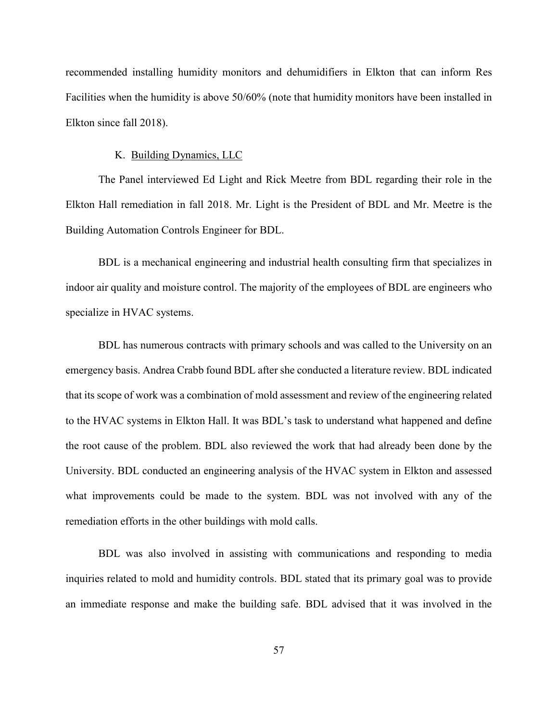recommended installing humidity monitors and dehumidifiers in Elkton that can inform Res Facilities when the humidity is above 50/60% (note that humidity monitors have been installed in Elkton since fall 2018).

## K. Building Dynamics, LLC

The Panel interviewed Ed Light and Rick Meetre from BDL regarding their role in the Elkton Hall remediation in fall 2018. Mr. Light is the President of BDL and Mr. Meetre is the Building Automation Controls Engineer for BDL.

BDL is a mechanical engineering and industrial health consulting firm that specializes in indoor air quality and moisture control. The majority of the employees of BDL are engineers who specialize in HVAC systems.

BDL has numerous contracts with primary schools and was called to the University on an emergency basis. Andrea Crabb found BDL after she conducted a literature review. BDL indicated that its scope of work was a combination of mold assessment and review of the engineering related to the HVAC systems in Elkton Hall. It was BDL's task to understand what happened and define the root cause of the problem. BDL also reviewed the work that had already been done by the University. BDL conducted an engineering analysis of the HVAC system in Elkton and assessed what improvements could be made to the system. BDL was not involved with any of the remediation efforts in the other buildings with mold calls.

BDL was also involved in assisting with communications and responding to media inquiries related to mold and humidity controls. BDL stated that its primary goal was to provide an immediate response and make the building safe. BDL advised that it was involved in the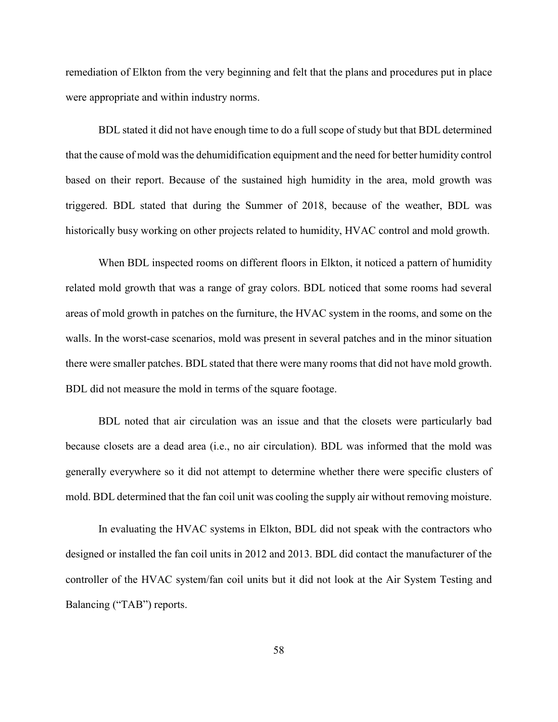remediation of Elkton from the very beginning and felt that the plans and procedures put in place were appropriate and within industry norms.

BDL stated it did not have enough time to do a full scope of study but that BDL determined that the cause of mold was the dehumidification equipment and the need for better humidity control based on their report. Because of the sustained high humidity in the area, mold growth was triggered. BDL stated that during the Summer of 2018, because of the weather, BDL was historically busy working on other projects related to humidity, HVAC control and mold growth.

When BDL inspected rooms on different floors in Elkton, it noticed a pattern of humidity related mold growth that was a range of gray colors. BDL noticed that some rooms had several areas of mold growth in patches on the furniture, the HVAC system in the rooms, and some on the walls. In the worst-case scenarios, mold was present in several patches and in the minor situation there were smaller patches. BDL stated that there were many rooms that did not have mold growth. BDL did not measure the mold in terms of the square footage.

BDL noted that air circulation was an issue and that the closets were particularly bad because closets are a dead area (i.e., no air circulation). BDL was informed that the mold was generally everywhere so it did not attempt to determine whether there were specific clusters of mold. BDL determined that the fan coil unit was cooling the supply air without removing moisture.

In evaluating the HVAC systems in Elkton, BDL did not speak with the contractors who designed or installed the fan coil units in 2012 and 2013. BDL did contact the manufacturer of the controller of the HVAC system/fan coil units but it did not look at the Air System Testing and Balancing ("TAB") reports.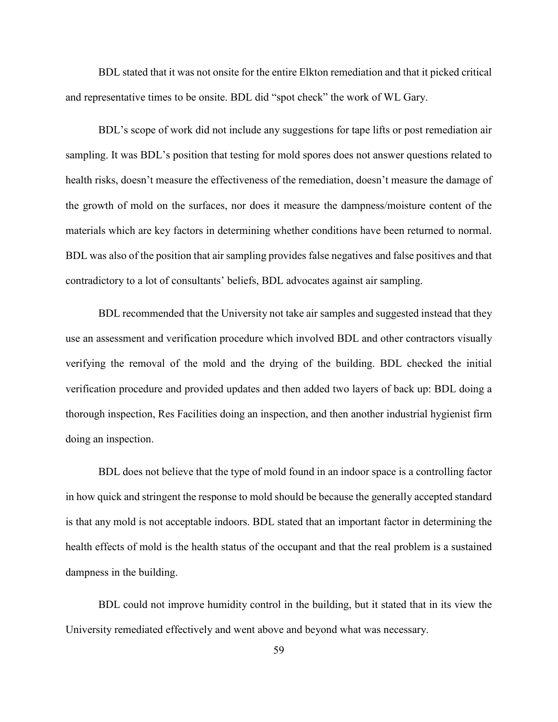BDL stated that it was not onsite for the entire Elkton remediation and that it picked critical and representative times to be onsite. BDL did "spot check" the work of WL Gary.

BDL's scope of work did not include any suggestions for tape lifts or post remediation air sampling. It was BDL's position that testing for mold spores does not answer questions related to health risks, doesn't measure the effectiveness of the remediation, doesn't measure the damage of the growth of mold on the surfaces, nor does it measure the dampness/moisture content of the materials which are key factors in determining whether conditions have been returned to normal. BDL was also of the position that air sampling provides false negatives and false positives and that contradictory to a lot of consultants' beliefs, BDL advocates against air sampling.

BDL recommended that the University not take air samples and suggested instead that they use an assessment and verification procedure which involved BDL and other contractors visually verifying the removal of the mold and the drying of the building. BDL checked the initial verification procedure and provided updates and then added two layers of back up: BDL doing a thorough inspection, Res Facilities doing an inspection, and then another industrial hygienist firm doing an inspection.

BDL does not believe that the type of mold found in an indoor space is a controlling factor in how quick and stringent the response to mold should be because the generally accepted standard is that any mold is not acceptable indoors. BDL stated that an important factor in determining the health effects of mold is the health status of the occupant and that the real problem is a sustained dampness in the building.

BDL could not improve humidity control in the building, but it stated that in its view the University remediated effectively and went above and beyond what was necessary.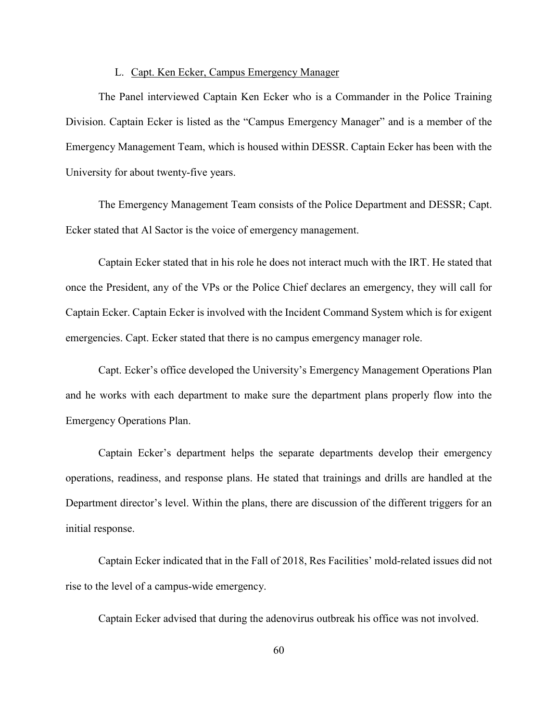## L. Capt. Ken Ecker, Campus Emergency Manager

The Panel interviewed Captain Ken Ecker who is a Commander in the Police Training Division. Captain Ecker is listed as the "Campus Emergency Manager" and is a member of the Emergency Management Team, which is housed within DESSR. Captain Ecker has been with the University for about twenty-five years.

The Emergency Management Team consists of the Police Department and DESSR; Capt. Ecker stated that Al Sactor is the voice of emergency management.

Captain Ecker stated that in his role he does not interact much with the IRT. He stated that once the President, any of the VPs or the Police Chief declares an emergency, they will call for Captain Ecker. Captain Ecker is involved with the Incident Command System which is for exigent emergencies. Capt. Ecker stated that there is no campus emergency manager role.

Capt. Ecker's office developed the University's Emergency Management Operations Plan and he works with each department to make sure the department plans properly flow into the Emergency Operations Plan.

Captain Ecker's department helps the separate departments develop their emergency operations, readiness, and response plans. He stated that trainings and drills are handled at the Department director's level. Within the plans, there are discussion of the different triggers for an initial response.

Captain Ecker indicated that in the Fall of 2018, Res Facilities' mold-related issues did not rise to the level of a campus-wide emergency.

Captain Ecker advised that during the adenovirus outbreak his office was not involved.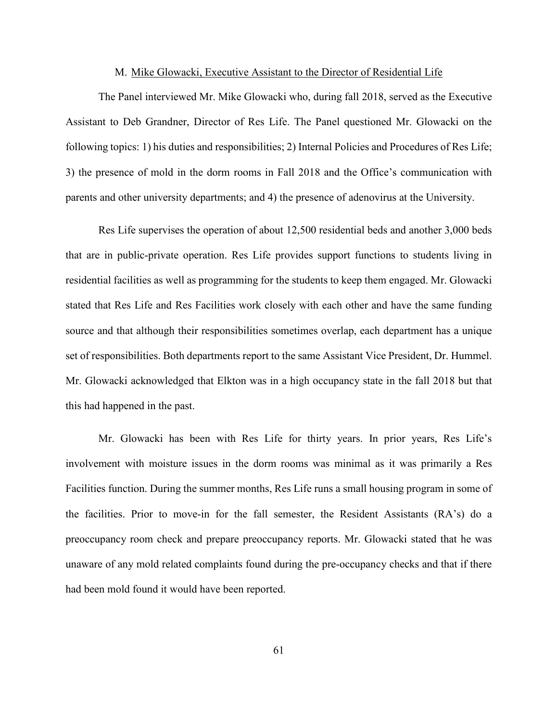### M. Mike Glowacki, Executive Assistant to the Director of Residential Life

The Panel interviewed Mr. Mike Glowacki who, during fall 2018, served as the Executive Assistant to Deb Grandner, Director of Res Life. The Panel questioned Mr. Glowacki on the following topics: 1) his duties and responsibilities; 2) Internal Policies and Procedures of Res Life; 3) the presence of mold in the dorm rooms in Fall 2018 and the Office's communication with parents and other university departments; and 4) the presence of adenovirus at the University.

Res Life supervises the operation of about 12,500 residential beds and another 3,000 beds that are in public-private operation. Res Life provides support functions to students living in residential facilities as well as programming for the students to keep them engaged. Mr. Glowacki stated that Res Life and Res Facilities work closely with each other and have the same funding source and that although their responsibilities sometimes overlap, each department has a unique set of responsibilities. Both departments report to the same Assistant Vice President, Dr. Hummel. Mr. Glowacki acknowledged that Elkton was in a high occupancy state in the fall 2018 but that this had happened in the past.

Mr. Glowacki has been with Res Life for thirty years. In prior years, Res Life's involvement with moisture issues in the dorm rooms was minimal as it was primarily a Res Facilities function. During the summer months, Res Life runs a small housing program in some of the facilities. Prior to move-in for the fall semester, the Resident Assistants (RA's) do a preoccupancy room check and prepare preoccupancy reports. Mr. Glowacki stated that he was unaware of any mold related complaints found during the pre-occupancy checks and that if there had been mold found it would have been reported.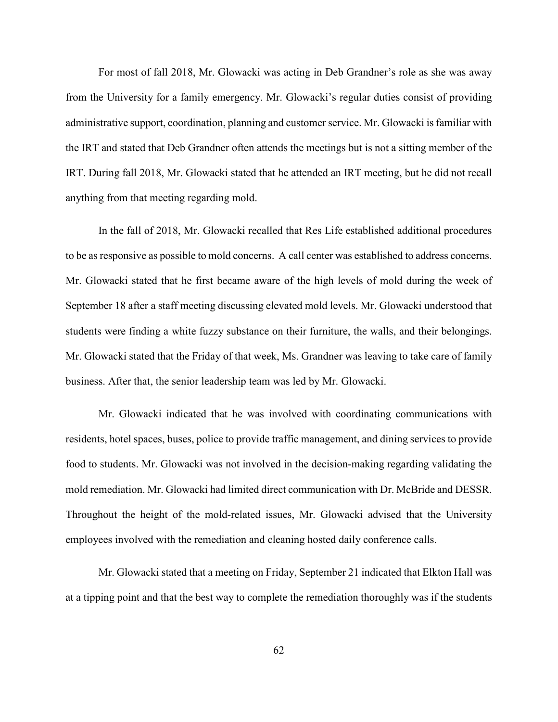For most of fall 2018, Mr. Glowacki was acting in Deb Grandner's role as she was away from the University for a family emergency. Mr. Glowacki's regular duties consist of providing administrative support, coordination, planning and customer service. Mr. Glowacki is familiar with the IRT and stated that Deb Grandner often attends the meetings but is not a sitting member of the IRT. During fall 2018, Mr. Glowacki stated that he attended an IRT meeting, but he did not recall anything from that meeting regarding mold.

In the fall of 2018, Mr. Glowacki recalled that Res Life established additional procedures to be as responsive as possible to mold concerns. A call center was established to address concerns. Mr. Glowacki stated that he first became aware of the high levels of mold during the week of September 18 after a staff meeting discussing elevated mold levels. Mr. Glowacki understood that students were finding a white fuzzy substance on their furniture, the walls, and their belongings. Mr. Glowacki stated that the Friday of that week, Ms. Grandner was leaving to take care of family business. After that, the senior leadership team was led by Mr. Glowacki.

Mr. Glowacki indicated that he was involved with coordinating communications with residents, hotel spaces, buses, police to provide traffic management, and dining services to provide food to students. Mr. Glowacki was not involved in the decision-making regarding validating the mold remediation. Mr. Glowacki had limited direct communication with Dr. McBride and DESSR. Throughout the height of the mold-related issues, Mr. Glowacki advised that the University employees involved with the remediation and cleaning hosted daily conference calls.

Mr. Glowacki stated that a meeting on Friday, September 21 indicated that Elkton Hall was at a tipping point and that the best way to complete the remediation thoroughly was if the students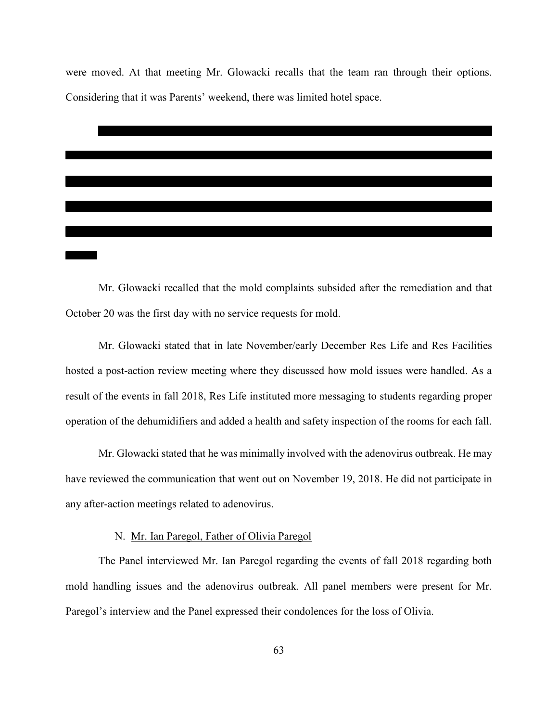were moved. At that meeting Mr. Glowacki recalls that the team ran through their options. Considering that it was Parents' weekend, there was limited hotel space.



Mr. Glowacki recalled that the mold complaints subsided after the remediation and that October 20 was the first day with no service requests for mold.

Mr. Glowacki stated that in late November/early December Res Life and Res Facilities hosted a post-action review meeting where they discussed how mold issues were handled. As a result of the events in fall 2018, Res Life instituted more messaging to students regarding proper operation of the dehumidifiers and added a health and safety inspection of the rooms for each fall.

Mr. Glowacki stated that he was minimally involved with the adenovirus outbreak. He may have reviewed the communication that went out on November 19, 2018. He did not participate in any after-action meetings related to adenovirus.

# N. Mr. Ian Paregol, Father of Olivia Paregol

The Panel interviewed Mr. Ian Paregol regarding the events of fall 2018 regarding both mold handling issues and the adenovirus outbreak. All panel members were present for Mr. Paregol's interview and the Panel expressed their condolences for the loss of Olivia.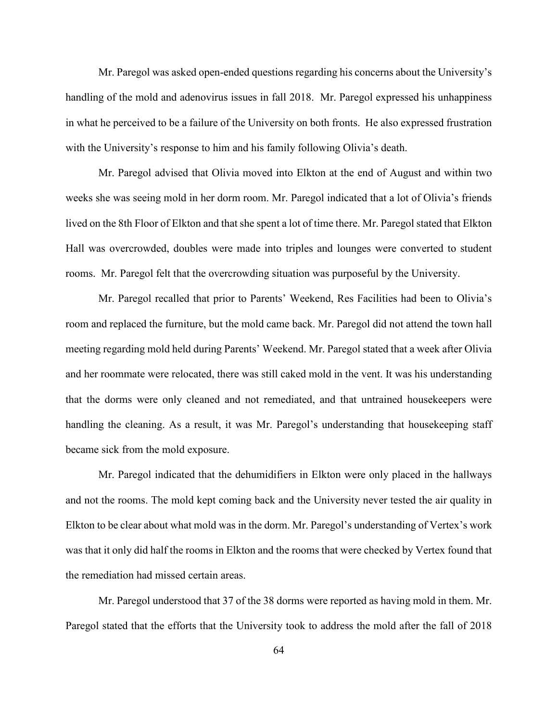Mr. Paregol was asked open-ended questions regarding his concerns about the University's handling of the mold and adenovirus issues in fall 2018. Mr. Paregol expressed his unhappiness in what he perceived to be a failure of the University on both fronts. He also expressed frustration with the University's response to him and his family following Olivia's death.

Mr. Paregol advised that Olivia moved into Elkton at the end of August and within two weeks she was seeing mold in her dorm room. Mr. Paregol indicated that a lot of Olivia's friends lived on the 8th Floor of Elkton and that she spent a lot of time there. Mr. Paregol stated that Elkton Hall was overcrowded, doubles were made into triples and lounges were converted to student rooms. Mr. Paregol felt that the overcrowding situation was purposeful by the University.

Mr. Paregol recalled that prior to Parents' Weekend, Res Facilities had been to Olivia's room and replaced the furniture, but the mold came back. Mr. Paregol did not attend the town hall meeting regarding mold held during Parents' Weekend. Mr. Paregol stated that a week after Olivia and her roommate were relocated, there was still caked mold in the vent. It was his understanding that the dorms were only cleaned and not remediated, and that untrained housekeepers were handling the cleaning. As a result, it was Mr. Paregol's understanding that housekeeping staff became sick from the mold exposure.

Mr. Paregol indicated that the dehumidifiers in Elkton were only placed in the hallways and not the rooms. The mold kept coming back and the University never tested the air quality in Elkton to be clear about what mold was in the dorm. Mr. Paregol's understanding of Vertex's work was that it only did half the rooms in Elkton and the rooms that were checked by Vertex found that the remediation had missed certain areas.

Mr. Paregol understood that 37 of the 38 dorms were reported as having mold in them. Mr. Paregol stated that the efforts that the University took to address the mold after the fall of 2018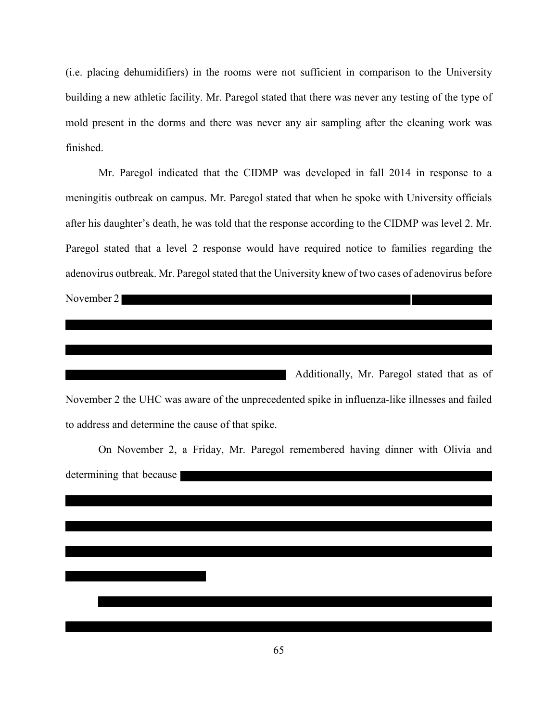(i.e. placing dehumidifiers) in the rooms were not sufficient in comparison to the University building a new athletic facility. Mr. Paregol stated that there was never any testing of the type of mold present in the dorms and there was never any air sampling after the cleaning work was finished.

Mr. Paregol indicated that the CIDMP was developed in fall 2014 in response to a meningitis outbreak on campus. Mr. Paregol stated that when he spoke with University officials after his daughter's death, he was told that the response according to the CIDMP was level 2. Mr. Paregol stated that a level 2 response would have required notice to families regarding the adenovirus outbreak. Mr. Paregol stated that the University knew of two cases of adenovirus before November 2 

Additionally, Mr. Paregol stated that as of November 2 the UHC was aware of the unprecedented spike in influenza-like illnesses and failed to address and determine the cause of that spike.

On November 2, a Friday, Mr. Paregol remembered having dinner with Olivia and determining that because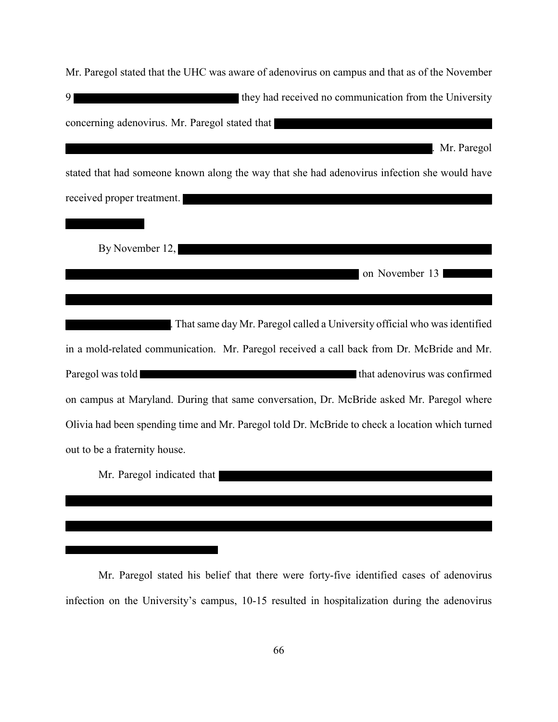| Mr. Paregol stated that the UHC was aware of adenovirus on campus and that as of the November   |
|-------------------------------------------------------------------------------------------------|
| they had received no communication from the University<br>9 <sup>1</sup>                        |
| concerning adenovirus. Mr. Paregol stated that                                                  |
| Mr. Paregol                                                                                     |
| stated that had someone known along the way that she had adenovirus infection she would have    |
| received proper treatment.                                                                      |
|                                                                                                 |
| By November 12,                                                                                 |
| on November 13                                                                                  |
|                                                                                                 |
| . That same day Mr. Paregol called a University official who was identified                     |
| in a mold-related communication. Mr. Paregol received a call back from Dr. McBride and Mr.      |
| Paregol was told a large to the three terms of that adenovirus was confirmed                    |
| on campus at Maryland. During that same conversation, Dr. McBride asked Mr. Paregol where       |
| Olivia had been spending time and Mr. Paregol told Dr. McBride to check a location which turned |
| out to be a fraternity house.                                                                   |
| Mr. Paregol indicated that                                                                      |
|                                                                                                 |

Mr. Paregol stated his belief that there were forty-five identified cases of adenovirus infection on the University's campus, 10-15 resulted in hospitalization during the adenovirus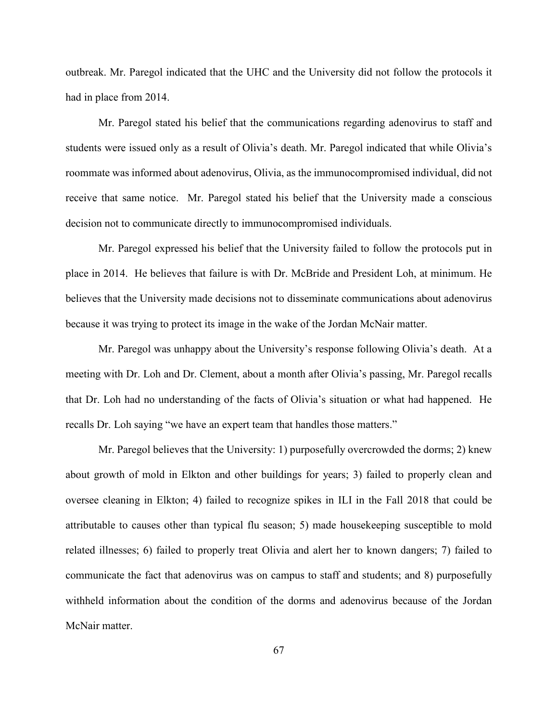outbreak. Mr. Paregol indicated that the UHC and the University did not follow the protocols it had in place from 2014.

Mr. Paregol stated his belief that the communications regarding adenovirus to staff and students were issued only as a result of Olivia's death. Mr. Paregol indicated that while Olivia's roommate was informed about adenovirus, Olivia, as the immunocompromised individual, did not receive that same notice. Mr. Paregol stated his belief that the University made a conscious decision not to communicate directly to immunocompromised individuals.

Mr. Paregol expressed his belief that the University failed to follow the protocols put in place in 2014. He believes that failure is with Dr. McBride and President Loh, at minimum. He believes that the University made decisions not to disseminate communications about adenovirus because it was trying to protect its image in the wake of the Jordan McNair matter.

Mr. Paregol was unhappy about the University's response following Olivia's death. At a meeting with Dr. Loh and Dr. Clement, about a month after Olivia's passing, Mr. Paregol recalls that Dr. Loh had no understanding of the facts of Olivia's situation or what had happened. He recalls Dr. Loh saying "we have an expert team that handles those matters."

Mr. Paregol believes that the University: 1) purposefully overcrowded the dorms; 2) knew about growth of mold in Elkton and other buildings for years; 3) failed to properly clean and oversee cleaning in Elkton; 4) failed to recognize spikes in ILI in the Fall 2018 that could be attributable to causes other than typical flu season; 5) made housekeeping susceptible to mold related illnesses; 6) failed to properly treat Olivia and alert her to known dangers; 7) failed to communicate the fact that adenovirus was on campus to staff and students; and 8) purposefully withheld information about the condition of the dorms and adenovirus because of the Jordan McNair matter.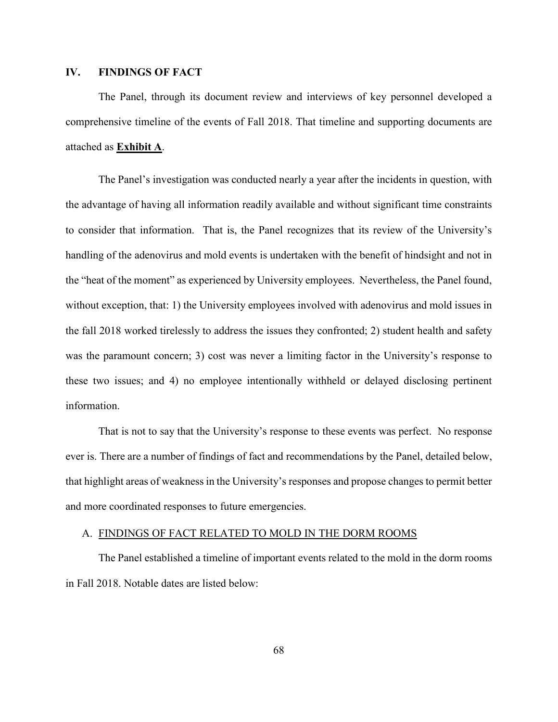# **IV. FINDINGS OF FACT**

The Panel, through its document review and interviews of key personnel developed a comprehensive timeline of the events of Fall 2018. That timeline and supporting documents are attached as **Exhibit A**.

The Panel's investigation was conducted nearly a year after the incidents in question, with the advantage of having all information readily available and without significant time constraints to consider that information. That is, the Panel recognizes that its review of the University's handling of the adenovirus and mold events is undertaken with the benefit of hindsight and not in the "heat of the moment" as experienced by University employees. Nevertheless, the Panel found, without exception, that: 1) the University employees involved with adenovirus and mold issues in the fall 2018 worked tirelessly to address the issues they confronted; 2) student health and safety was the paramount concern; 3) cost was never a limiting factor in the University's response to these two issues; and 4) no employee intentionally withheld or delayed disclosing pertinent information.

That is not to say that the University's response to these events was perfect. No response ever is. There are a number of findings of fact and recommendations by the Panel, detailed below, that highlight areas of weakness in the University's responses and propose changes to permit better and more coordinated responses to future emergencies.

# A. FINDINGS OF FACT RELATED TO MOLD IN THE DORM ROOMS

The Panel established a timeline of important events related to the mold in the dorm rooms in Fall 2018. Notable dates are listed below: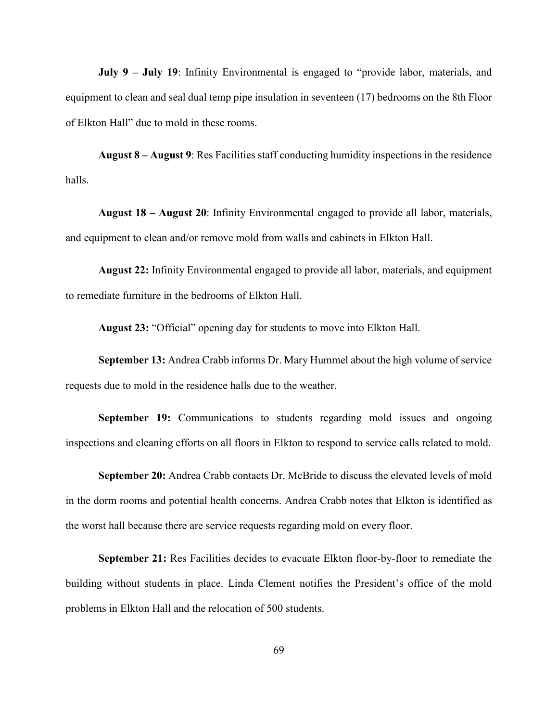**July 9 – July 19**: Infinity Environmental is engaged to "provide labor, materials, and equipment to clean and seal dual temp pipe insulation in seventeen (17) bedrooms on the 8th Floor of Elkton Hall" due to mold in these rooms.

**August 8 – August 9**: Res Facilities staff conducting humidity inspections in the residence halls.

**August 18 – August 20**: Infinity Environmental engaged to provide all labor, materials, and equipment to clean and/or remove mold from walls and cabinets in Elkton Hall.

**August 22:** Infinity Environmental engaged to provide all labor, materials, and equipment to remediate furniture in the bedrooms of Elkton Hall.

**August 23:** "Official" opening day for students to move into Elkton Hall.

**September 13:** Andrea Crabb informs Dr. Mary Hummel about the high volume of service requests due to mold in the residence halls due to the weather.

**September 19:** Communications to students regarding mold issues and ongoing inspections and cleaning efforts on all floors in Elkton to respond to service calls related to mold.

**September 20:** Andrea Crabb contacts Dr. McBride to discuss the elevated levels of mold in the dorm rooms and potential health concerns. Andrea Crabb notes that Elkton is identified as the worst hall because there are service requests regarding mold on every floor.

**September 21:** Res Facilities decides to evacuate Elkton floor-by-floor to remediate the building without students in place. Linda Clement notifies the President's office of the mold problems in Elkton Hall and the relocation of 500 students.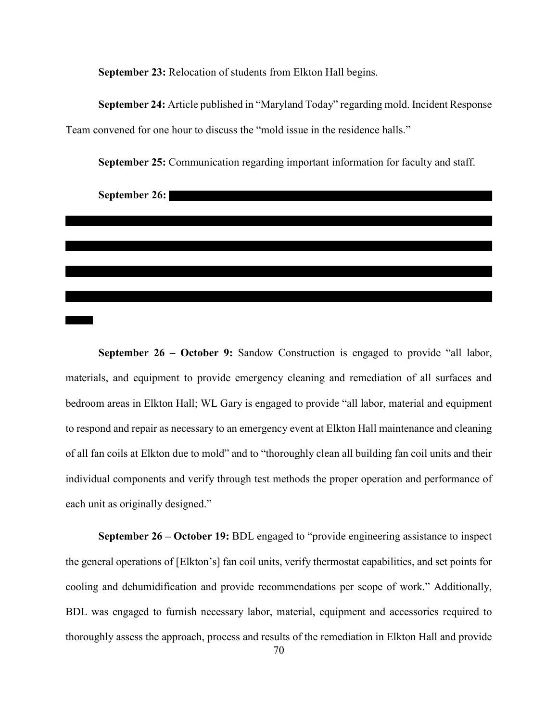**September 23:** Relocation of students from Elkton Hall begins.

**September 24:** Article published in "Maryland Today" regarding mold. Incident Response Team convened for one hour to discuss the "mold issue in the residence halls."



**September 25:** Communication regarding important information for faculty and staff.

**September 26 – October 9:** Sandow Construction is engaged to provide "all labor, materials, and equipment to provide emergency cleaning and remediation of all surfaces and bedroom areas in Elkton Hall; WL Gary is engaged to provide "all labor, material and equipment to respond and repair as necessary to an emergency event at Elkton Hall maintenance and cleaning of all fan coils at Elkton due to mold" and to "thoroughly clean all building fan coil units and their individual components and verify through test methods the proper operation and performance of each unit as originally designed."

**September 26 – October 19:** BDL engaged to "provide engineering assistance to inspect the general operations of [Elkton's] fan coil units, verify thermostat capabilities, and set points for cooling and dehumidification and provide recommendations per scope of work." Additionally, BDL was engaged to furnish necessary labor, material, equipment and accessories required to thoroughly assess the approach, process and results of the remediation in Elkton Hall and provide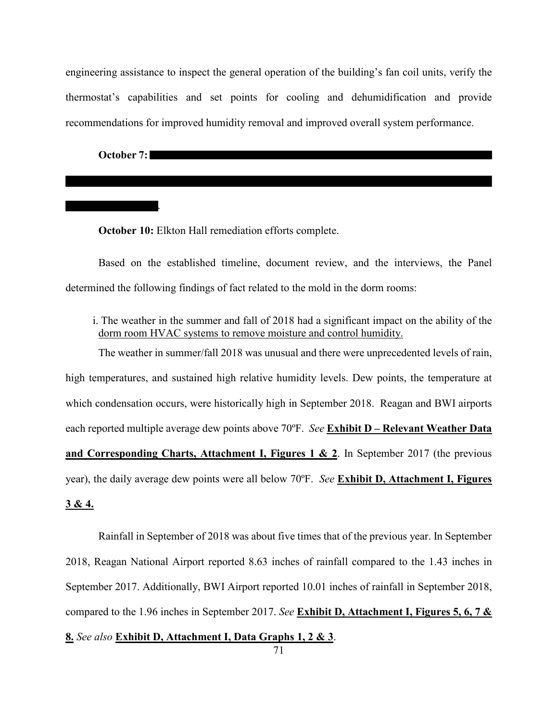engineering assistance to inspect the general operation of the building's fan coil units, verify the thermostat's capabilities and set points for cooling and dehumidification and provide recommendations for improved humidity removal and improved overall system performance.

**October 7:**

.

**October 10:** Elkton Hall remediation efforts complete.

Based on the established timeline, document review, and the interviews, the Panel determined the following findings of fact related to the mold in the dorm rooms:

i. The weather in the summer and fall of 2018 had a significant impact on the ability of the dorm room HVAC systems to remove moisture and control humidity.

The weather in summer/fall 2018 was unusual and there were unprecedented levels of rain, high temperatures, and sustained high relative humidity levels. Dew points, the temperature at which condensation occurs, were historically high in September 2018. Reagan and BWI airports each reported multiple average dew points above 70ºF. *See* **Exhibit D – Relevant Weather Data and Corresponding Charts, Attachment I, Figures 1 & 2**. In September 2017 (the previous year), the daily average dew points were all below 70ºF. *See* **Exhibit D, Attachment I, Figures 3 & 4.**

Rainfall in September of 2018 was about five times that of the previous year. In September 2018, Reagan National Airport reported 8.63 inches of rainfall compared to the 1.43 inches in September 2017. Additionally, BWI Airport reported 10.01 inches of rainfall in September 2018, compared to the 1.96 inches in September 2017. *See* **Exhibit D, Attachment I, Figures 5, 6, 7 &** 

**8.** *See also* **Exhibit D, Attachment I, Data Graphs 1, 2 & 3**.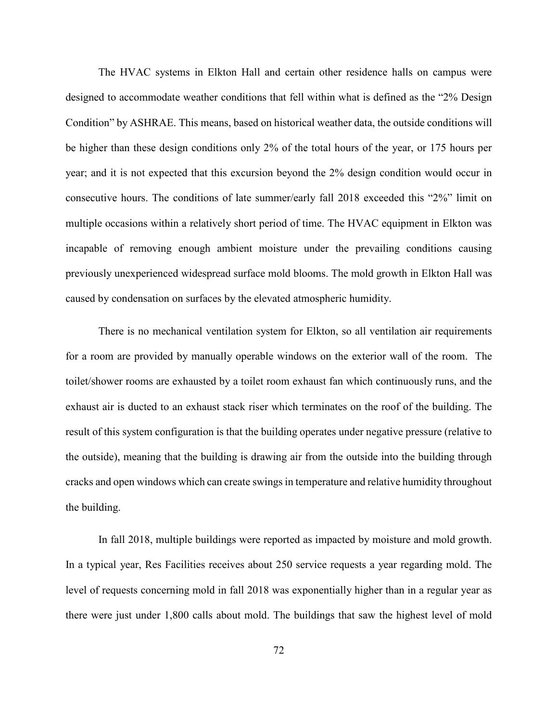The HVAC systems in Elkton Hall and certain other residence halls on campus were designed to accommodate weather conditions that fell within what is defined as the "2% Design Condition" by ASHRAE. This means, based on historical weather data, the outside conditions will be higher than these design conditions only 2% of the total hours of the year, or 175 hours per year; and it is not expected that this excursion beyond the 2% design condition would occur in consecutive hours. The conditions of late summer/early fall 2018 exceeded this "2%" limit on multiple occasions within a relatively short period of time. The HVAC equipment in Elkton was incapable of removing enough ambient moisture under the prevailing conditions causing previously unexperienced widespread surface mold blooms. The mold growth in Elkton Hall was caused by condensation on surfaces by the elevated atmospheric humidity.

There is no mechanical ventilation system for Elkton, so all ventilation air requirements for a room are provided by manually operable windows on the exterior wall of the room. The toilet/shower rooms are exhausted by a toilet room exhaust fan which continuously runs, and the exhaust air is ducted to an exhaust stack riser which terminates on the roof of the building. The result of this system configuration is that the building operates under negative pressure (relative to the outside), meaning that the building is drawing air from the outside into the building through cracks and open windows which can create swings in temperature and relative humidity throughout the building.

In fall 2018, multiple buildings were reported as impacted by moisture and mold growth. In a typical year, Res Facilities receives about 250 service requests a year regarding mold. The level of requests concerning mold in fall 2018 was exponentially higher than in a regular year as there were just under 1,800 calls about mold. The buildings that saw the highest level of mold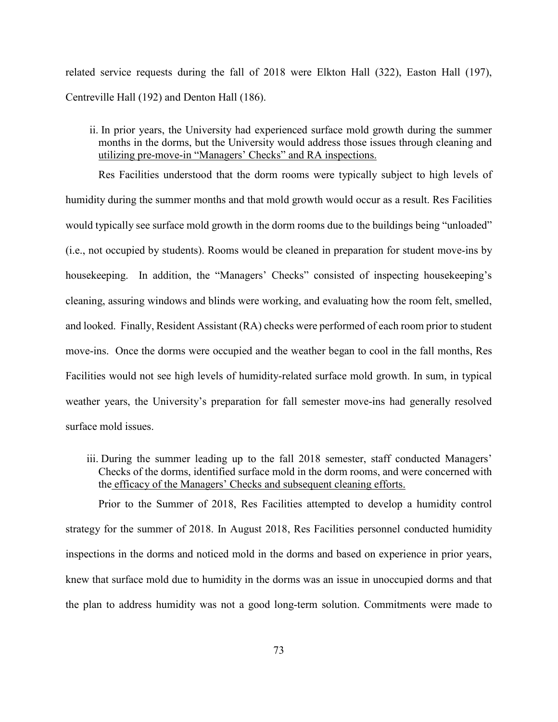related service requests during the fall of 2018 were Elkton Hall (322), Easton Hall (197), Centreville Hall (192) and Denton Hall (186).

ii. In prior years, the University had experienced surface mold growth during the summer months in the dorms, but the University would address those issues through cleaning and utilizing pre-move-in "Managers' Checks" and RA inspections.

Res Facilities understood that the dorm rooms were typically subject to high levels of humidity during the summer months and that mold growth would occur as a result. Res Facilities would typically see surface mold growth in the dorm rooms due to the buildings being "unloaded" (i.e., not occupied by students). Rooms would be cleaned in preparation for student move-ins by housekeeping. In addition, the "Managers' Checks" consisted of inspecting housekeeping's cleaning, assuring windows and blinds were working, and evaluating how the room felt, smelled, and looked. Finally, Resident Assistant (RA) checks were performed of each room prior to student move-ins. Once the dorms were occupied and the weather began to cool in the fall months, Res Facilities would not see high levels of humidity-related surface mold growth. In sum, in typical weather years, the University's preparation for fall semester move-ins had generally resolved surface mold issues.

iii. During the summer leading up to the fall 2018 semester, staff conducted Managers' Checks of the dorms, identified surface mold in the dorm rooms, and were concerned with the efficacy of the Managers' Checks and subsequent cleaning efforts.

Prior to the Summer of 2018, Res Facilities attempted to develop a humidity control strategy for the summer of 2018. In August 2018, Res Facilities personnel conducted humidity inspections in the dorms and noticed mold in the dorms and based on experience in prior years, knew that surface mold due to humidity in the dorms was an issue in unoccupied dorms and that the plan to address humidity was not a good long-term solution. Commitments were made to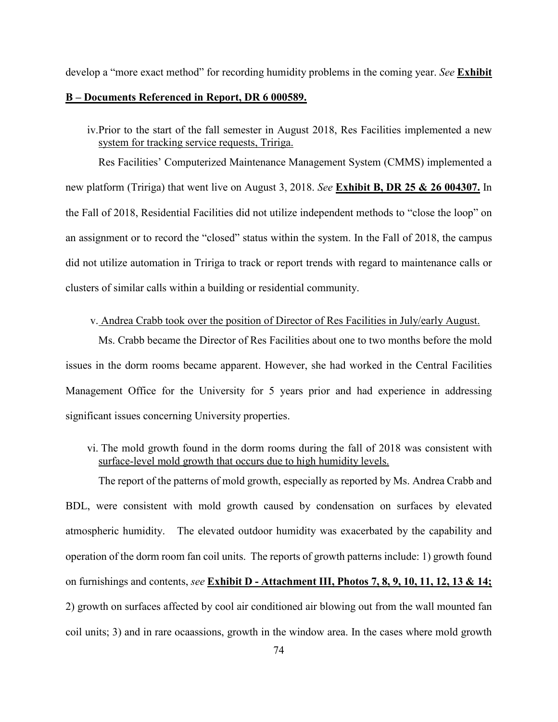develop a "more exact method" for recording humidity problems in the coming year. *See* **Exhibit** 

### **B – Documents Referenced in Report, DR 6 000589.**

iv.Prior to the start of the fall semester in August 2018, Res Facilities implemented a new system for tracking service requests, Tririga.

Res Facilities' Computerized Maintenance Management System (CMMS) implemented a new platform (Tririga) that went live on August 3, 2018. *See* **Exhibit B, DR 25 & 26 004307.** In the Fall of 2018, Residential Facilities did not utilize independent methods to "close the loop" on an assignment or to record the "closed" status within the system. In the Fall of 2018, the campus did not utilize automation in Tririga to track or report trends with regard to maintenance calls or clusters of similar calls within a building or residential community.

### v. Andrea Crabb took over the position of Director of Res Facilities in July/early August.

Ms. Crabb became the Director of Res Facilities about one to two months before the mold issues in the dorm rooms became apparent. However, she had worked in the Central Facilities Management Office for the University for 5 years prior and had experience in addressing significant issues concerning University properties.

vi. The mold growth found in the dorm rooms during the fall of 2018 was consistent with surface-level mold growth that occurs due to high humidity levels.

The report of the patterns of mold growth, especially as reported by Ms. Andrea Crabb and BDL, were consistent with mold growth caused by condensation on surfaces by elevated atmospheric humidity. The elevated outdoor humidity was exacerbated by the capability and operation of the dorm room fan coil units. The reports of growth patterns include: 1) growth found on furnishings and contents, *see* **Exhibit D - Attachment III, Photos 7, 8, 9, 10, 11, 12, 13 & 14;** 2) growth on surfaces affected by cool air conditioned air blowing out from the wall mounted fan coil units; 3) and in rare ocaassions, growth in the window area. In the cases where mold growth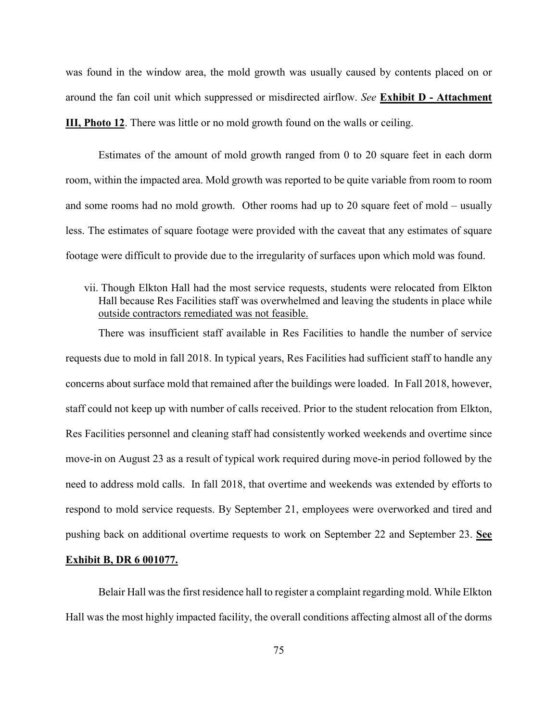was found in the window area, the mold growth was usually caused by contents placed on or around the fan coil unit which suppressed or misdirected airflow. *See* **Exhibit D - Attachment III, Photo 12**. There was little or no mold growth found on the walls or ceiling.

Estimates of the amount of mold growth ranged from 0 to 20 square feet in each dorm room, within the impacted area. Mold growth was reported to be quite variable from room to room and some rooms had no mold growth. Other rooms had up to 20 square feet of mold – usually less. The estimates of square footage were provided with the caveat that any estimates of square footage were difficult to provide due to the irregularity of surfaces upon which mold was found.

## vii. Though Elkton Hall had the most service requests, students were relocated from Elkton Hall because Res Facilities staff was overwhelmed and leaving the students in place while outside contractors remediated was not feasible.

There was insufficient staff available in Res Facilities to handle the number of service requests due to mold in fall 2018. In typical years, Res Facilities had sufficient staff to handle any concerns about surface mold that remained after the buildings were loaded. In Fall 2018, however, staff could not keep up with number of calls received. Prior to the student relocation from Elkton, Res Facilities personnel and cleaning staff had consistently worked weekends and overtime since move-in on August 23 as a result of typical work required during move-in period followed by the need to address mold calls. In fall 2018, that overtime and weekends was extended by efforts to respond to mold service requests. By September 21, employees were overworked and tired and pushing back on additional overtime requests to work on September 22 and September 23. **See** 

### **Exhibit B, DR 6 001077.**

Belair Hall was the first residence hall to register a complaint regarding mold. While Elkton Hall was the most highly impacted facility, the overall conditions affecting almost all of the dorms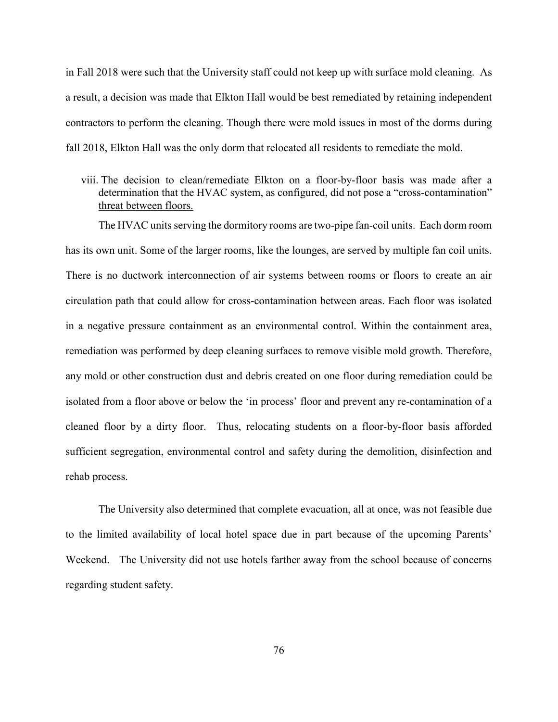in Fall 2018 were such that the University staff could not keep up with surface mold cleaning. As a result, a decision was made that Elkton Hall would be best remediated by retaining independent contractors to perform the cleaning. Though there were mold issues in most of the dorms during fall 2018, Elkton Hall was the only dorm that relocated all residents to remediate the mold.

viii. The decision to clean/remediate Elkton on a floor-by-floor basis was made after a determination that the HVAC system, as configured, did not pose a "cross-contamination" threat between floors.

The HVAC units serving the dormitory rooms are two-pipe fan-coil units. Each dorm room has its own unit. Some of the larger rooms, like the lounges, are served by multiple fan coil units. There is no ductwork interconnection of air systems between rooms or floors to create an air circulation path that could allow for cross-contamination between areas. Each floor was isolated in a negative pressure containment as an environmental control. Within the containment area, remediation was performed by deep cleaning surfaces to remove visible mold growth. Therefore, any mold or other construction dust and debris created on one floor during remediation could be isolated from a floor above or below the 'in process' floor and prevent any re-contamination of a cleaned floor by a dirty floor. Thus, relocating students on a floor-by-floor basis afforded sufficient segregation, environmental control and safety during the demolition, disinfection and rehab process.

The University also determined that complete evacuation, all at once, was not feasible due to the limited availability of local hotel space due in part because of the upcoming Parents' Weekend. The University did not use hotels farther away from the school because of concerns regarding student safety.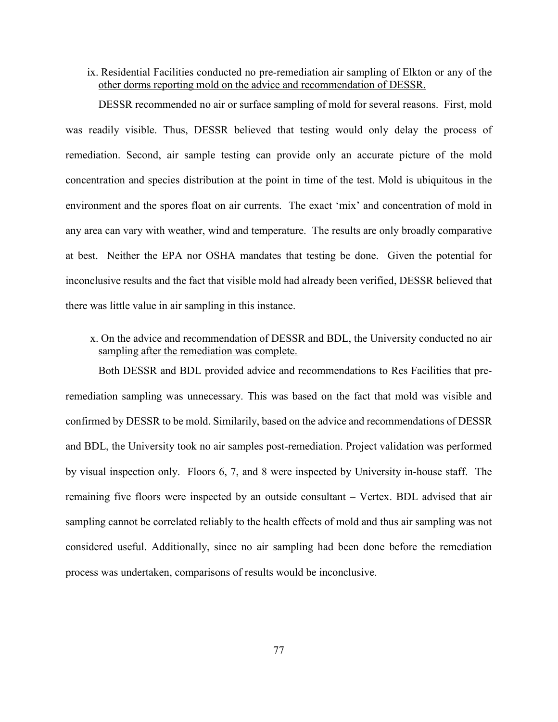ix. Residential Facilities conducted no pre-remediation air sampling of Elkton or any of the other dorms reporting mold on the advice and recommendation of DESSR.

DESSR recommended no air or surface sampling of mold for several reasons. First, mold was readily visible. Thus, DESSR believed that testing would only delay the process of remediation. Second, air sample testing can provide only an accurate picture of the mold concentration and species distribution at the point in time of the test. Mold is ubiquitous in the environment and the spores float on air currents. The exact 'mix' and concentration of mold in any area can vary with weather, wind and temperature. The results are only broadly comparative at best. Neither the EPA nor OSHA mandates that testing be done. Given the potential for inconclusive results and the fact that visible mold had already been verified, DESSR believed that there was little value in air sampling in this instance.

x. On the advice and recommendation of DESSR and BDL, the University conducted no air sampling after the remediation was complete.

Both DESSR and BDL provided advice and recommendations to Res Facilities that preremediation sampling was unnecessary. This was based on the fact that mold was visible and confirmed by DESSR to be mold. Similarily, based on the advice and recommendations of DESSR and BDL, the University took no air samples post-remediation. Project validation was performed by visual inspection only. Floors 6, 7, and 8 were inspected by University in-house staff. The remaining five floors were inspected by an outside consultant – Vertex. BDL advised that air sampling cannot be correlated reliably to the health effects of mold and thus air sampling was not considered useful. Additionally, since no air sampling had been done before the remediation process was undertaken, comparisons of results would be inconclusive.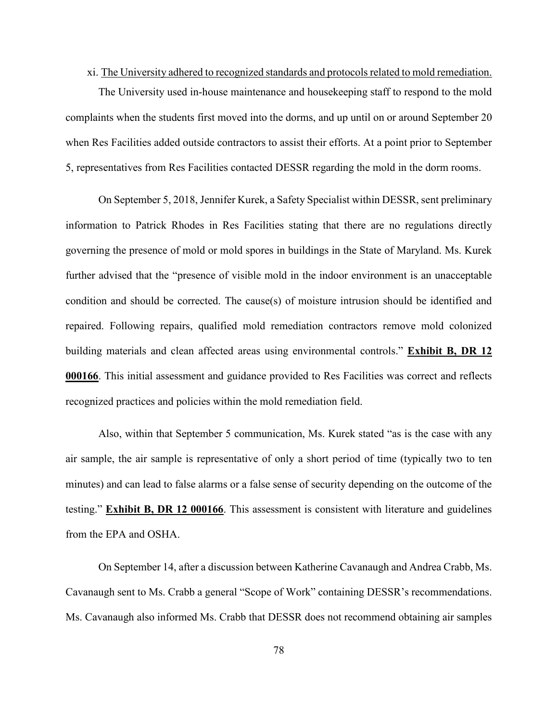#### xi. The University adhered to recognized standards and protocols related to mold remediation.

The University used in-house maintenance and housekeeping staff to respond to the mold complaints when the students first moved into the dorms, and up until on or around September 20 when Res Facilities added outside contractors to assist their efforts. At a point prior to September 5, representatives from Res Facilities contacted DESSR regarding the mold in the dorm rooms.

On September 5, 2018, Jennifer Kurek, a Safety Specialist within DESSR, sent preliminary information to Patrick Rhodes in Res Facilities stating that there are no regulations directly governing the presence of mold or mold spores in buildings in the State of Maryland. Ms. Kurek further advised that the "presence of visible mold in the indoor environment is an unacceptable condition and should be corrected. The cause(s) of moisture intrusion should be identified and repaired. Following repairs, qualified mold remediation contractors remove mold colonized building materials and clean affected areas using environmental controls." **Exhibit B, DR 12 000166**. This initial assessment and guidance provided to Res Facilities was correct and reflects recognized practices and policies within the mold remediation field.

Also, within that September 5 communication, Ms. Kurek stated "as is the case with any air sample, the air sample is representative of only a short period of time (typically two to ten minutes) and can lead to false alarms or a false sense of security depending on the outcome of the testing." **Exhibit B, DR 12 000166**. This assessment is consistent with literature and guidelines from the EPA and OSHA.

On September 14, after a discussion between Katherine Cavanaugh and Andrea Crabb, Ms. Cavanaugh sent to Ms. Crabb a general "Scope of Work" containing DESSR's recommendations. Ms. Cavanaugh also informed Ms. Crabb that DESSR does not recommend obtaining air samples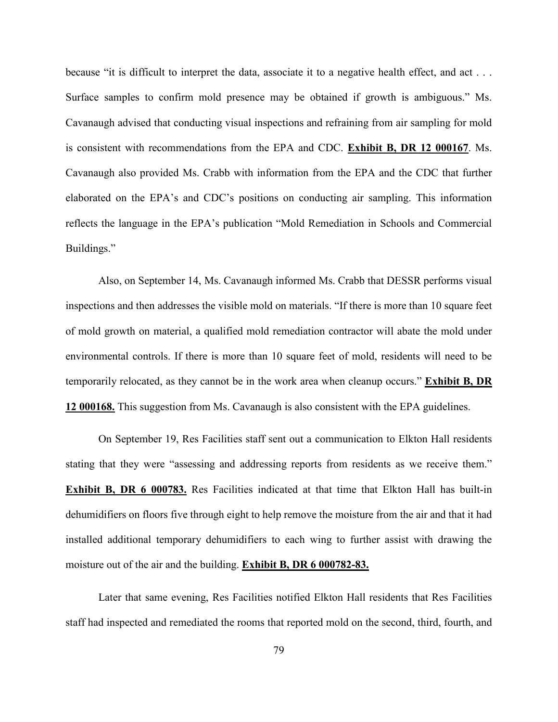because "it is difficult to interpret the data, associate it to a negative health effect, and act . . . Surface samples to confirm mold presence may be obtained if growth is ambiguous." Ms. Cavanaugh advised that conducting visual inspections and refraining from air sampling for mold is consistent with recommendations from the EPA and CDC. **Exhibit B, DR 12 000167**. Ms. Cavanaugh also provided Ms. Crabb with information from the EPA and the CDC that further elaborated on the EPA's and CDC's positions on conducting air sampling. This information reflects the language in the EPA's publication "Mold Remediation in Schools and Commercial Buildings."

Also, on September 14, Ms. Cavanaugh informed Ms. Crabb that DESSR performs visual inspections and then addresses the visible mold on materials. "If there is more than 10 square feet of mold growth on material, a qualified mold remediation contractor will abate the mold under environmental controls. If there is more than 10 square feet of mold, residents will need to be temporarily relocated, as they cannot be in the work area when cleanup occurs." **Exhibit B, DR 12 000168.** This suggestion from Ms. Cavanaugh is also consistent with the EPA guidelines.

On September 19, Res Facilities staff sent out a communication to Elkton Hall residents stating that they were "assessing and addressing reports from residents as we receive them." **Exhibit B, DR 6 000783.** Res Facilities indicated at that time that Elkton Hall has built-in dehumidifiers on floors five through eight to help remove the moisture from the air and that it had installed additional temporary dehumidifiers to each wing to further assist with drawing the moisture out of the air and the building. **Exhibit B, DR 6 000782-83.**

Later that same evening, Res Facilities notified Elkton Hall residents that Res Facilities staff had inspected and remediated the rooms that reported mold on the second, third, fourth, and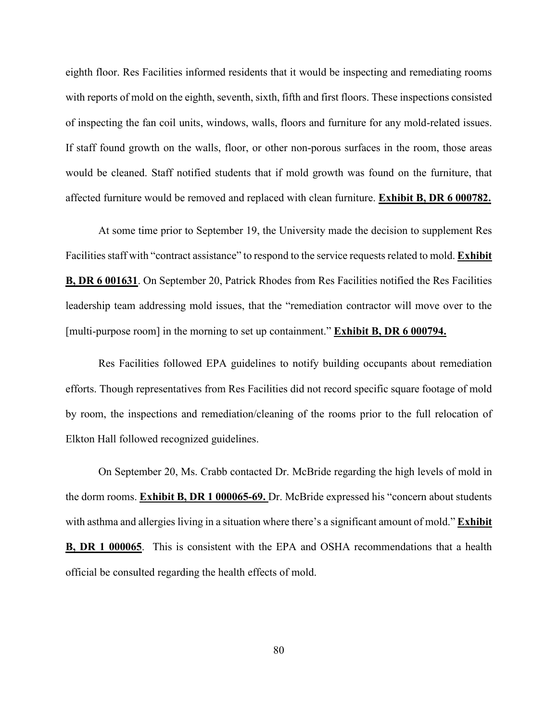eighth floor. Res Facilities informed residents that it would be inspecting and remediating rooms with reports of mold on the eighth, seventh, sixth, fifth and first floors. These inspections consisted of inspecting the fan coil units, windows, walls, floors and furniture for any mold-related issues. If staff found growth on the walls, floor, or other non-porous surfaces in the room, those areas would be cleaned. Staff notified students that if mold growth was found on the furniture, that affected furniture would be removed and replaced with clean furniture. **Exhibit B, DR 6 000782.**

At some time prior to September 19, the University made the decision to supplement Res Facilities staff with "contract assistance" to respond to the service requests related to mold. **Exhibit B, DR 6 001631**. On September 20, Patrick Rhodes from Res Facilities notified the Res Facilities leadership team addressing mold issues, that the "remediation contractor will move over to the [multi-purpose room] in the morning to set up containment." **Exhibit B, DR 6 000794.** 

Res Facilities followed EPA guidelines to notify building occupants about remediation efforts. Though representatives from Res Facilities did not record specific square footage of mold by room, the inspections and remediation/cleaning of the rooms prior to the full relocation of Elkton Hall followed recognized guidelines.

On September 20, Ms. Crabb contacted Dr. McBride regarding the high levels of mold in the dorm rooms. **Exhibit B, DR 1 000065-69.** Dr. McBride expressed his "concern about students with asthma and allergies living in a situation where there's a significant amount of mold." **Exhibit B, DR 1 000065**. This is consistent with the EPA and OSHA recommendations that a health official be consulted regarding the health effects of mold.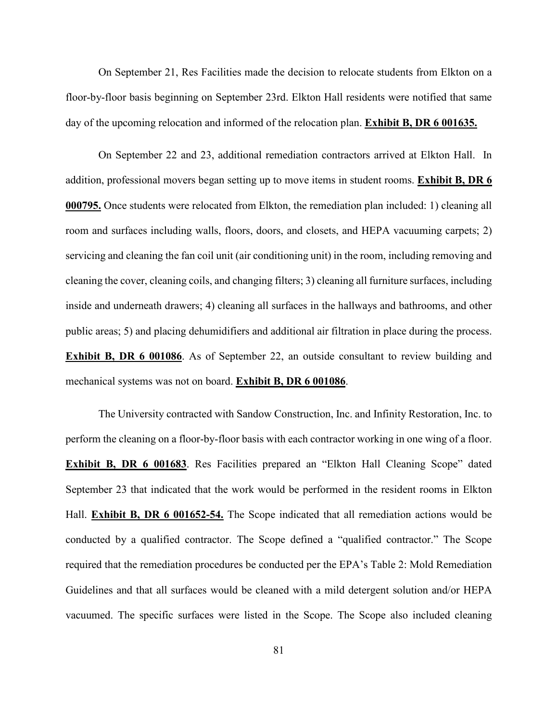On September 21, Res Facilities made the decision to relocate students from Elkton on a floor-by-floor basis beginning on September 23rd. Elkton Hall residents were notified that same day of the upcoming relocation and informed of the relocation plan. **Exhibit B, DR 6 001635.**

On September 22 and 23, additional remediation contractors arrived at Elkton Hall. In addition, professional movers began setting up to move items in student rooms. **Exhibit B, DR 6 000795.** Once students were relocated from Elkton, the remediation plan included: 1) cleaning all room and surfaces including walls, floors, doors, and closets, and HEPA vacuuming carpets; 2) servicing and cleaning the fan coil unit (air conditioning unit) in the room, including removing and cleaning the cover, cleaning coils, and changing filters; 3) cleaning all furniture surfaces, including inside and underneath drawers; 4) cleaning all surfaces in the hallways and bathrooms, and other public areas; 5) and placing dehumidifiers and additional air filtration in place during the process. **Exhibit B, DR 6 001086**. As of September 22, an outside consultant to review building and mechanical systems was not on board. **Exhibit B, DR 6 001086**.

The University contracted with Sandow Construction, Inc. and Infinity Restoration, Inc. to perform the cleaning on a floor-by-floor basis with each contractor working in one wing of a floor. **Exhibit B, DR 6 001683**. Res Facilities prepared an "Elkton Hall Cleaning Scope" dated September 23 that indicated that the work would be performed in the resident rooms in Elkton Hall. **Exhibit B, DR 6 001652-54.** The Scope indicated that all remediation actions would be conducted by a qualified contractor. The Scope defined a "qualified contractor." The Scope required that the remediation procedures be conducted per the EPA's Table 2: Mold Remediation Guidelines and that all surfaces would be cleaned with a mild detergent solution and/or HEPA vacuumed. The specific surfaces were listed in the Scope. The Scope also included cleaning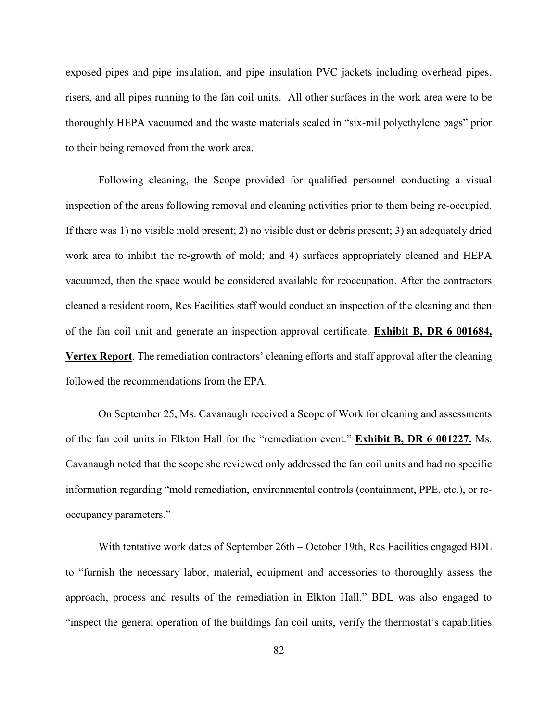exposed pipes and pipe insulation, and pipe insulation PVC jackets including overhead pipes, risers, and all pipes running to the fan coil units. All other surfaces in the work area were to be thoroughly HEPA vacuumed and the waste materials sealed in "six-mil polyethylene bags" prior to their being removed from the work area.

Following cleaning, the Scope provided for qualified personnel conducting a visual inspection of the areas following removal and cleaning activities prior to them being re-occupied. If there was 1) no visible mold present; 2) no visible dust or debris present; 3) an adequately dried work area to inhibit the re-growth of mold; and 4) surfaces appropriately cleaned and HEPA vacuumed, then the space would be considered available for reoccupation. After the contractors cleaned a resident room, Res Facilities staff would conduct an inspection of the cleaning and then of the fan coil unit and generate an inspection approval certificate. **Exhibit B, DR 6 001684, Vertex Report**. The remediation contractors' cleaning efforts and staff approval after the cleaning followed the recommendations from the EPA.

On September 25, Ms. Cavanaugh received a Scope of Work for cleaning and assessments of the fan coil units in Elkton Hall for the "remediation event." **Exhibit B, DR 6 001227.** Ms. Cavanaugh noted that the scope she reviewed only addressed the fan coil units and had no specific information regarding "mold remediation, environmental controls (containment, PPE, etc.), or reoccupancy parameters."

With tentative work dates of September 26th – October 19th, Res Facilities engaged BDL to "furnish the necessary labor, material, equipment and accessories to thoroughly assess the approach, process and results of the remediation in Elkton Hall." BDL was also engaged to "inspect the general operation of the buildings fan coil units, verify the thermostat's capabilities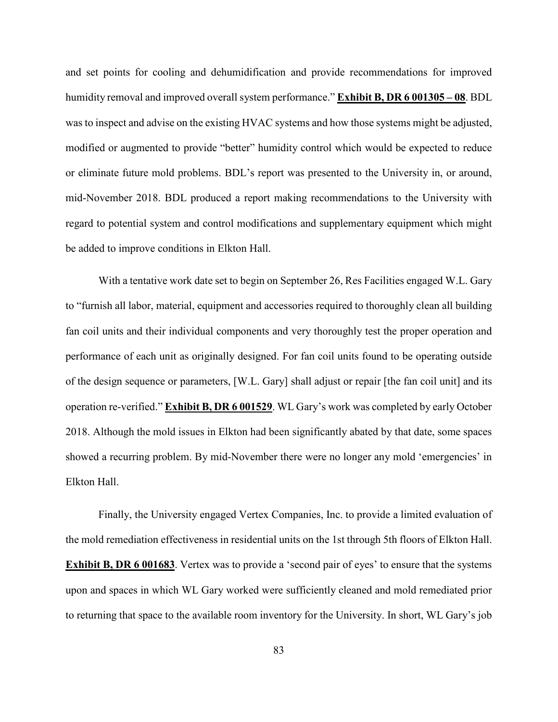and set points for cooling and dehumidification and provide recommendations for improved humidity removal and improved overall system performance." **Exhibit B, DR 6 001305 – 08**. BDL was to inspect and advise on the existing HVAC systems and how those systems might be adjusted, modified or augmented to provide "better" humidity control which would be expected to reduce or eliminate future mold problems. BDL's report was presented to the University in, or around, mid-November 2018. BDL produced a report making recommendations to the University with regard to potential system and control modifications and supplementary equipment which might be added to improve conditions in Elkton Hall.

With a tentative work date set to begin on September 26, Res Facilities engaged W.L. Gary to "furnish all labor, material, equipment and accessories required to thoroughly clean all building fan coil units and their individual components and very thoroughly test the proper operation and performance of each unit as originally designed. For fan coil units found to be operating outside of the design sequence or parameters, [W.L. Gary] shall adjust or repair [the fan coil unit] and its operation re-verified." **Exhibit B, DR 6 001529**. WL Gary's work was completed by early October 2018. Although the mold issues in Elkton had been significantly abated by that date, some spaces showed a recurring problem. By mid-November there were no longer any mold 'emergencies' in Elkton Hall.

Finally, the University engaged Vertex Companies, Inc. to provide a limited evaluation of the mold remediation effectiveness in residential units on the 1st through 5th floors of Elkton Hall. **Exhibit B, DR 6 001683**. Vertex was to provide a 'second pair of eyes' to ensure that the systems upon and spaces in which WL Gary worked were sufficiently cleaned and mold remediated prior to returning that space to the available room inventory for the University. In short, WL Gary's job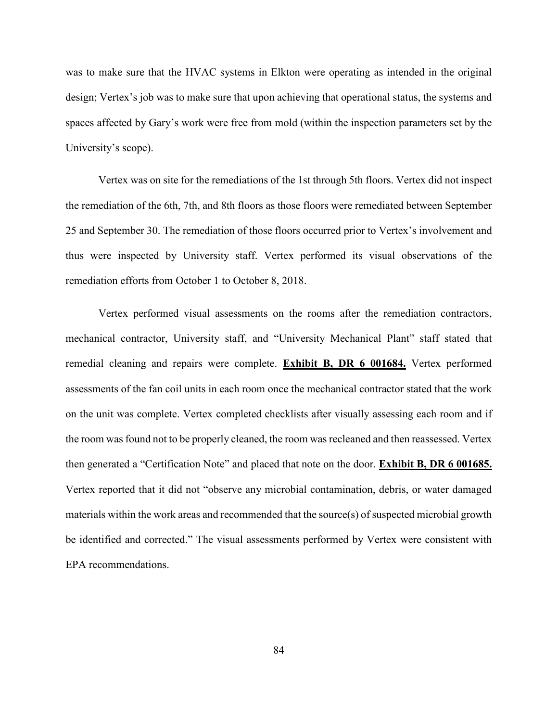was to make sure that the HVAC systems in Elkton were operating as intended in the original design; Vertex's job was to make sure that upon achieving that operational status, the systems and spaces affected by Gary's work were free from mold (within the inspection parameters set by the University's scope).

Vertex was on site for the remediations of the 1st through 5th floors. Vertex did not inspect the remediation of the 6th, 7th, and 8th floors as those floors were remediated between September 25 and September 30. The remediation of those floors occurred prior to Vertex's involvement and thus were inspected by University staff. Vertex performed its visual observations of the remediation efforts from October 1 to October 8, 2018.

Vertex performed visual assessments on the rooms after the remediation contractors, mechanical contractor, University staff, and "University Mechanical Plant" staff stated that remedial cleaning and repairs were complete. **Exhibit B, DR 6 001684.** Vertex performed assessments of the fan coil units in each room once the mechanical contractor stated that the work on the unit was complete. Vertex completed checklists after visually assessing each room and if the room was found not to be properly cleaned, the room was recleaned and then reassessed. Vertex then generated a "Certification Note" and placed that note on the door. **Exhibit B, DR 6 001685.** Vertex reported that it did not "observe any microbial contamination, debris, or water damaged materials within the work areas and recommended that the source(s) of suspected microbial growth be identified and corrected." The visual assessments performed by Vertex were consistent with EPA recommendations.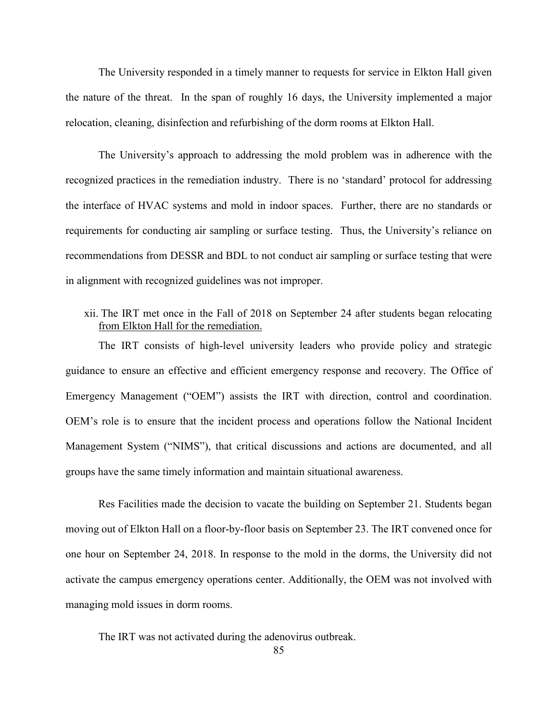The University responded in a timely manner to requests for service in Elkton Hall given the nature of the threat. In the span of roughly 16 days, the University implemented a major relocation, cleaning, disinfection and refurbishing of the dorm rooms at Elkton Hall.

The University's approach to addressing the mold problem was in adherence with the recognized practices in the remediation industry. There is no 'standard' protocol for addressing the interface of HVAC systems and mold in indoor spaces. Further, there are no standards or requirements for conducting air sampling or surface testing. Thus, the University's reliance on recommendations from DESSR and BDL to not conduct air sampling or surface testing that were in alignment with recognized guidelines was not improper.

xii. The IRT met once in the Fall of 2018 on September 24 after students began relocating from Elkton Hall for the remediation.

The IRT consists of high-level university leaders who provide policy and strategic guidance to ensure an effective and efficient emergency response and recovery. The Office of Emergency Management ("OEM") assists the IRT with direction, control and coordination. OEM's role is to ensure that the incident process and operations follow the National Incident Management System ("NIMS"), that critical discussions and actions are documented, and all groups have the same timely information and maintain situational awareness.

Res Facilities made the decision to vacate the building on September 21. Students began moving out of Elkton Hall on a floor-by-floor basis on September 23. The IRT convened once for one hour on September 24, 2018. In response to the mold in the dorms, the University did not activate the campus emergency operations center. Additionally, the OEM was not involved with managing mold issues in dorm rooms.

The IRT was not activated during the adenovirus outbreak.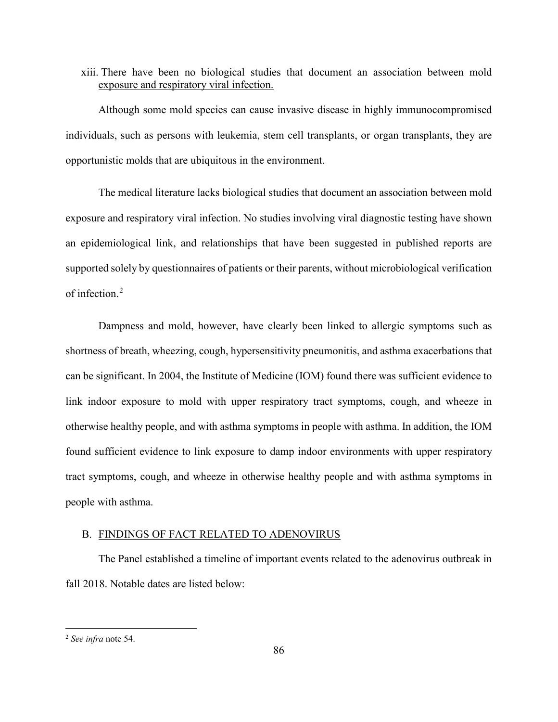### xiii. There have been no biological studies that document an association between mold exposure and respiratory viral infection.

Although some mold species can cause invasive disease in highly immunocompromised individuals, such as persons with leukemia, stem cell transplants, or organ transplants, they are opportunistic molds that are ubiquitous in the environment.

The medical literature lacks biological studies that document an association between mold exposure and respiratory viral infection. No studies involving viral diagnostic testing have shown an epidemiological link, and relationships that have been suggested in published reports are supported solely by questionnaires of patients or their parents, without microbiological verification of infection.<sup>2</sup>

Dampness and mold, however, have clearly been linked to allergic symptoms such as shortness of breath, wheezing, cough, hypersensitivity pneumonitis, and asthma exacerbations that can be significant. In 2004, the Institute of Medicine (IOM) found there was sufficient evidence to link indoor exposure to mold with upper respiratory tract symptoms, cough, and wheeze in otherwise healthy people, and with asthma symptoms in people with asthma. In addition, the IOM found sufficient evidence to link exposure to damp indoor environments with upper respiratory tract symptoms, cough, and wheeze in otherwise healthy people and with asthma symptoms in people with asthma.

### B. FINDINGS OF FACT RELATED TO ADENOVIRUS

The Panel established a timeline of important events related to the adenovirus outbreak in fall 2018. Notable dates are listed below:

 $\overline{\phantom{a}}$ 

<sup>2</sup> *See infra* note 54.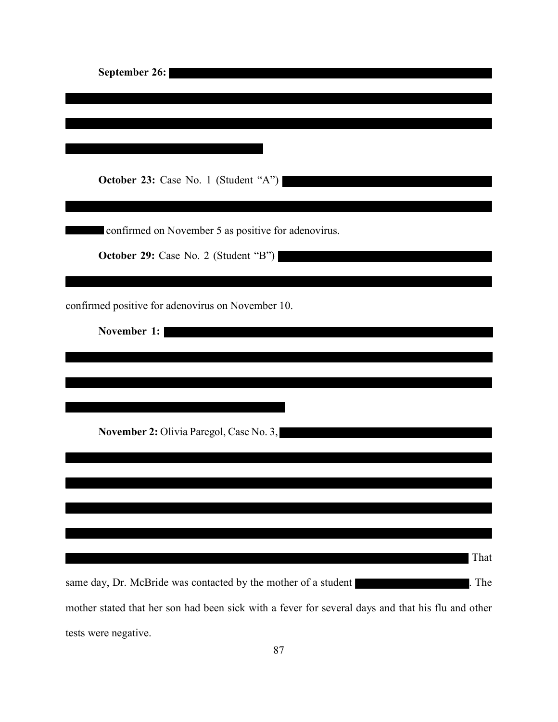| September 26:                                                                                     |
|---------------------------------------------------------------------------------------------------|
|                                                                                                   |
|                                                                                                   |
|                                                                                                   |
|                                                                                                   |
| <b>October 23:</b> Case No. 1 (Student "A")                                                       |
|                                                                                                   |
| confirmed on November 5 as positive for adenovirus.                                               |
| <b>October 29:</b> Case No. 2 (Student "B")                                                       |
|                                                                                                   |
|                                                                                                   |
| confirmed positive for adenovirus on November 10.                                                 |
| November 1:                                                                                       |
|                                                                                                   |
|                                                                                                   |
|                                                                                                   |
| November 2: Olivia Paregol, Case No. 3,                                                           |
|                                                                                                   |
|                                                                                                   |
|                                                                                                   |
|                                                                                                   |
|                                                                                                   |
| That                                                                                              |
| same day, Dr. McBride was contacted by the mother of a student<br>The                             |
| mother stated that her son had been sick with a fever for several days and that his flu and other |

tests were negative.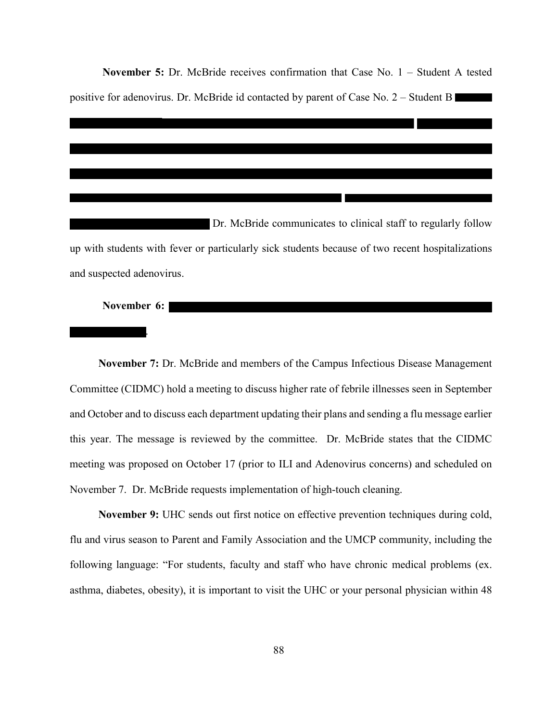**November 5:** Dr. McBride receives confirmation that Case No. 1 – Student A tested positive for adenovirus. Dr. McBride id contacted by parent of Case No. 2 – Student B

Dr. McBride communicates to clinical staff to regularly follow up with students with fever or particularly sick students because of two recent hospitalizations and suspected adenovirus.

#### **November 6:**

.

**November 7:** Dr. McBride and members of the Campus Infectious Disease Management Committee (CIDMC) hold a meeting to discuss higher rate of febrile illnesses seen in September and October and to discuss each department updating their plans and sending a flu message earlier this year. The message is reviewed by the committee. Dr. McBride states that the CIDMC meeting was proposed on October 17 (prior to ILI and Adenovirus concerns) and scheduled on November 7. Dr. McBride requests implementation of high-touch cleaning.

**November 9:** UHC sends out first notice on effective prevention techniques during cold, flu and virus season to Parent and Family Association and the UMCP community, including the following language: "For students, faculty and staff who have chronic medical problems (ex. asthma, diabetes, obesity), it is important to visit the UHC or your personal physician within 48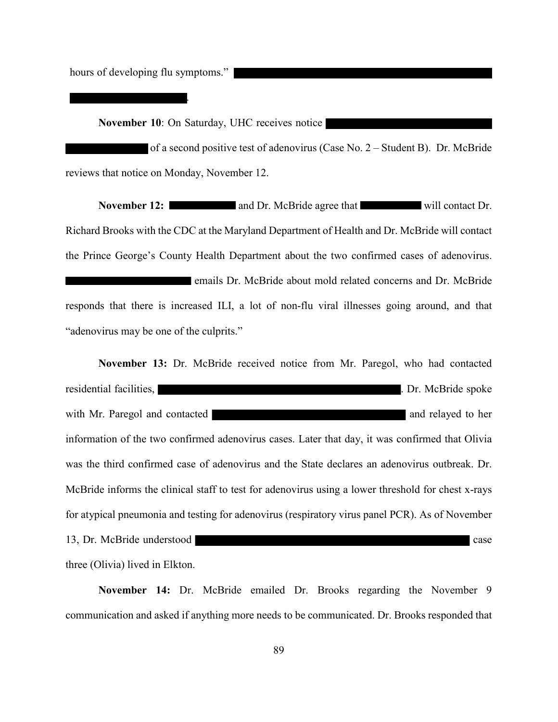hours of developing flu symptoms."

**November 10:** On Saturday, UHC receives notice

.

 of a second positive test of adenovirus (Case No. 2 – Student B). Dr. McBride reviews that notice on Monday, November 12.

**November 12:** and Dr. McBride agree that will contact Dr. Richard Brooks with the CDC at the Maryland Department of Health and Dr. McBride will contact the Prince George's County Health Department about the two confirmed cases of adenovirus. emails Dr. McBride about mold related concerns and Dr. McBride responds that there is increased ILI, a lot of non-flu viral illnesses going around, and that "adenovirus may be one of the culprits."

**November 13:** Dr. McBride received notice from Mr. Paregol, who had contacted residential facilities,  $\blacksquare$  . Dr. McBride spoke with Mr. Paregol and contacted and relayed to her information of the two confirmed adenovirus cases. Later that day, it was confirmed that Olivia was the third confirmed case of adenovirus and the State declares an adenovirus outbreak. Dr. McBride informs the clinical staff to test for adenovirus using a lower threshold for chest x-rays for atypical pneumonia and testing for adenovirus (respiratory virus panel PCR). As of November 13, Dr. McBride understood case three (Olivia) lived in Elkton.

**November 14:** Dr. McBride emailed Dr. Brooks regarding the November 9 communication and asked if anything more needs to be communicated. Dr. Brooks responded that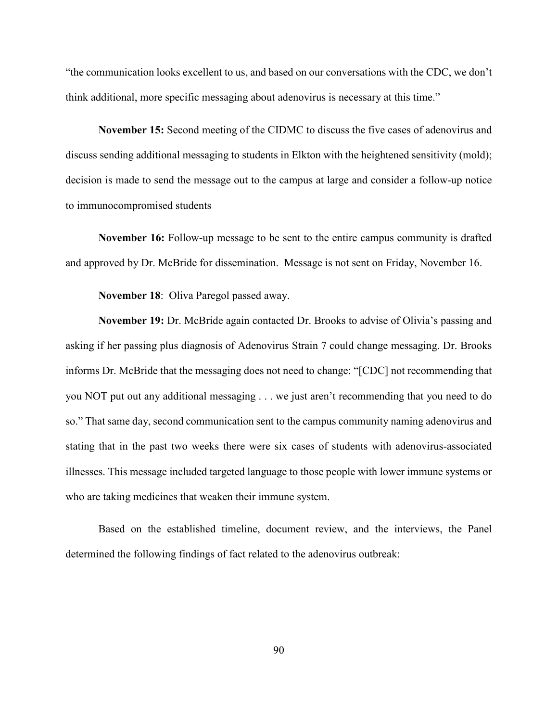"the communication looks excellent to us, and based on our conversations with the CDC, we don't think additional, more specific messaging about adenovirus is necessary at this time."

**November 15:** Second meeting of the CIDMC to discuss the five cases of adenovirus and discuss sending additional messaging to students in Elkton with the heightened sensitivity (mold); decision is made to send the message out to the campus at large and consider a follow-up notice to immunocompromised students

**November 16:** Follow-up message to be sent to the entire campus community is drafted and approved by Dr. McBride for dissemination. Message is not sent on Friday, November 16.

**November 18**: Oliva Paregol passed away.

**November 19:** Dr. McBride again contacted Dr. Brooks to advise of Olivia's passing and asking if her passing plus diagnosis of Adenovirus Strain 7 could change messaging. Dr. Brooks informs Dr. McBride that the messaging does not need to change: "[CDC] not recommending that you NOT put out any additional messaging . . . we just aren't recommending that you need to do so." That same day, second communication sent to the campus community naming adenovirus and stating that in the past two weeks there were six cases of students with adenovirus-associated illnesses. This message included targeted language to those people with lower immune systems or who are taking medicines that weaken their immune system.

Based on the established timeline, document review, and the interviews, the Panel determined the following findings of fact related to the adenovirus outbreak: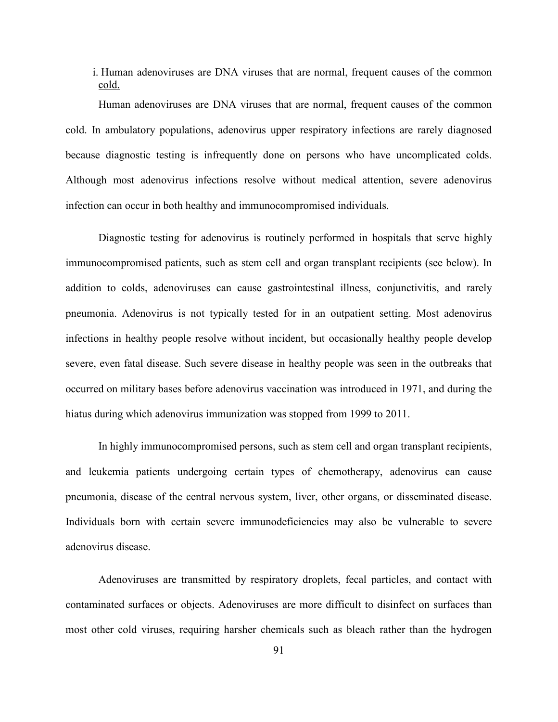i. Human adenoviruses are DNA viruses that are normal, frequent causes of the common cold.

Human adenoviruses are DNA viruses that are normal, frequent causes of the common cold. In ambulatory populations, adenovirus upper respiratory infections are rarely diagnosed because diagnostic testing is infrequently done on persons who have uncomplicated colds. Although most adenovirus infections resolve without medical attention, severe adenovirus infection can occur in both healthy and immunocompromised individuals.

Diagnostic testing for adenovirus is routinely performed in hospitals that serve highly immunocompromised patients, such as stem cell and organ transplant recipients (see below). In addition to colds, adenoviruses can cause gastrointestinal illness, conjunctivitis, and rarely pneumonia. Adenovirus is not typically tested for in an outpatient setting. Most adenovirus infections in healthy people resolve without incident, but occasionally healthy people develop severe, even fatal disease. Such severe disease in healthy people was seen in the outbreaks that occurred on military bases before adenovirus vaccination was introduced in 1971, and during the hiatus during which adenovirus immunization was stopped from 1999 to 2011.

In highly immunocompromised persons, such as stem cell and organ transplant recipients, and leukemia patients undergoing certain types of chemotherapy, adenovirus can cause pneumonia, disease of the central nervous system, liver, other organs, or disseminated disease. Individuals born with certain severe immunodeficiencies may also be vulnerable to severe adenovirus disease.

Adenoviruses are transmitted by respiratory droplets, fecal particles, and contact with contaminated surfaces or objects. Adenoviruses are more difficult to disinfect on surfaces than most other cold viruses, requiring harsher chemicals such as bleach rather than the hydrogen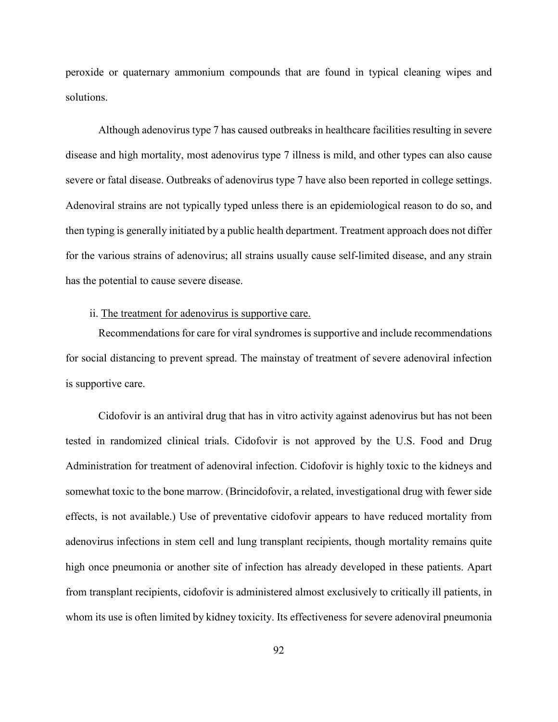peroxide or quaternary ammonium compounds that are found in typical cleaning wipes and solutions.

Although adenovirus type 7 has caused outbreaks in healthcare facilities resulting in severe disease and high mortality, most adenovirus type 7 illness is mild, and other types can also cause severe or fatal disease. Outbreaks of adenovirus type 7 have also been reported in college settings. Adenoviral strains are not typically typed unless there is an epidemiological reason to do so, and then typing is generally initiated by a public health department. Treatment approach does not differ for the various strains of adenovirus; all strains usually cause self-limited disease, and any strain has the potential to cause severe disease.

### ii. The treatment for adenovirus is supportive care.

Recommendations for care for viral syndromes is supportive and include recommendations for social distancing to prevent spread. The mainstay of treatment of severe adenoviral infection is supportive care.

Cidofovir is an antiviral drug that has in vitro activity against adenovirus but has not been tested in randomized clinical trials. Cidofovir is not approved by the U.S. Food and Drug Administration for treatment of adenoviral infection. Cidofovir is highly toxic to the kidneys and somewhat toxic to the bone marrow. (Brincidofovir, a related, investigational drug with fewer side effects, is not available.) Use of preventative cidofovir appears to have reduced mortality from adenovirus infections in stem cell and lung transplant recipients, though mortality remains quite high once pneumonia or another site of infection has already developed in these patients. Apart from transplant recipients, cidofovir is administered almost exclusively to critically ill patients, in whom its use is often limited by kidney toxicity. Its effectiveness for severe adenoviral pneumonia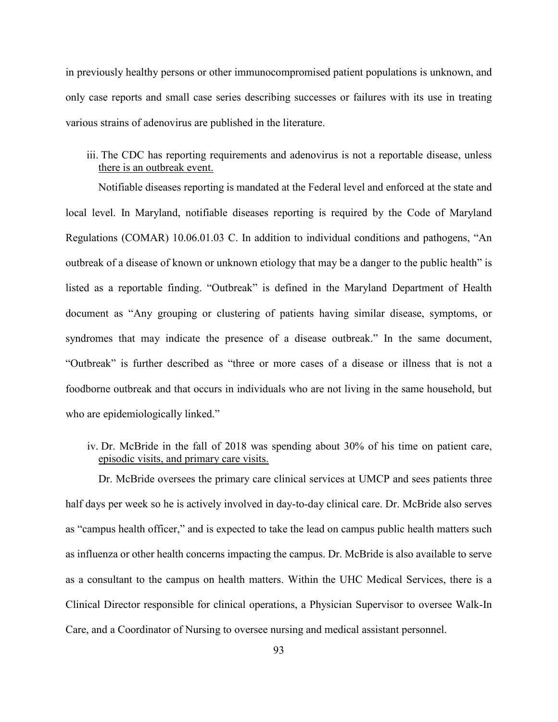in previously healthy persons or other immunocompromised patient populations is unknown, and only case reports and small case series describing successes or failures with its use in treating various strains of adenovirus are published in the literature.

## iii. The CDC has reporting requirements and adenovirus is not a reportable disease, unless there is an outbreak event.

Notifiable diseases reporting is mandated at the Federal level and enforced at the state and local level. In Maryland, notifiable diseases reporting is required by the Code of Maryland Regulations (COMAR) 10.06.01.03 C. In addition to individual conditions and pathogens, "An outbreak of a disease of known or unknown etiology that may be a danger to the public health" is listed as a reportable finding. "Outbreak" is defined in the Maryland Department of Health document as "Any grouping or clustering of patients having similar disease, symptoms, or syndromes that may indicate the presence of a disease outbreak." In the same document, "Outbreak" is further described as "three or more cases of a disease or illness that is not a foodborne outbreak and that occurs in individuals who are not living in the same household, but who are epidemiologically linked."

iv. Dr. McBride in the fall of 2018 was spending about 30% of his time on patient care, episodic visits, and primary care visits.

Dr. McBride oversees the primary care clinical services at UMCP and sees patients three half days per week so he is actively involved in day-to-day clinical care. Dr. McBride also serves as "campus health officer," and is expected to take the lead on campus public health matters such as influenza or other health concerns impacting the campus. Dr. McBride is also available to serve as a consultant to the campus on health matters. Within the UHC Medical Services, there is a Clinical Director responsible for clinical operations, a Physician Supervisor to oversee Walk-In Care, and a Coordinator of Nursing to oversee nursing and medical assistant personnel.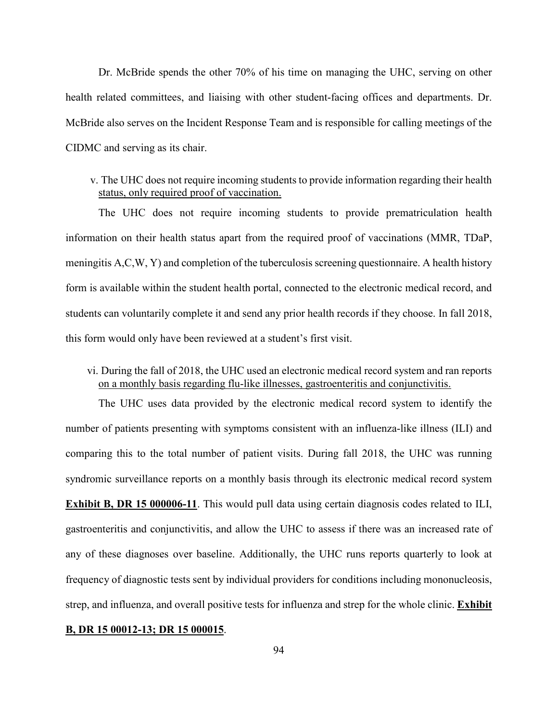Dr. McBride spends the other 70% of his time on managing the UHC, serving on other health related committees, and liaising with other student-facing offices and departments. Dr. McBride also serves on the Incident Response Team and is responsible for calling meetings of the CIDMC and serving as its chair.

## v. The UHC does not require incoming students to provide information regarding their health status, only required proof of vaccination.

The UHC does not require incoming students to provide prematriculation health information on their health status apart from the required proof of vaccinations (MMR, TDaP, meningitis A,C,W, Y) and completion of the tuberculosis screening questionnaire. A health history form is available within the student health portal, connected to the electronic medical record, and students can voluntarily complete it and send any prior health records if they choose. In fall 2018, this form would only have been reviewed at a student's first visit.

## vi. During the fall of 2018, the UHC used an electronic medical record system and ran reports on a monthly basis regarding flu-like illnesses, gastroenteritis and conjunctivitis.

The UHC uses data provided by the electronic medical record system to identify the number of patients presenting with symptoms consistent with an influenza-like illness (ILI) and comparing this to the total number of patient visits. During fall 2018, the UHC was running syndromic surveillance reports on a monthly basis through its electronic medical record system **Exhibit B, DR 15 000006-11**. This would pull data using certain diagnosis codes related to ILI, gastroenteritis and conjunctivitis, and allow the UHC to assess if there was an increased rate of any of these diagnoses over baseline. Additionally, the UHC runs reports quarterly to look at frequency of diagnostic tests sent by individual providers for conditions including mononucleosis, strep, and influenza, and overall positive tests for influenza and strep for the whole clinic. **Exhibit** 

#### **B, DR 15 00012-13; DR 15 000015**.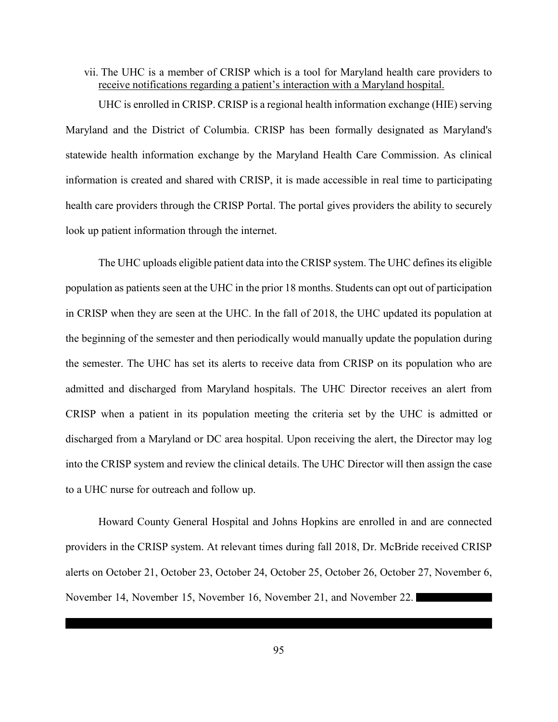vii. The UHC is a member of CRISP which is a tool for Maryland health care providers to receive notifications regarding a patient's interaction with a Maryland hospital.

UHC is enrolled in CRISP. CRISP is a regional health information exchange (HIE) serving Maryland and the District of Columbia. CRISP has been formally designated as Maryland's statewide health information exchange by the Maryland Health Care Commission. As clinical information is created and shared with CRISP, it is made accessible in real time to participating health care providers through the CRISP Portal. The portal gives providers the ability to securely look up patient information through the internet.

The UHC uploads eligible patient data into the CRISP system. The UHC defines its eligible population as patients seen at the UHC in the prior 18 months. Students can opt out of participation in CRISP when they are seen at the UHC. In the fall of 2018, the UHC updated its population at the beginning of the semester and then periodically would manually update the population during the semester. The UHC has set its alerts to receive data from CRISP on its population who are admitted and discharged from Maryland hospitals. The UHC Director receives an alert from CRISP when a patient in its population meeting the criteria set by the UHC is admitted or discharged from a Maryland or DC area hospital. Upon receiving the alert, the Director may log into the CRISP system and review the clinical details. The UHC Director will then assign the case to a UHC nurse for outreach and follow up.

Howard County General Hospital and Johns Hopkins are enrolled in and are connected providers in the CRISP system. At relevant times during fall 2018, Dr. McBride received CRISP alerts on October 21, October 23, October 24, October 25, October 26, October 27, November 6, November 14, November 15, November 16, November 21, and November 22.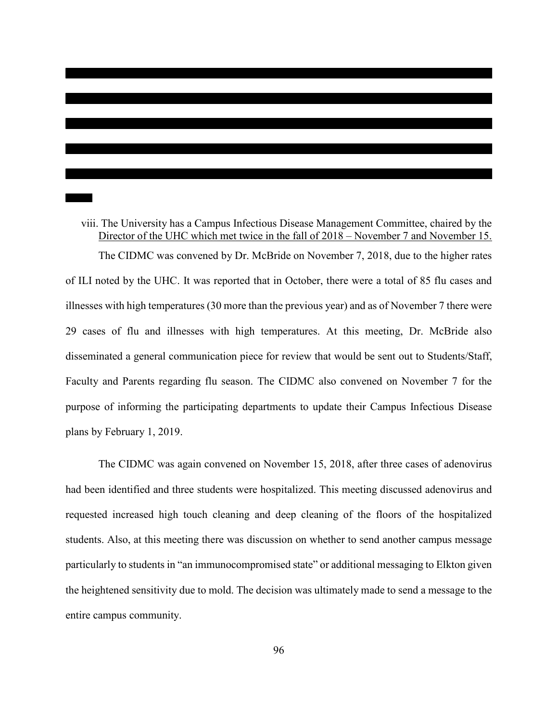viii. The University has a Campus Infectious Disease Management Committee, chaired by the Director of the UHC which met twice in the fall of 2018 – November 7 and November 15. The CIDMC was convened by Dr. McBride on November 7, 2018, due to the higher rates of ILI noted by the UHC. It was reported that in October, there were a total of 85 flu cases and illnesses with high temperatures (30 more than the previous year) and as of November 7 there were 29 cases of flu and illnesses with high temperatures. At this meeting, Dr. McBride also disseminated a general communication piece for review that would be sent out to Students/Staff, Faculty and Parents regarding flu season. The CIDMC also convened on November 7 for the purpose of informing the participating departments to update their Campus Infectious Disease plans by February 1, 2019.

The CIDMC was again convened on November 15, 2018, after three cases of adenovirus had been identified and three students were hospitalized. This meeting discussed adenovirus and requested increased high touch cleaning and deep cleaning of the floors of the hospitalized students. Also, at this meeting there was discussion on whether to send another campus message particularly to students in "an immunocompromised state" or additional messaging to Elkton given the heightened sensitivity due to mold. The decision was ultimately made to send a message to the entire campus community.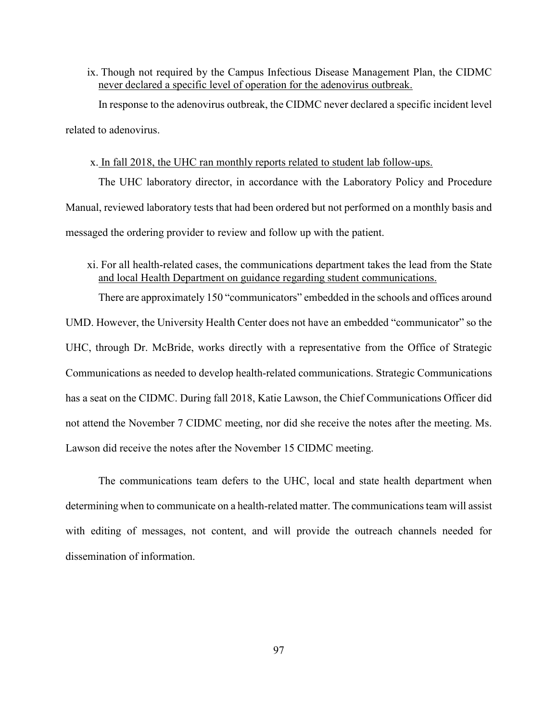ix. Though not required by the Campus Infectious Disease Management Plan, the CIDMC never declared a specific level of operation for the adenovirus outbreak.

In response to the adenovirus outbreak, the CIDMC never declared a specific incident level related to adenovirus.

### x. In fall 2018, the UHC ran monthly reports related to student lab follow-ups.

The UHC laboratory director, in accordance with the Laboratory Policy and Procedure Manual, reviewed laboratory tests that had been ordered but not performed on a monthly basis and messaged the ordering provider to review and follow up with the patient.

xi. For all health-related cases, the communications department takes the lead from the State and local Health Department on guidance regarding student communications.

There are approximately 150 "communicators" embedded in the schools and offices around UMD. However, the University Health Center does not have an embedded "communicator" so the UHC, through Dr. McBride, works directly with a representative from the Office of Strategic Communications as needed to develop health-related communications. Strategic Communications has a seat on the CIDMC. During fall 2018, Katie Lawson, the Chief Communications Officer did not attend the November 7 CIDMC meeting, nor did she receive the notes after the meeting. Ms. Lawson did receive the notes after the November 15 CIDMC meeting.

The communications team defers to the UHC, local and state health department when determining when to communicate on a health-related matter. The communications team will assist with editing of messages, not content, and will provide the outreach channels needed for dissemination of information.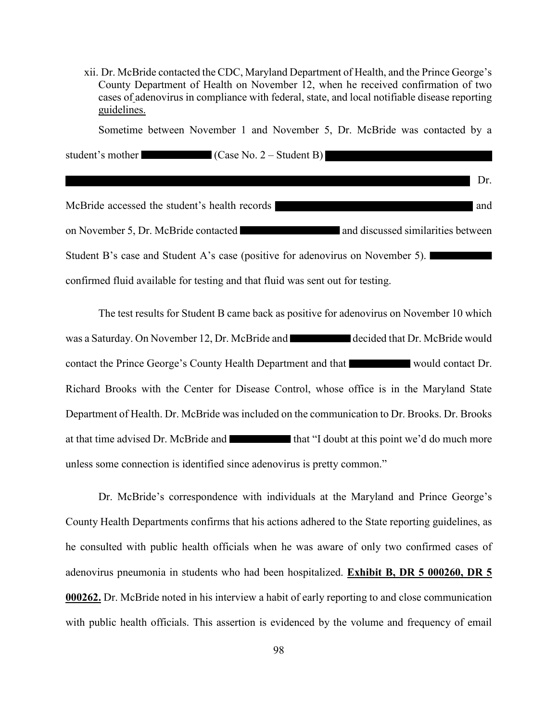xii. Dr. McBride contacted the CDC, Maryland Department of Health, and the Prince George's County Department of Health on November 12, when he received confirmation of two cases of adenovirus in compliance with federal, state, and local notifiable disease reporting guidelines.

Sometime between November 1 and November 5, Dr. McBride was contacted by a

Dr.

student's mother (Case No. 2 – Student B)

McBride accessed the student's health records and on November 5, Dr. McBride contacted and discussed similarities between Student B's case and Student A's case (positive for adenovirus on November 5). confirmed fluid available for testing and that fluid was sent out for testing.

The test results for Student B came back as positive for adenovirus on November 10 which was a Saturday. On November 12, Dr. McBride and decided that Dr. McBride would contact the Prince George's County Health Department and that would contact Dr. Richard Brooks with the Center for Disease Control, whose office is in the Maryland State Department of Health. Dr. McBride was included on the communication to Dr. Brooks. Dr. Brooks at that time advised Dr. McBride and that "I doubt at this point we'd do much more unless some connection is identified since adenovirus is pretty common."

Dr. McBride's correspondence with individuals at the Maryland and Prince George's County Health Departments confirms that his actions adhered to the State reporting guidelines, as he consulted with public health officials when he was aware of only two confirmed cases of adenovirus pneumonia in students who had been hospitalized. **Exhibit B, DR 5 000260, DR 5 000262.** Dr. McBride noted in his interview a habit of early reporting to and close communication with public health officials. This assertion is evidenced by the volume and frequency of email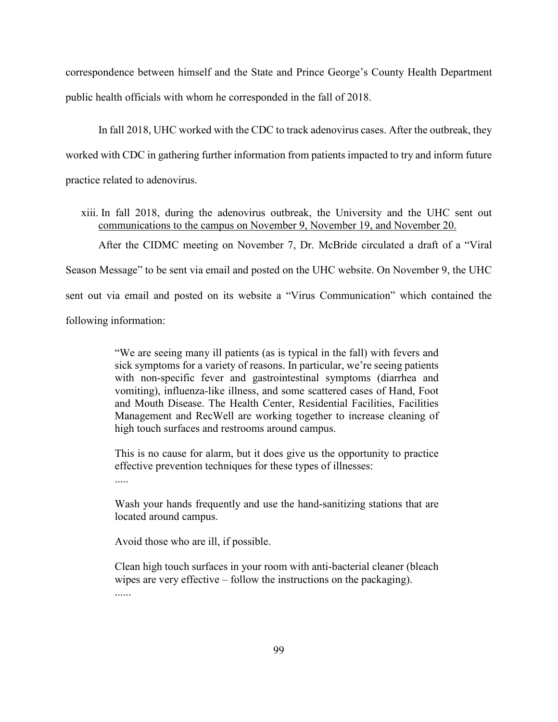correspondence between himself and the State and Prince George's County Health Department public health officials with whom he corresponded in the fall of 2018.

In fall 2018, UHC worked with the CDC to track adenovirus cases. After the outbreak, they worked with CDC in gathering further information from patients impacted to try and inform future practice related to adenovirus.

xiii. In fall 2018, during the adenovirus outbreak, the University and the UHC sent out communications to the campus on November 9, November 19, and November 20.

After the CIDMC meeting on November 7, Dr. McBride circulated a draft of a "Viral Season Message" to be sent via email and posted on the UHC website. On November 9, the UHC sent out via email and posted on its website a "Virus Communication" which contained the following information:

> "We are seeing many ill patients (as is typical in the fall) with fevers and sick symptoms for a variety of reasons. In particular, we're seeing patients with non-specific fever and gastrointestinal symptoms (diarrhea and vomiting), influenza-like illness, and some scattered cases of Hand, Foot and Mouth Disease. The Health Center, Residential Facilities, Facilities Management and RecWell are working together to increase cleaning of high touch surfaces and restrooms around campus.

> This is no cause for alarm, but it does give us the opportunity to practice effective prevention techniques for these types of illnesses:

Wash your hands frequently and use the hand-sanitizing stations that are located around campus.

Avoid those who are ill, if possible.

Clean high touch surfaces in your room with anti-bacterial cleaner (bleach wipes are very effective – follow the instructions on the packaging). ......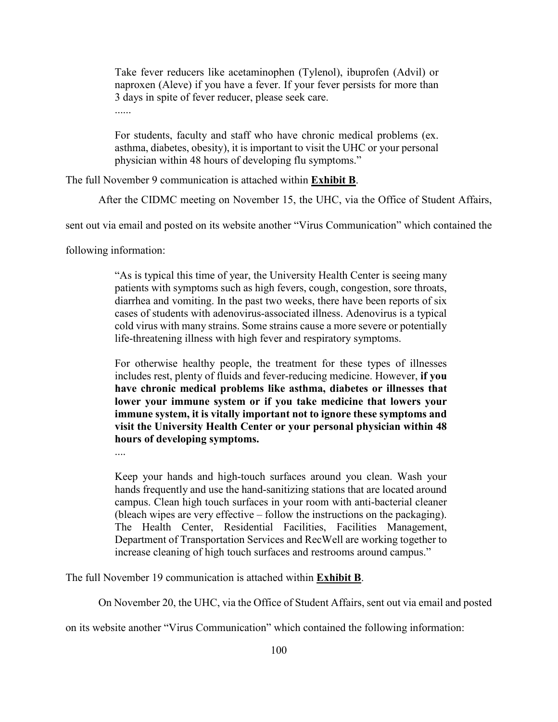Take fever reducers like acetaminophen (Tylenol), ibuprofen (Advil) or naproxen (Aleve) if you have a fever. If your fever persists for more than 3 days in spite of fever reducer, please seek care.

......

For students, faculty and staff who have chronic medical problems (ex. asthma, diabetes, obesity), it is important to visit the UHC or your personal physician within 48 hours of developing flu symptoms."

The full November 9 communication is attached within **Exhibit B**.

After the CIDMC meeting on November 15, the UHC, via the Office of Student Affairs,

sent out via email and posted on its website another "Virus Communication" which contained the

following information:

"As is typical this time of year, the University Health Center is seeing many patients with symptoms such as high fevers, cough, congestion, sore throats, diarrhea and vomiting. In the past two weeks, there have been reports of six cases of students with adenovirus-associated illness. Adenovirus is a typical cold virus with many strains. Some strains cause a more severe or potentially life-threatening illness with high fever and respiratory symptoms.

For otherwise healthy people, the treatment for these types of illnesses includes rest, plenty of fluids and fever-reducing medicine. However, **if you have chronic medical problems like asthma, diabetes or illnesses that lower your immune system or if you take medicine that lowers your immune system, it is vitally important not to ignore these symptoms and visit the University Health Center or your personal physician within 48 hours of developing symptoms.** 

....

Keep your hands and high-touch surfaces around you clean. Wash your hands frequently and use the hand-sanitizing stations that are located around campus. Clean high touch surfaces in your room with anti-bacterial cleaner (bleach wipes are very effective – follow the instructions on the packaging). The Health Center, Residential Facilities, Facilities Management, Department of Transportation Services and RecWell are working together to increase cleaning of high touch surfaces and restrooms around campus."

The full November 19 communication is attached within **Exhibit B**.

On November 20, the UHC, via the Office of Student Affairs, sent out via email and posted

on its website another "Virus Communication" which contained the following information: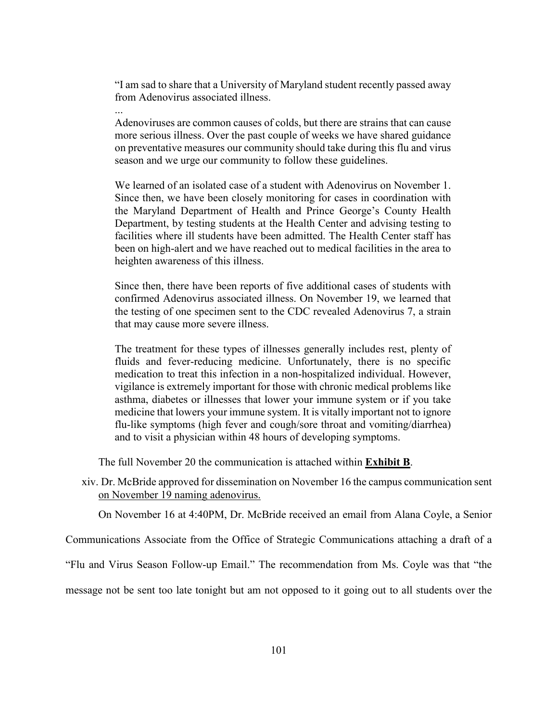"I am sad to share that a University of Maryland student recently passed away from Adenovirus associated illness.

...

Adenoviruses are common causes of colds, but there are strains that can cause more serious illness. Over the past couple of weeks we have shared guidance on preventative measures our community should take during this flu and virus season and we urge our community to follow these guidelines.

We learned of an isolated case of a student with Adenovirus on November 1. Since then, we have been closely monitoring for cases in coordination with the Maryland Department of Health and Prince George's County Health Department, by testing students at the Health Center and advising testing to facilities where ill students have been admitted. The Health Center staff has been on high-alert and we have reached out to medical facilities in the area to heighten awareness of this illness.

Since then, there have been reports of five additional cases of students with confirmed Adenovirus associated illness. On November 19, we learned that the testing of one specimen sent to the CDC revealed Adenovirus 7, a strain that may cause more severe illness.

The treatment for these types of illnesses generally includes rest, plenty of fluids and fever-reducing medicine. Unfortunately, there is no specific medication to treat this infection in a non-hospitalized individual. However, vigilance is extremely important for those with chronic medical problems like asthma, diabetes or illnesses that lower your immune system or if you take medicine that lowers your immune system. It is vitally important not to ignore flu-like symptoms (high fever and cough/sore throat and vomiting/diarrhea) and to visit a physician within 48 hours of developing symptoms.

The full November 20 the communication is attached within **Exhibit B**.

xiv. Dr. McBride approved for dissemination on November 16 the campus communication sent on November 19 naming adenovirus.

On November 16 at 4:40PM, Dr. McBride received an email from Alana Coyle, a Senior

Communications Associate from the Office of Strategic Communications attaching a draft of a

"Flu and Virus Season Follow-up Email." The recommendation from Ms. Coyle was that "the

message not be sent too late tonight but am not opposed to it going out to all students over the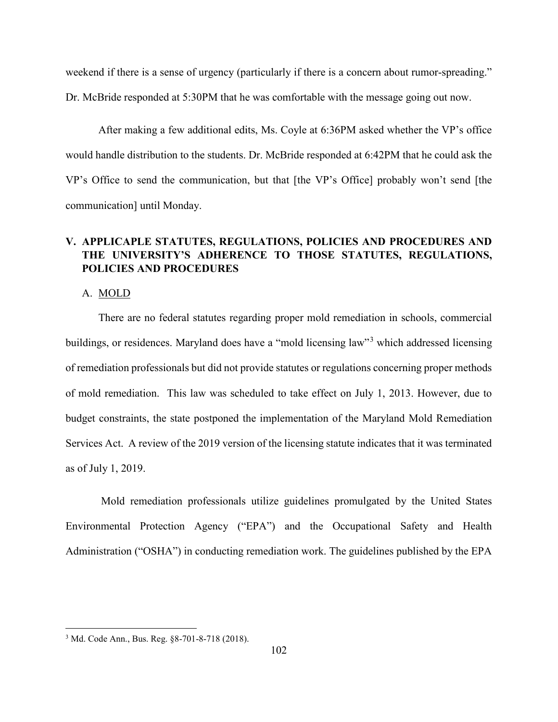weekend if there is a sense of urgency (particularly if there is a concern about rumor-spreading."

Dr. McBride responded at 5:30PM that he was comfortable with the message going out now.

After making a few additional edits, Ms. Coyle at 6:36PM asked whether the VP's office would handle distribution to the students. Dr. McBride responded at 6:42PM that he could ask the VP's Office to send the communication, but that [the VP's Office] probably won't send [the communication] until Monday.

# **V. APPLICAPLE STATUTES, REGULATIONS, POLICIES AND PROCEDURES AND THE UNIVERSITY'S ADHERENCE TO THOSE STATUTES, REGULATIONS, POLICIES AND PROCEDURES**

#### A. MOLD

There are no federal statutes regarding proper mold remediation in schools, commercial buildings, or residences. Maryland does have a "mold licensing law"<sup>3</sup> which addressed licensing of remediation professionals but did not provide statutes or regulations concerning proper methods of mold remediation. This law was scheduled to take effect on July 1, 2013. However, due to budget constraints, the state postponed the implementation of the Maryland Mold Remediation Services Act. A review of the 2019 version of the licensing statute indicates that it was terminated as of July 1, 2019.

Mold remediation professionals utilize guidelines promulgated by the United States Environmental Protection Agency ("EPA") and the Occupational Safety and Health Administration ("OSHA") in conducting remediation work. The guidelines published by the EPA

 $\overline{\phantom{a}}$ 

<sup>3</sup> Md. Code Ann., Bus. Reg. §8-701-8-718 (2018).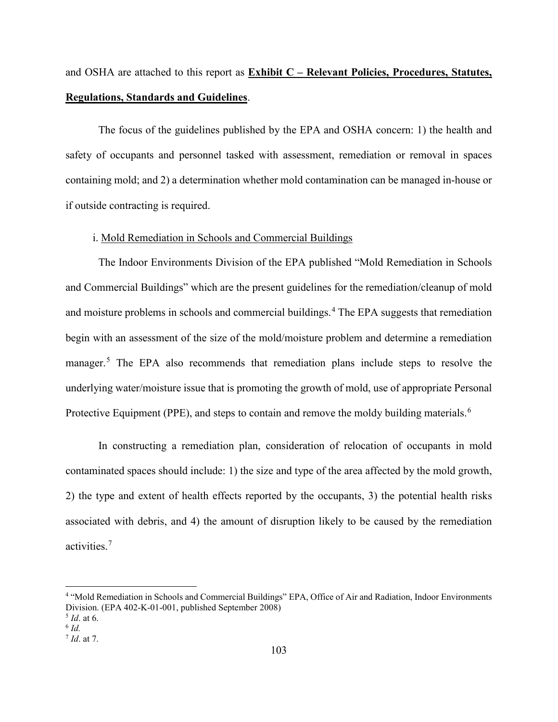and OSHA are attached to this report as **Exhibit C – Relevant Policies, Procedures, Statutes, Regulations, Standards and Guidelines**.

The focus of the guidelines published by the EPA and OSHA concern: 1) the health and safety of occupants and personnel tasked with assessment, remediation or removal in spaces containing mold; and 2) a determination whether mold contamination can be managed in-house or if outside contracting is required.

### i. Mold Remediation in Schools and Commercial Buildings

The Indoor Environments Division of the EPA published "Mold Remediation in Schools and Commercial Buildings" which are the present guidelines for the remediation/cleanup of mold and moisture problems in schools and commercial buildings.<sup>4</sup> The EPA suggests that remediation begin with an assessment of the size of the mold/moisture problem and determine a remediation manager.<sup>5</sup> The EPA also recommends that remediation plans include steps to resolve the underlying water/moisture issue that is promoting the growth of mold, use of appropriate Personal Protective Equipment (PPE), and steps to contain and remove the moldy building materials.<sup>6</sup>

In constructing a remediation plan, consideration of relocation of occupants in mold contaminated spaces should include: 1) the size and type of the area affected by the mold growth, 2) the type and extent of health effects reported by the occupants, 3) the potential health risks associated with debris, and 4) the amount of disruption likely to be caused by the remediation activities.<sup>7</sup>

l

<sup>4</sup> "Mold Remediation in Schools and Commercial Buildings" EPA, Office of Air and Radiation, Indoor Environments Division. (EPA 402-K-01-001, published September 2008)<br><sup>5</sup> *Id*. at 6. <sup>6</sup> *Id*.

<sup>7</sup> *Id*. at 7.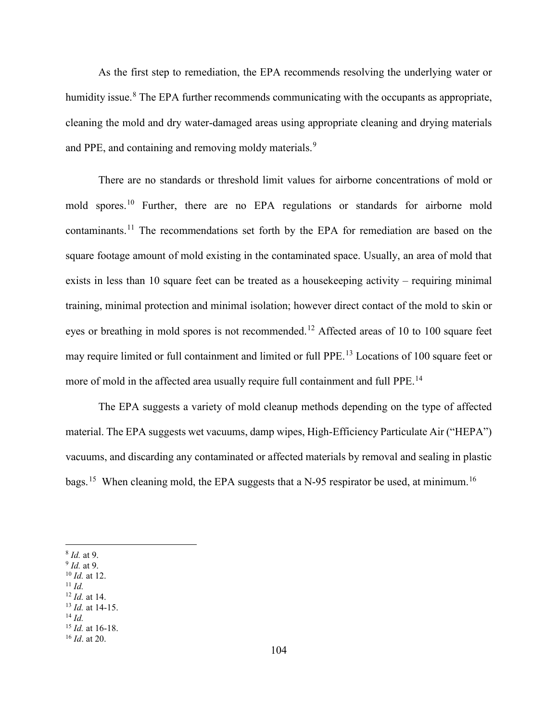As the first step to remediation, the EPA recommends resolving the underlying water or humidity issue.<sup>8</sup> The EPA further recommends communicating with the occupants as appropriate, cleaning the mold and dry water-damaged areas using appropriate cleaning and drying materials and PPE, and containing and removing moldy materials.<sup>9</sup>

There are no standards or threshold limit values for airborne concentrations of mold or mold spores.<sup>10</sup> Further, there are no EPA regulations or standards for airborne mold contaminants.<sup>11</sup> The recommendations set forth by the EPA for remediation are based on the square footage amount of mold existing in the contaminated space. Usually, an area of mold that exists in less than 10 square feet can be treated as a housekeeping activity – requiring minimal training, minimal protection and minimal isolation; however direct contact of the mold to skin or eyes or breathing in mold spores is not recommended.<sup>12</sup> Affected areas of 10 to 100 square feet may require limited or full containment and limited or full PPE. <sup>13</sup> Locations of 100 square feet or more of mold in the affected area usually require full containment and full PPE.<sup>14</sup>

The EPA suggests a variety of mold cleanup methods depending on the type of affected material. The EPA suggests wet vacuums, damp wipes, High-Efficiency Particulate Air ("HEPA") vacuums, and discarding any contaminated or affected materials by removal and sealing in plastic bags.<sup>15</sup> When cleaning mold, the EPA suggests that a N-95 respirator be used, at minimum.<sup>16</sup>

 $\overline{\phantom{a}}$ 

- 
- <sup>8</sup> *Id.* at 9. 9 *Id.* at 9. 10 *Id.* at 12. 11 *Id.*
- 
- 
- <sup>12</sup> *Id.* at 14. 13 *Id.* at 14-15. 14 *Id.*
- <sup>15</sup> *Id.* at 16-18.

<sup>16</sup> *Id*. at 20.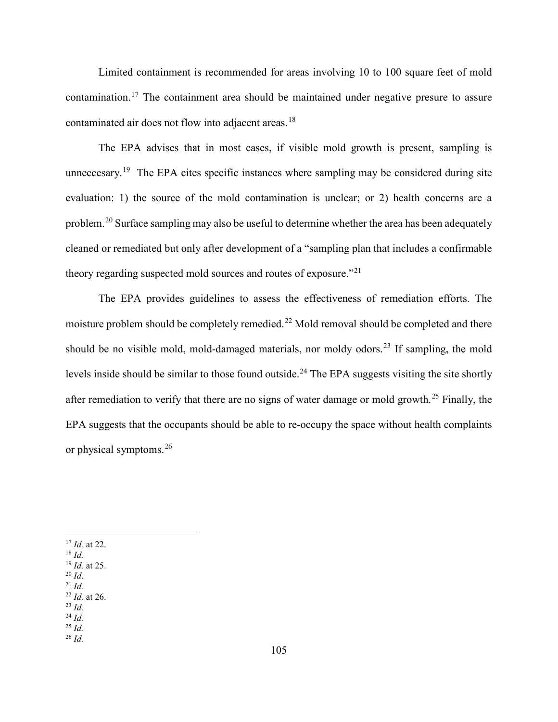Limited containment is recommended for areas involving 10 to 100 square feet of mold contamination.<sup>17</sup> The containment area should be maintained under negative presure to assure contaminated air does not flow into adjacent areas.<sup>18</sup>

The EPA advises that in most cases, if visible mold growth is present, sampling is unneccesary.<sup>19</sup> The EPA cites specific instances where sampling may be considered during site evaluation: 1) the source of the mold contamination is unclear; or 2) health concerns are a problem.<sup>20</sup> Surface sampling may also be useful to determine whether the area has been adequately cleaned or remediated but only after development of a "sampling plan that includes a confirmable theory regarding suspected mold sources and routes of exposure."<sup>21</sup>

The EPA provides guidelines to assess the effectiveness of remediation efforts. The moisture problem should be completely remedied.<sup>22</sup> Mold removal should be completed and there should be no visible mold, mold-damaged materials, nor moldy odors.<sup>23</sup> If sampling, the mold levels inside should be similar to those found outside.<sup>24</sup> The EPA suggests visiting the site shortly after remediation to verify that there are no signs of water damage or mold growth.<sup>25</sup> Finally, the EPA suggests that the occupants should be able to re-occupy the space without health complaints or physical symptoms.<sup>26</sup>

- <sup>17</sup> *Id.* at 22. 18 *Id.*
- 
- <sup>19</sup> *Id.* at 25. 20 *Id*. 21 *Id.*
- 

 $\overline{\phantom{a}}$ 

- <sup>22</sup> *Id.* at 26. 23 *Id.*
- <sup>24</sup> *Id.*
- <sup>25</sup> *Id.*
- <sup>26</sup> *Id.*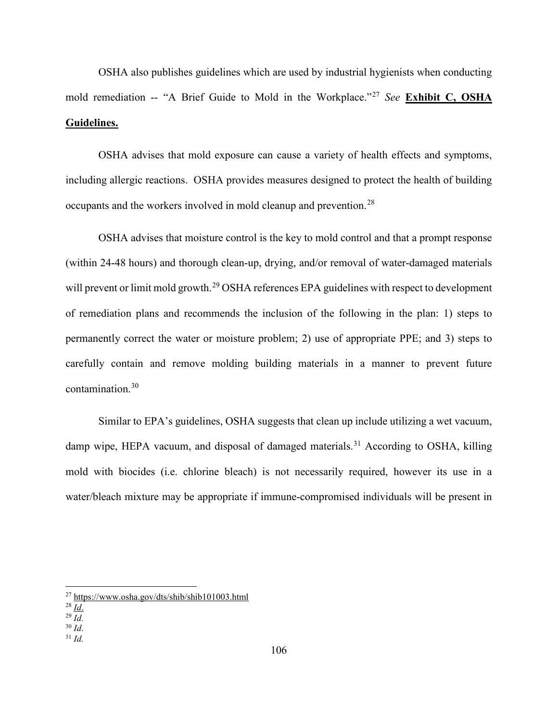OSHA also publishes guidelines which are used by industrial hygienists when conducting mold remediation -- "A Brief Guide to Mold in the Workplace."<sup>27</sup> *See* **Exhibit C, OSHA Guidelines.**

OSHA advises that mold exposure can cause a variety of health effects and symptoms, including allergic reactions. OSHA provides measures designed to protect the health of building occupants and the workers involved in mold cleanup and prevention.<sup>28</sup>

OSHA advises that moisture control is the key to mold control and that a prompt response (within 24-48 hours) and thorough clean-up, drying, and/or removal of water-damaged materials will prevent or limit mold growth.<sup>29</sup> OSHA references EPA guidelines with respect to development of remediation plans and recommends the inclusion of the following in the plan: 1) steps to permanently correct the water or moisture problem; 2) use of appropriate PPE; and 3) steps to carefully contain and remove molding building materials in a manner to prevent future contamination.30

Similar to EPA's guidelines, OSHA suggests that clean up include utilizing a wet vacuum, damp wipe, HEPA vacuum, and disposal of damaged materials.<sup>31</sup> According to OSHA, killing mold with biocides (i.e. chlorine bleach) is not necessarily required, however its use in a water/bleach mixture may be appropriate if immune-compromised individuals will be present in

l

- $31$  *Id.*
- 

<sup>27</sup> https://www.osha.gov/dts/shib/shib101003.html

 $^{28}$  $\overline{Id}$ .

 $\frac{^{29} \text{Id}}{^{30} \text{Id}}$ .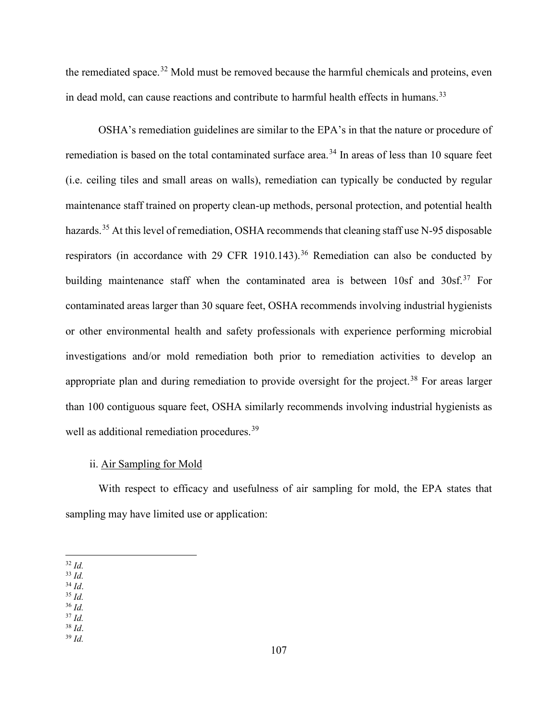the remediated space.<sup>32</sup> Mold must be removed because the harmful chemicals and proteins, even in dead mold, can cause reactions and contribute to harmful health effects in humans.<sup>33</sup>

OSHA's remediation guidelines are similar to the EPA's in that the nature or procedure of remediation is based on the total contaminated surface area.<sup>34</sup> In areas of less than 10 square feet (i.e. ceiling tiles and small areas on walls), remediation can typically be conducted by regular maintenance staff trained on property clean-up methods, personal protection, and potential health hazards.<sup>35</sup> At this level of remediation, OSHA recommends that cleaning staff use N-95 disposable respirators (in accordance with 29 CFR 1910.143).<sup>36</sup> Remediation can also be conducted by building maintenance staff when the contaminated area is between  $10sf$  and  $30sf$ .<sup>37</sup> For contaminated areas larger than 30 square feet, OSHA recommends involving industrial hygienists or other environmental health and safety professionals with experience performing microbial investigations and/or mold remediation both prior to remediation activities to develop an appropriate plan and during remediation to provide oversight for the project.<sup>38</sup> For areas larger than 100 contiguous square feet, OSHA similarly recommends involving industrial hygienists as well as additional remediation procedures.<sup>39</sup>

### ii. Air Sampling for Mold

With respect to efficacy and usefulness of air sampling for mold, the EPA states that sampling may have limited use or application:

- $35$  *Id.*
- <sup>36</sup> *Id.*
- 
- $\frac{37}{38}$  *Id.*
- <sup>38</sup> *Id*. 39 *Id.*

l <sup>32</sup> *Id.*

 $\frac{33}{34}$  *Id.*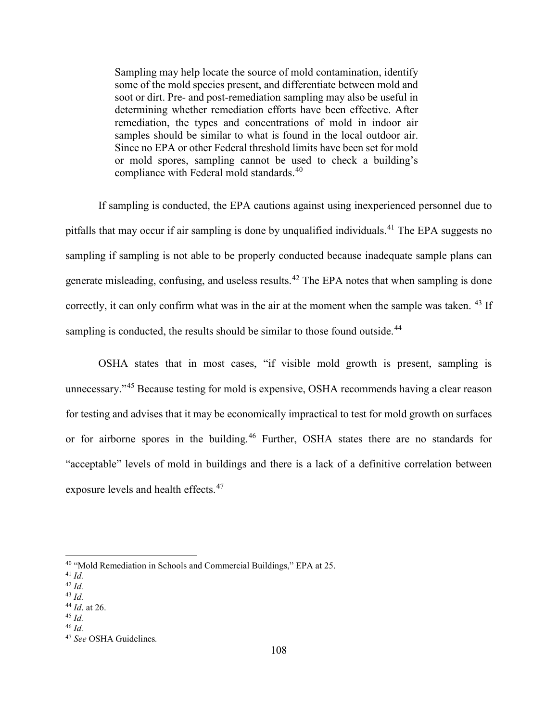Sampling may help locate the source of mold contamination, identify some of the mold species present, and differentiate between mold and soot or dirt. Pre- and post-remediation sampling may also be useful in determining whether remediation efforts have been effective. After remediation, the types and concentrations of mold in indoor air samples should be similar to what is found in the local outdoor air. Since no EPA or other Federal threshold limits have been set for mold or mold spores, sampling cannot be used to check a building's compliance with Federal mold standards.<sup>40</sup>

If sampling is conducted, the EPA cautions against using inexperienced personnel due to pitfalls that may occur if air sampling is done by unqualified individuals.<sup>41</sup> The EPA suggests no sampling if sampling is not able to be properly conducted because inadequate sample plans can generate misleading, confusing, and useless results.<sup>42</sup> The EPA notes that when sampling is done correctly, it can only confirm what was in the air at the moment when the sample was taken. <sup>43</sup> If sampling is conducted, the results should be similar to those found outside.<sup>44</sup>

OSHA states that in most cases, "if visible mold growth is present, sampling is unnecessary."<sup>45</sup> Because testing for mold is expensive, OSHA recommends having a clear reason for testing and advises that it may be economically impractical to test for mold growth on surfaces or for airborne spores in the building.<sup>46</sup> Further, OSHA states there are no standards for "acceptable" levels of mold in buildings and there is a lack of a definitive correlation between exposure levels and health effects.<sup>47</sup>

l

<sup>40</sup> "Mold Remediation in Schools and Commercial Buildings," EPA at 25. 41 *Id.*

<sup>42</sup> *Id.*

<sup>43</sup> *Id.*

<sup>44</sup> *Id*. at 26. 45 *Id.*

<sup>46</sup> *Id.*

<sup>47</sup> *See* OSHA Guidelines*.*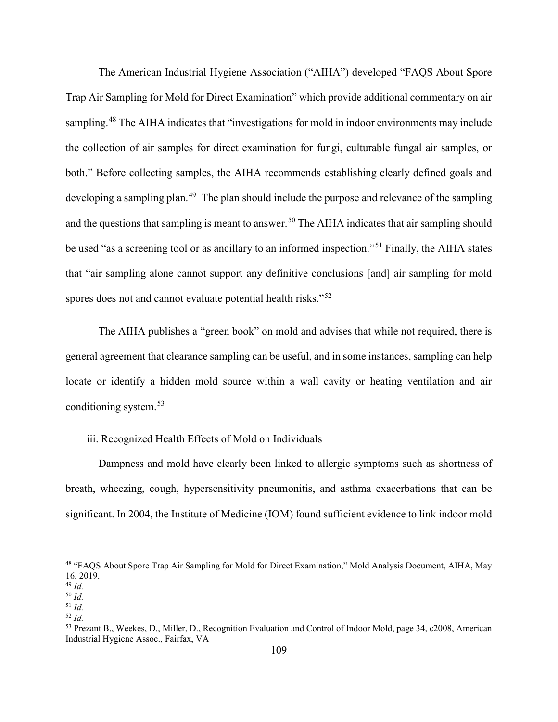The American Industrial Hygiene Association ("AIHA") developed "FAQS About Spore Trap Air Sampling for Mold for Direct Examination" which provide additional commentary on air sampling.<sup>48</sup> The AIHA indicates that "investigations for mold in indoor environments may include the collection of air samples for direct examination for fungi, culturable fungal air samples, or both." Before collecting samples, the AIHA recommends establishing clearly defined goals and developing a sampling plan.<sup>49</sup> The plan should include the purpose and relevance of the sampling and the questions that sampling is meant to answer.<sup>50</sup> The AIHA indicates that air sampling should be used "as a screening tool or as ancillary to an informed inspection."<sup>51</sup> Finally, the AIHA states that "air sampling alone cannot support any definitive conclusions [and] air sampling for mold spores does not and cannot evaluate potential health risks."<sup>52</sup>

The AIHA publishes a "green book" on mold and advises that while not required, there is general agreement that clearance sampling can be useful, and in some instances, sampling can help locate or identify a hidden mold source within a wall cavity or heating ventilation and air conditioning system.<sup>53</sup>

### iii. Recognized Health Effects of Mold on Individuals

Dampness and mold have clearly been linked to allergic symptoms such as shortness of breath, wheezing, cough, hypersensitivity pneumonitis, and asthma exacerbations that can be significant. In 2004, the Institute of Medicine (IOM) found sufficient evidence to link indoor mold

l

<sup>48</sup> "FAQS About Spore Trap Air Sampling for Mold for Direct Examination," Mold Analysis Document, AIHA, May 16, 2019. <sup>49</sup> *Id.*

<sup>50</sup> *Id.*

<sup>51</sup> *Id.*

<sup>52</sup> *Id.*

<sup>53</sup> Prezant B., Weekes, D., Miller, D., Recognition Evaluation and Control of Indoor Mold, page 34, c2008, American Industrial Hygiene Assoc., Fairfax, VA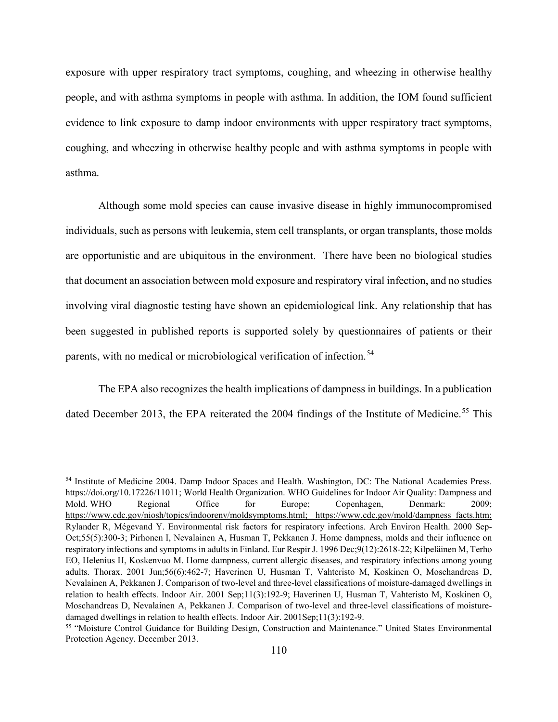exposure with upper respiratory tract symptoms, coughing, and wheezing in otherwise healthy people, and with asthma symptoms in people with asthma. In addition, the IOM found sufficient evidence to link exposure to damp indoor environments with upper respiratory tract symptoms, coughing, and wheezing in otherwise healthy people and with asthma symptoms in people with asthma.

Although some mold species can cause invasive disease in highly immunocompromised individuals, such as persons with leukemia, stem cell transplants, or organ transplants, those molds are opportunistic and are ubiquitous in the environment. There have been no biological studies that document an association between mold exposure and respiratory viral infection, and no studies involving viral diagnostic testing have shown an epidemiological link. Any relationship that has been suggested in published reports is supported solely by questionnaires of patients or their parents, with no medical or microbiological verification of infection.<sup>54</sup>

The EPA also recognizes the health implications of dampness in buildings. In a publication dated December 2013, the EPA reiterated the 2004 findings of the Institute of Medicine.<sup>55</sup> This

l

<sup>54</sup> Institute of Medicine 2004. Damp Indoor Spaces and Health. Washington, DC: The National Academies Press. https://doi.org/10.17226/11011; World Health Organization. WHO Guidelines for Indoor Air Quality: Dampness and Mold. WHO Regional Office for Europe; Copenhagen, Denmark: 2009; https://www.cdc.gov/niosh/topics/indoorenv/moldsymptoms.html; https://www.cdc.gov/mold/dampness facts.htm; Rylander R, Mégevand Y. Environmental risk factors for respiratory infections. Arch Environ Health. 2000 Sep-Oct;55(5):300-3; Pirhonen I, Nevalainen A, Husman T, Pekkanen J. Home dampness, molds and their influence on respiratory infections and symptoms in adults in Finland. Eur Respir J. 1996 Dec;9(12):2618-22; Kilpeläinen M, Terho EO, Helenius H, Koskenvuo M. Home dampness, current allergic diseases, and respiratory infections among young adults. Thorax. 2001 Jun;56(6):462-7; Haverinen U, Husman T, Vahteristo M, Koskinen O, Moschandreas D, Nevalainen A, Pekkanen J. Comparison of two-level and three-level classifications of moisture-damaged dwellings in relation to health effects. Indoor Air. 2001 Sep;11(3):192-9; Haverinen U, Husman T, Vahteristo M, Koskinen O, Moschandreas D, Nevalainen A, Pekkanen J. Comparison of two-level and three-level classifications of moisturedamaged dwellings in relation to health effects. Indoor Air. 2001Sep;11(3):192-9.<br><sup>55</sup> "Moisture Control Guidance for Building Design, Construction and Maintenance." United States Environmental

Protection Agency. December 2013.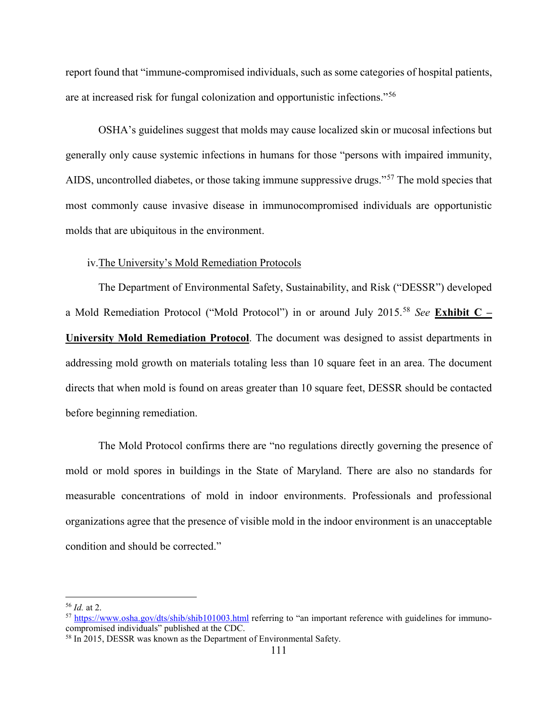report found that "immune-compromised individuals, such as some categories of hospital patients, are at increased risk for fungal colonization and opportunistic infections."<sup>56</sup>

OSHA's guidelines suggest that molds may cause localized skin or mucosal infections but generally only cause systemic infections in humans for those "persons with impaired immunity, AIDS, uncontrolled diabetes, or those taking immune suppressive drugs."<sup>57</sup> The mold species that most commonly cause invasive disease in immunocompromised individuals are opportunistic molds that are ubiquitous in the environment.

### iv.The University's Mold Remediation Protocols

The Department of Environmental Safety, Sustainability, and Risk ("DESSR") developed a Mold Remediation Protocol ("Mold Protocol") in or around July 2015.<sup>58</sup> *See* **Exhibit C – University Mold Remediation Protocol**. The document was designed to assist departments in addressing mold growth on materials totaling less than 10 square feet in an area. The document directs that when mold is found on areas greater than 10 square feet, DESSR should be contacted before beginning remediation.

The Mold Protocol confirms there are "no regulations directly governing the presence of mold or mold spores in buildings in the State of Maryland. There are also no standards for measurable concentrations of mold in indoor environments. Professionals and professional organizations agree that the presence of visible mold in the indoor environment is an unacceptable condition and should be corrected."

 $\overline{\phantom{a}}$ 

<sup>&</sup>lt;sup>56</sup> *Id.* at 2.<br><sup>57</sup> https://www.osha.gov/dts/shib/shib101003.html referring to "an important reference with guidelines for immunocompromised individuals" published at the CDC.

<sup>&</sup>lt;sup>58</sup> In 2015, DESSR was known as the Department of Environmental Safety.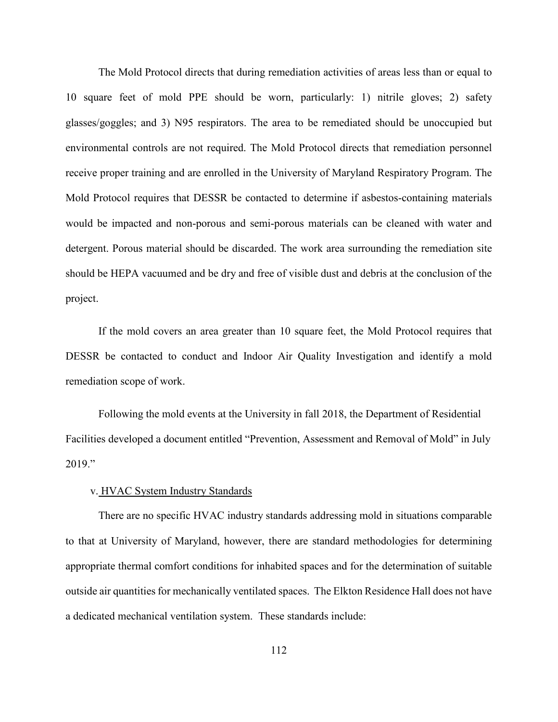The Mold Protocol directs that during remediation activities of areas less than or equal to 10 square feet of mold PPE should be worn, particularly: 1) nitrile gloves; 2) safety glasses/goggles; and 3) N95 respirators. The area to be remediated should be unoccupied but environmental controls are not required. The Mold Protocol directs that remediation personnel receive proper training and are enrolled in the University of Maryland Respiratory Program. The Mold Protocol requires that DESSR be contacted to determine if asbestos-containing materials would be impacted and non-porous and semi-porous materials can be cleaned with water and detergent. Porous material should be discarded. The work area surrounding the remediation site should be HEPA vacuumed and be dry and free of visible dust and debris at the conclusion of the project.

If the mold covers an area greater than 10 square feet, the Mold Protocol requires that DESSR be contacted to conduct and Indoor Air Quality Investigation and identify a mold remediation scope of work.

Following the mold events at the University in fall 2018, the Department of Residential Facilities developed a document entitled "Prevention, Assessment and Removal of Mold" in July 2019."

## v. HVAC System Industry Standards

There are no specific HVAC industry standards addressing mold in situations comparable to that at University of Maryland, however, there are standard methodologies for determining appropriate thermal comfort conditions for inhabited spaces and for the determination of suitable outside air quantities for mechanically ventilated spaces. The Elkton Residence Hall does not have a dedicated mechanical ventilation system. These standards include: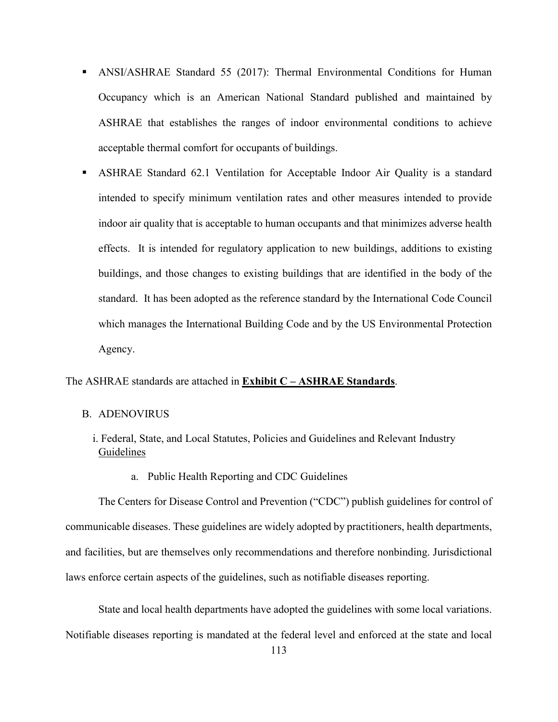- ANSI/ASHRAE Standard 55 (2017): Thermal Environmental Conditions for Human Occupancy which is an American National Standard published and maintained by ASHRAE that establishes the ranges of indoor environmental conditions to achieve acceptable thermal comfort for occupants of buildings.
- ASHRAE Standard 62.1 Ventilation for Acceptable Indoor Air Quality is a standard intended to specify minimum ventilation rates and other measures intended to provide indoor air quality that is acceptable to human occupants and that minimizes adverse health effects. It is intended for regulatory application to new buildings, additions to existing buildings, and those changes to existing buildings that are identified in the body of the standard. It has been adopted as the reference standard by the International Code Council which manages the International Building Code and by the US Environmental Protection Agency.

## The ASHRAE standards are attached in **Exhibit C – ASHRAE Standards**.

#### B. ADENOVIRUS

- i. Federal, State, and Local Statutes, Policies and Guidelines and Relevant Industry Guidelines
	- a. Public Health Reporting and CDC Guidelines

The Centers for Disease Control and Prevention ("CDC") publish guidelines for control of communicable diseases. These guidelines are widely adopted by practitioners, health departments, and facilities, but are themselves only recommendations and therefore nonbinding. Jurisdictional laws enforce certain aspects of the guidelines, such as notifiable diseases reporting.

State and local health departments have adopted the guidelines with some local variations. Notifiable diseases reporting is mandated at the federal level and enforced at the state and local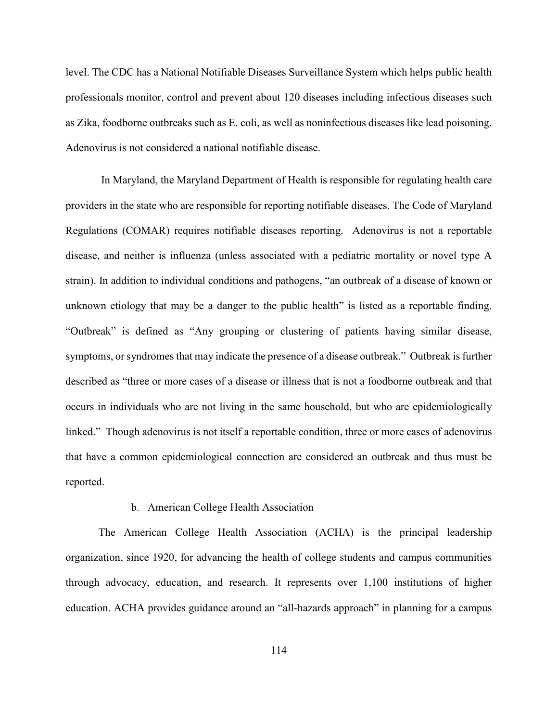level. The CDC has a National Notifiable Diseases Surveillance System which helps public health professionals monitor, control and prevent about 120 diseases including infectious diseases such as Zika, foodborne outbreaks such as E. coli, as well as noninfectious diseases like lead poisoning. Adenovirus is not considered a national notifiable disease.

In Maryland, the Maryland Department of Health is responsible for regulating health care providers in the state who are responsible for reporting notifiable diseases. The Code of Maryland Regulations (COMAR) requires notifiable diseases reporting. Adenovirus is not a reportable disease, and neither is influenza (unless associated with a pediatric mortality or novel type A strain). In addition to individual conditions and pathogens, "an outbreak of a disease of known or unknown etiology that may be a danger to the public health" is listed as a reportable finding. "Outbreak" is defined as "Any grouping or clustering of patients having similar disease, symptoms, or syndromes that may indicate the presence of a disease outbreak." Outbreak is further described as "three or more cases of a disease or illness that is not a foodborne outbreak and that occurs in individuals who are not living in the same household, but who are epidemiologically linked." Though adenovirus is not itself a reportable condition, three or more cases of adenovirus that have a common epidemiological connection are considered an outbreak and thus must be reported.

#### b. American College Health Association

The American College Health Association (ACHA) is the principal leadership organization, since 1920, for advancing the health of college students and campus communities through advocacy, education, and research. It represents over 1,100 institutions of higher education. ACHA provides guidance around an "all-hazards approach" in planning for a campus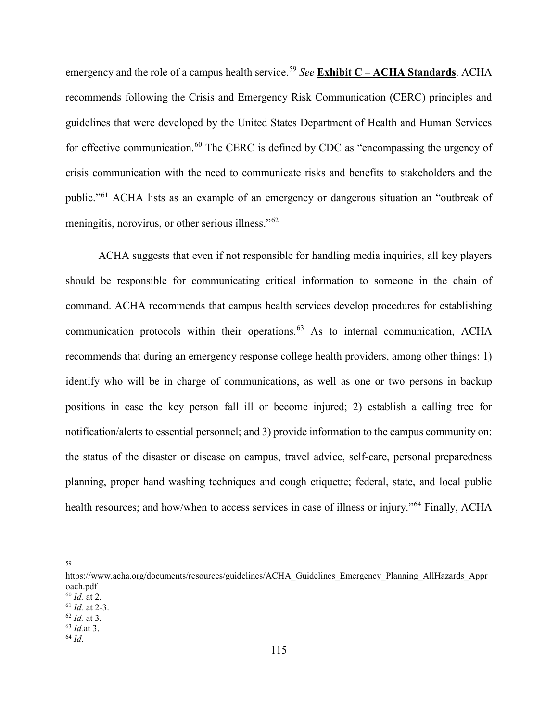emergency and the role of a campus health service.<sup>59</sup> *See* **Exhibit C – ACHA Standards**. ACHA recommends following the Crisis and Emergency Risk Communication (CERC) principles and guidelines that were developed by the United States Department of Health and Human Services for effective communication.<sup>60</sup> The CERC is defined by CDC as "encompassing the urgency of crisis communication with the need to communicate risks and benefits to stakeholders and the public."<sup>61</sup> ACHA lists as an example of an emergency or dangerous situation an "outbreak of meningitis, norovirus, or other serious illness."<sup>62</sup>

ACHA suggests that even if not responsible for handling media inquiries, all key players should be responsible for communicating critical information to someone in the chain of command. ACHA recommends that campus health services develop procedures for establishing communication protocols within their operations.<sup>63</sup> As to internal communication, ACHA recommends that during an emergency response college health providers, among other things: 1) identify who will be in charge of communications, as well as one or two persons in backup positions in case the key person fall ill or become injured; 2) establish a calling tree for notification/alerts to essential personnel; and 3) provide information to the campus community on: the status of the disaster or disease on campus, travel advice, self-care, personal preparedness planning, proper hand washing techniques and cough etiquette; federal, state, and local public health resources; and how/when to access services in case of illness or injury."<sup>64</sup> Finally, ACHA

l 59

https://www.acha.org/documents/resources/guidelines/ACHA\_Guidelines\_Emergency\_Planning\_AllHazards\_Appr  $\frac{\text{oach.pdf}}{60 \text{ Id. at 2}}$ 

<sup>60</sup> *Id.* at 2. 61 *Id.* at 2-3. 62 *Id.* at 3. 63 *Id.*at 3. 64 *Id*.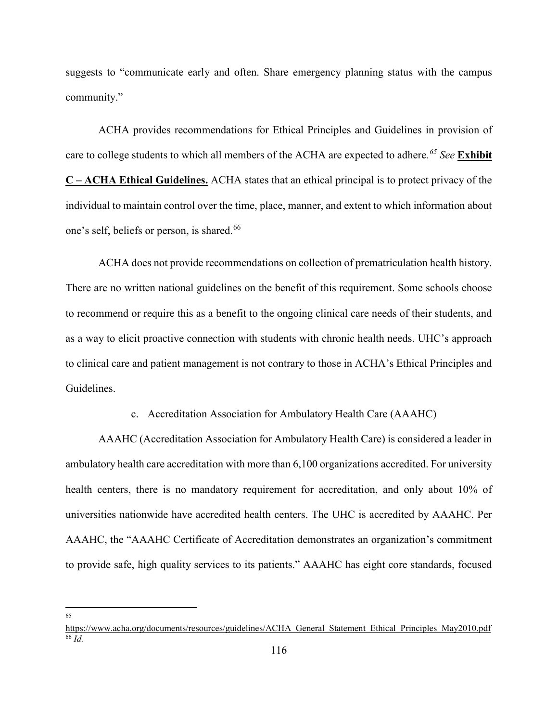suggests to "communicate early and often. Share emergency planning status with the campus community."

ACHA provides recommendations for Ethical Principles and Guidelines in provision of care to college students to which all members of the ACHA are expected to adhere*. <sup>65</sup> See* **Exhibit C – ACHA Ethical Guidelines.** ACHA states that an ethical principal is to protect privacy of the individual to maintain control over the time, place, manner, and extent to which information about one's self, beliefs or person, is shared.<sup>66</sup>

ACHA does not provide recommendations on collection of prematriculation health history. There are no written national guidelines on the benefit of this requirement. Some schools choose to recommend or require this as a benefit to the ongoing clinical care needs of their students, and as a way to elicit proactive connection with students with chronic health needs. UHC's approach to clinical care and patient management is not contrary to those in ACHA's Ethical Principles and Guidelines.

c. Accreditation Association for Ambulatory Health Care (AAAHC)

AAAHC (Accreditation Association for Ambulatory Health Care) is considered a leader in ambulatory health care accreditation with more than 6,100 organizations accredited. For university health centers, there is no mandatory requirement for accreditation, and only about 10% of universities nationwide have accredited health centers. The UHC is accredited by AAAHC. Per AAAHC, the "AAAHC Certificate of Accreditation demonstrates an organization's commitment to provide safe, high quality services to its patients." AAAHC has eight core standards, focused

 $\overline{\phantom{a}}$ 65

https://www.acha.org/documents/resources/guidelines/ACHA\_General\_Statement\_Ethical\_Principles\_May2010.pdf <sup>66</sup> *Id.*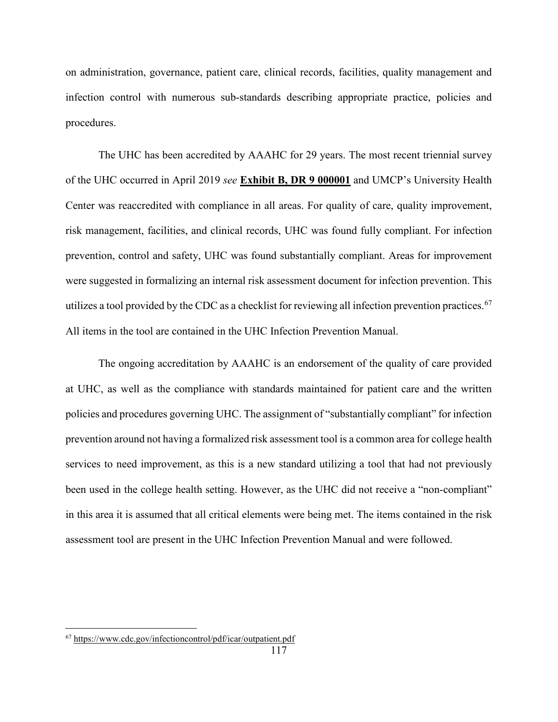on administration, governance, patient care, clinical records, facilities, quality management and infection control with numerous sub-standards describing appropriate practice, policies and procedures.

The UHC has been accredited by AAAHC for 29 years. The most recent triennial survey of the UHC occurred in April 2019 *see* **Exhibit B, DR 9 000001** and UMCP's University Health Center was reaccredited with compliance in all areas. For quality of care, quality improvement, risk management, facilities, and clinical records, UHC was found fully compliant. For infection prevention, control and safety, UHC was found substantially compliant. Areas for improvement were suggested in formalizing an internal risk assessment document for infection prevention. This utilizes a tool provided by the CDC as a checklist for reviewing all infection prevention practices.<sup>67</sup> All items in the tool are contained in the UHC Infection Prevention Manual.

The ongoing accreditation by AAAHC is an endorsement of the quality of care provided at UHC, as well as the compliance with standards maintained for patient care and the written policies and procedures governing UHC. The assignment of "substantially compliant" for infection prevention around not having a formalized risk assessment tool is a common area for college health services to need improvement, as this is a new standard utilizing a tool that had not previously been used in the college health setting. However, as the UHC did not receive a "non-compliant" in this area it is assumed that all critical elements were being met. The items contained in the risk assessment tool are present in the UHC Infection Prevention Manual and were followed.

 $\overline{\phantom{a}}$ 

<sup>&</sup>lt;sup>67</sup> https://www.cdc.gov/infectioncontrol/pdf/icar/outpatient.pdf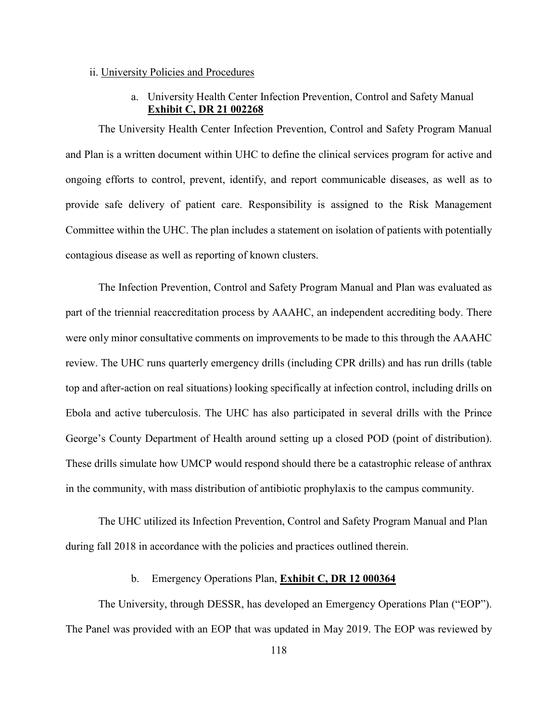### ii. University Policies and Procedures

# a. University Health Center Infection Prevention, Control and Safety Manual **Exhibit C, DR 21 002268**

The University Health Center Infection Prevention, Control and Safety Program Manual and Plan is a written document within UHC to define the clinical services program for active and ongoing efforts to control, prevent, identify, and report communicable diseases, as well as to provide safe delivery of patient care. Responsibility is assigned to the Risk Management Committee within the UHC. The plan includes a statement on isolation of patients with potentially contagious disease as well as reporting of known clusters.

The Infection Prevention, Control and Safety Program Manual and Plan was evaluated as part of the triennial reaccreditation process by AAAHC, an independent accrediting body. There were only minor consultative comments on improvements to be made to this through the AAAHC review. The UHC runs quarterly emergency drills (including CPR drills) and has run drills (table top and after-action on real situations) looking specifically at infection control, including drills on Ebola and active tuberculosis. The UHC has also participated in several drills with the Prince George's County Department of Health around setting up a closed POD (point of distribution). These drills simulate how UMCP would respond should there be a catastrophic release of anthrax in the community, with mass distribution of antibiotic prophylaxis to the campus community.

The UHC utilized its Infection Prevention, Control and Safety Program Manual and Plan during fall 2018 in accordance with the policies and practices outlined therein.

# b. Emergency Operations Plan, **Exhibit C, DR 12 000364**

The University, through DESSR, has developed an Emergency Operations Plan ("EOP"). The Panel was provided with an EOP that was updated in May 2019. The EOP was reviewed by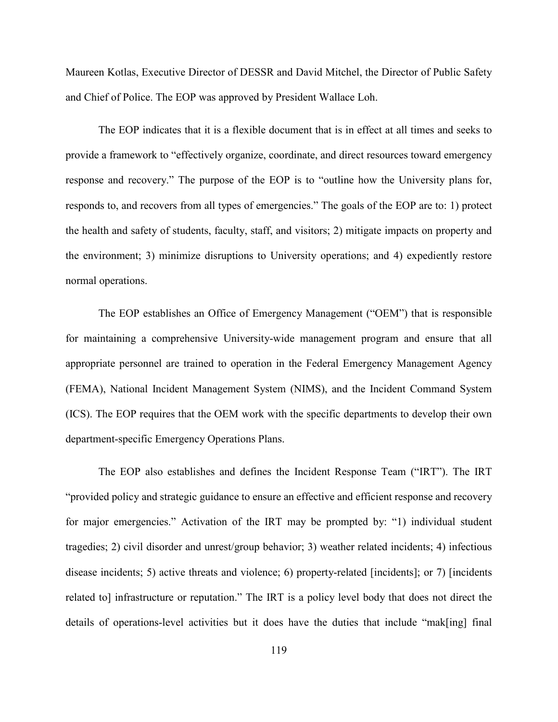Maureen Kotlas, Executive Director of DESSR and David Mitchel, the Director of Public Safety and Chief of Police. The EOP was approved by President Wallace Loh.

The EOP indicates that it is a flexible document that is in effect at all times and seeks to provide a framework to "effectively organize, coordinate, and direct resources toward emergency response and recovery." The purpose of the EOP is to "outline how the University plans for, responds to, and recovers from all types of emergencies." The goals of the EOP are to: 1) protect the health and safety of students, faculty, staff, and visitors; 2) mitigate impacts on property and the environment; 3) minimize disruptions to University operations; and 4) expediently restore normal operations.

The EOP establishes an Office of Emergency Management ("OEM") that is responsible for maintaining a comprehensive University-wide management program and ensure that all appropriate personnel are trained to operation in the Federal Emergency Management Agency (FEMA), National Incident Management System (NIMS), and the Incident Command System (ICS). The EOP requires that the OEM work with the specific departments to develop their own department-specific Emergency Operations Plans.

The EOP also establishes and defines the Incident Response Team ("IRT"). The IRT "provided policy and strategic guidance to ensure an effective and efficient response and recovery for major emergencies." Activation of the IRT may be prompted by: "1) individual student tragedies; 2) civil disorder and unrest/group behavior; 3) weather related incidents; 4) infectious disease incidents; 5) active threats and violence; 6) property-related [incidents]; or 7) [incidents related to] infrastructure or reputation." The IRT is a policy level body that does not direct the details of operations-level activities but it does have the duties that include "mak[ing] final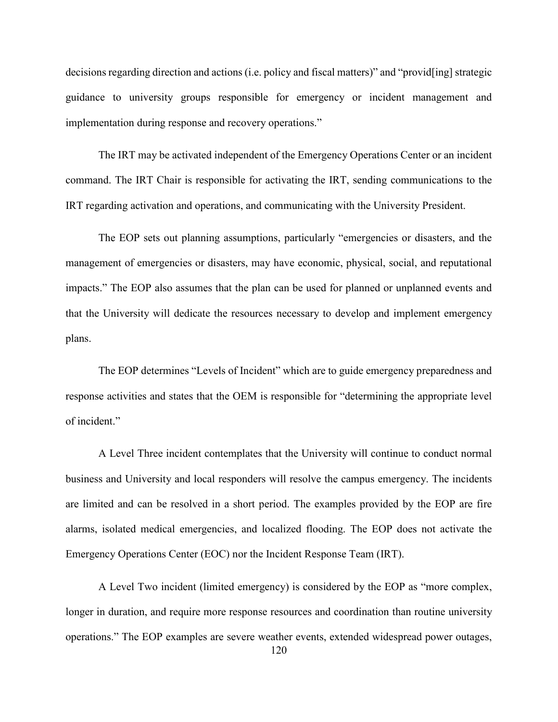decisions regarding direction and actions (i.e. policy and fiscal matters)" and "provid[ing] strategic guidance to university groups responsible for emergency or incident management and implementation during response and recovery operations."

The IRT may be activated independent of the Emergency Operations Center or an incident command. The IRT Chair is responsible for activating the IRT, sending communications to the IRT regarding activation and operations, and communicating with the University President.

The EOP sets out planning assumptions, particularly "emergencies or disasters, and the management of emergencies or disasters, may have economic, physical, social, and reputational impacts." The EOP also assumes that the plan can be used for planned or unplanned events and that the University will dedicate the resources necessary to develop and implement emergency plans.

The EOP determines "Levels of Incident" which are to guide emergency preparedness and response activities and states that the OEM is responsible for "determining the appropriate level of incident."

A Level Three incident contemplates that the University will continue to conduct normal business and University and local responders will resolve the campus emergency. The incidents are limited and can be resolved in a short period. The examples provided by the EOP are fire alarms, isolated medical emergencies, and localized flooding. The EOP does not activate the Emergency Operations Center (EOC) nor the Incident Response Team (IRT).

A Level Two incident (limited emergency) is considered by the EOP as "more complex, longer in duration, and require more response resources and coordination than routine university operations." The EOP examples are severe weather events, extended widespread power outages,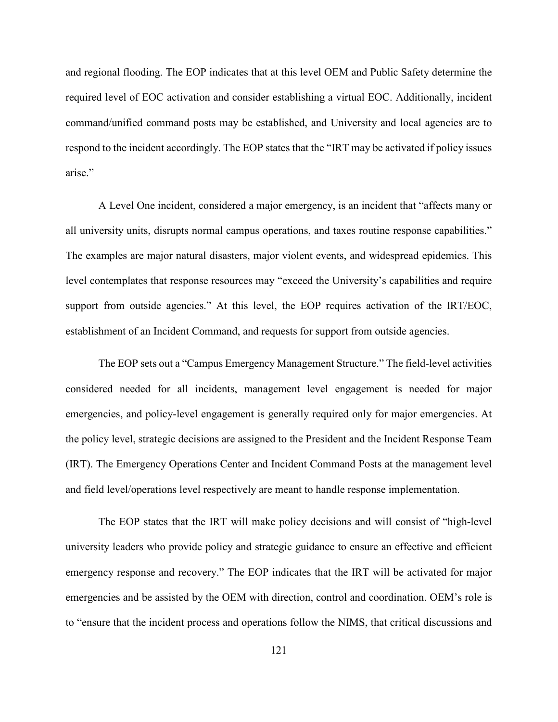and regional flooding. The EOP indicates that at this level OEM and Public Safety determine the required level of EOC activation and consider establishing a virtual EOC. Additionally, incident command/unified command posts may be established, and University and local agencies are to respond to the incident accordingly. The EOP states that the "IRT may be activated if policy issues arise<sup>"</sup>

A Level One incident, considered a major emergency, is an incident that "affects many or all university units, disrupts normal campus operations, and taxes routine response capabilities." The examples are major natural disasters, major violent events, and widespread epidemics. This level contemplates that response resources may "exceed the University's capabilities and require support from outside agencies." At this level, the EOP requires activation of the IRT/EOC, establishment of an Incident Command, and requests for support from outside agencies.

The EOP sets out a "Campus Emergency Management Structure." The field-level activities considered needed for all incidents, management level engagement is needed for major emergencies, and policy-level engagement is generally required only for major emergencies. At the policy level, strategic decisions are assigned to the President and the Incident Response Team (IRT). The Emergency Operations Center and Incident Command Posts at the management level and field level/operations level respectively are meant to handle response implementation.

The EOP states that the IRT will make policy decisions and will consist of "high-level university leaders who provide policy and strategic guidance to ensure an effective and efficient emergency response and recovery." The EOP indicates that the IRT will be activated for major emergencies and be assisted by the OEM with direction, control and coordination. OEM's role is to "ensure that the incident process and operations follow the NIMS, that critical discussions and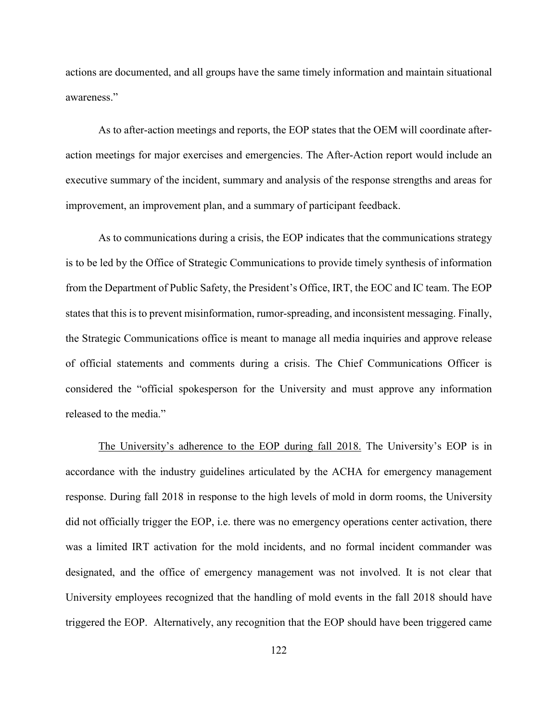actions are documented, and all groups have the same timely information and maintain situational awareness."

As to after-action meetings and reports, the EOP states that the OEM will coordinate afteraction meetings for major exercises and emergencies. The After-Action report would include an executive summary of the incident, summary and analysis of the response strengths and areas for improvement, an improvement plan, and a summary of participant feedback.

As to communications during a crisis, the EOP indicates that the communications strategy is to be led by the Office of Strategic Communications to provide timely synthesis of information from the Department of Public Safety, the President's Office, IRT, the EOC and IC team. The EOP states that this is to prevent misinformation, rumor-spreading, and inconsistent messaging. Finally, the Strategic Communications office is meant to manage all media inquiries and approve release of official statements and comments during a crisis. The Chief Communications Officer is considered the "official spokesperson for the University and must approve any information released to the media."

The University's adherence to the EOP during fall 2018. The University's EOP is in accordance with the industry guidelines articulated by the ACHA for emergency management response. During fall 2018 in response to the high levels of mold in dorm rooms, the University did not officially trigger the EOP, i.e. there was no emergency operations center activation, there was a limited IRT activation for the mold incidents, and no formal incident commander was designated, and the office of emergency management was not involved. It is not clear that University employees recognized that the handling of mold events in the fall 2018 should have triggered the EOP. Alternatively, any recognition that the EOP should have been triggered came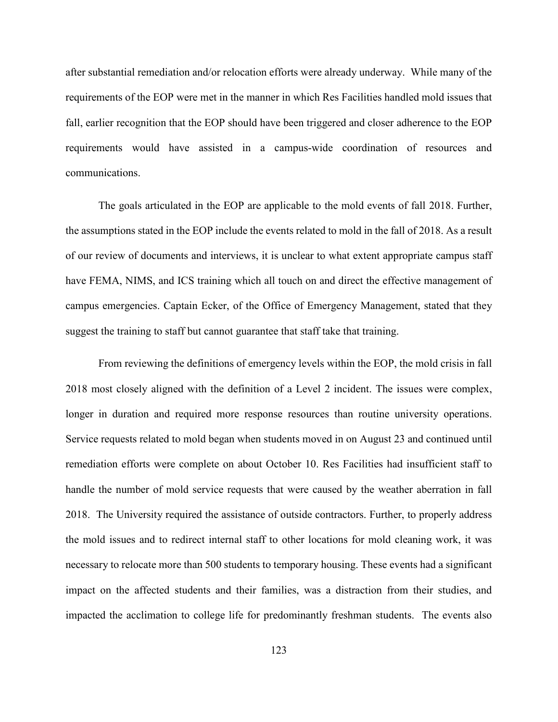after substantial remediation and/or relocation efforts were already underway. While many of the requirements of the EOP were met in the manner in which Res Facilities handled mold issues that fall, earlier recognition that the EOP should have been triggered and closer adherence to the EOP requirements would have assisted in a campus-wide coordination of resources and communications.

The goals articulated in the EOP are applicable to the mold events of fall 2018. Further, the assumptions stated in the EOP include the events related to mold in the fall of 2018. As a result of our review of documents and interviews, it is unclear to what extent appropriate campus staff have FEMA, NIMS, and ICS training which all touch on and direct the effective management of campus emergencies. Captain Ecker, of the Office of Emergency Management, stated that they suggest the training to staff but cannot guarantee that staff take that training.

From reviewing the definitions of emergency levels within the EOP, the mold crisis in fall 2018 most closely aligned with the definition of a Level 2 incident. The issues were complex, longer in duration and required more response resources than routine university operations. Service requests related to mold began when students moved in on August 23 and continued until remediation efforts were complete on about October 10. Res Facilities had insufficient staff to handle the number of mold service requests that were caused by the weather aberration in fall 2018. The University required the assistance of outside contractors. Further, to properly address the mold issues and to redirect internal staff to other locations for mold cleaning work, it was necessary to relocate more than 500 students to temporary housing. These events had a significant impact on the affected students and their families, was a distraction from their studies, and impacted the acclimation to college life for predominantly freshman students. The events also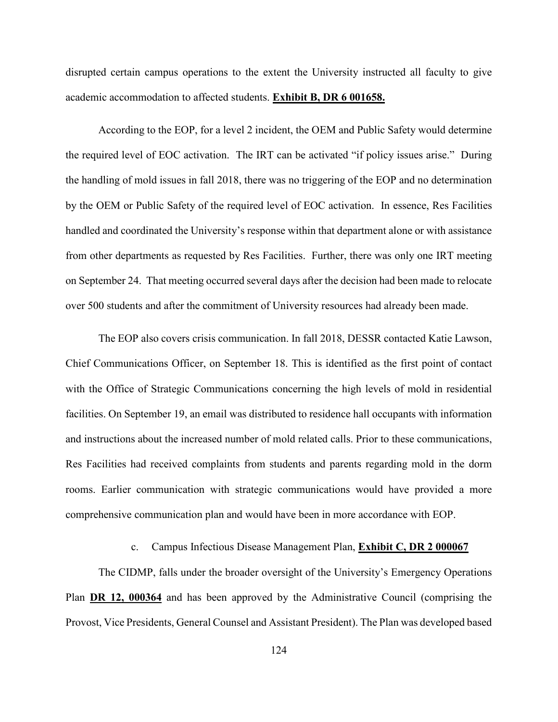disrupted certain campus operations to the extent the University instructed all faculty to give academic accommodation to affected students. **Exhibit B, DR 6 001658.** 

According to the EOP, for a level 2 incident, the OEM and Public Safety would determine the required level of EOC activation. The IRT can be activated "if policy issues arise." During the handling of mold issues in fall 2018, there was no triggering of the EOP and no determination by the OEM or Public Safety of the required level of EOC activation. In essence, Res Facilities handled and coordinated the University's response within that department alone or with assistance from other departments as requested by Res Facilities. Further, there was only one IRT meeting on September 24. That meeting occurred several days after the decision had been made to relocate over 500 students and after the commitment of University resources had already been made.

The EOP also covers crisis communication. In fall 2018, DESSR contacted Katie Lawson, Chief Communications Officer, on September 18. This is identified as the first point of contact with the Office of Strategic Communications concerning the high levels of mold in residential facilities. On September 19, an email was distributed to residence hall occupants with information and instructions about the increased number of mold related calls. Prior to these communications, Res Facilities had received complaints from students and parents regarding mold in the dorm rooms. Earlier communication with strategic communications would have provided a more comprehensive communication plan and would have been in more accordance with EOP.

## c. Campus Infectious Disease Management Plan, **Exhibit C, DR 2 000067**

The CIDMP, falls under the broader oversight of the University's Emergency Operations Plan **DR 12, 000364** and has been approved by the Administrative Council (comprising the Provost, Vice Presidents, General Counsel and Assistant President). The Plan was developed based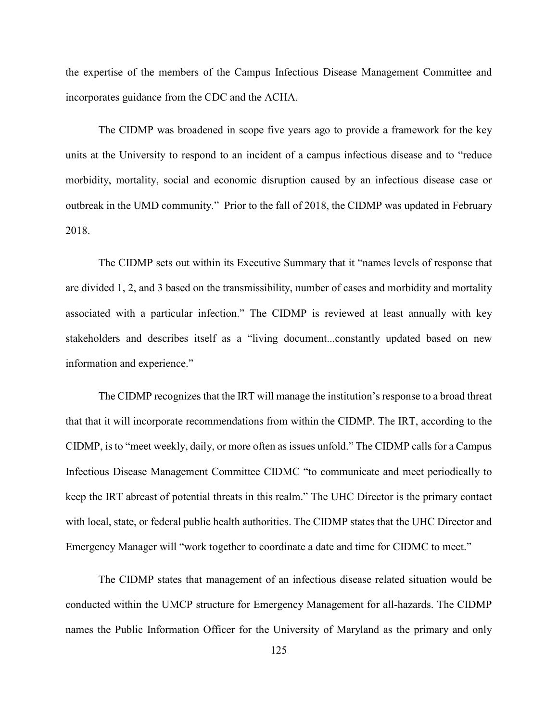the expertise of the members of the Campus Infectious Disease Management Committee and incorporates guidance from the CDC and the ACHA.

The CIDMP was broadened in scope five years ago to provide a framework for the key units at the University to respond to an incident of a campus infectious disease and to "reduce morbidity, mortality, social and economic disruption caused by an infectious disease case or outbreak in the UMD community." Prior to the fall of 2018, the CIDMP was updated in February 2018.

The CIDMP sets out within its Executive Summary that it "names levels of response that are divided 1, 2, and 3 based on the transmissibility, number of cases and morbidity and mortality associated with a particular infection." The CIDMP is reviewed at least annually with key stakeholders and describes itself as a "living document...constantly updated based on new information and experience."

The CIDMP recognizes that the IRT will manage the institution's response to a broad threat that that it will incorporate recommendations from within the CIDMP. The IRT, according to the CIDMP, is to "meet weekly, daily, or more often as issues unfold." The CIDMP calls for a Campus Infectious Disease Management Committee CIDMC "to communicate and meet periodically to keep the IRT abreast of potential threats in this realm." The UHC Director is the primary contact with local, state, or federal public health authorities. The CIDMP states that the UHC Director and Emergency Manager will "work together to coordinate a date and time for CIDMC to meet."

The CIDMP states that management of an infectious disease related situation would be conducted within the UMCP structure for Emergency Management for all-hazards. The CIDMP names the Public Information Officer for the University of Maryland as the primary and only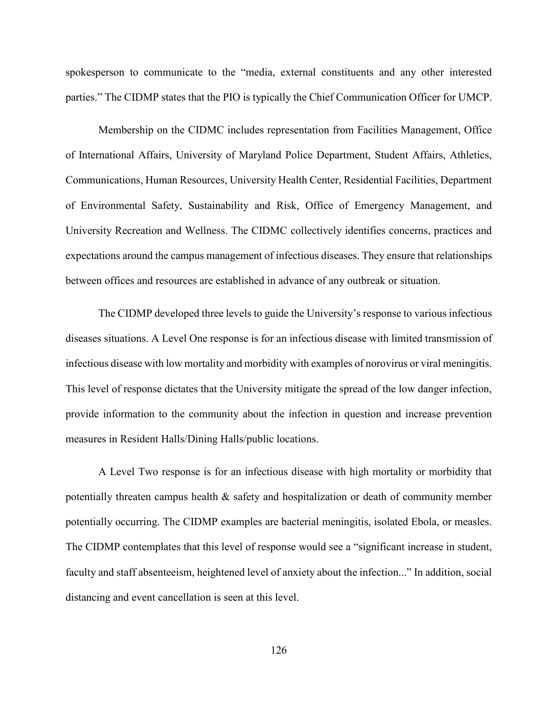spokesperson to communicate to the "media, external constituents and any other interested parties." The CIDMP states that the PIO is typically the Chief Communication Officer for UMCP.

Membership on the CIDMC includes representation from Facilities Management, Office of International Affairs, University of Maryland Police Department, Student Affairs, Athletics, Communications, Human Resources, University Health Center, Residential Facilities, Department of Environmental Safety, Sustainability and Risk, Office of Emergency Management, and University Recreation and Wellness. The CIDMC collectively identifies concerns, practices and expectations around the campus management of infectious diseases. They ensure that relationships between offices and resources are established in advance of any outbreak or situation.

The CIDMP developed three levels to guide the University's response to various infectious diseases situations. A Level One response is for an infectious disease with limited transmission of infectious disease with low mortality and morbidity with examples of norovirus or viral meningitis. This level of response dictates that the University mitigate the spread of the low danger infection, provide information to the community about the infection in question and increase prevention measures in Resident Halls/Dining Halls/public locations.

A Level Two response is for an infectious disease with high mortality or morbidity that potentially threaten campus health & safety and hospitalization or death of community member potentially occurring. The CIDMP examples are bacterial meningitis, isolated Ebola, or measles. The CIDMP contemplates that this level of response would see a "significant increase in student, faculty and staff absenteeism, heightened level of anxiety about the infection..." In addition, social distancing and event cancellation is seen at this level.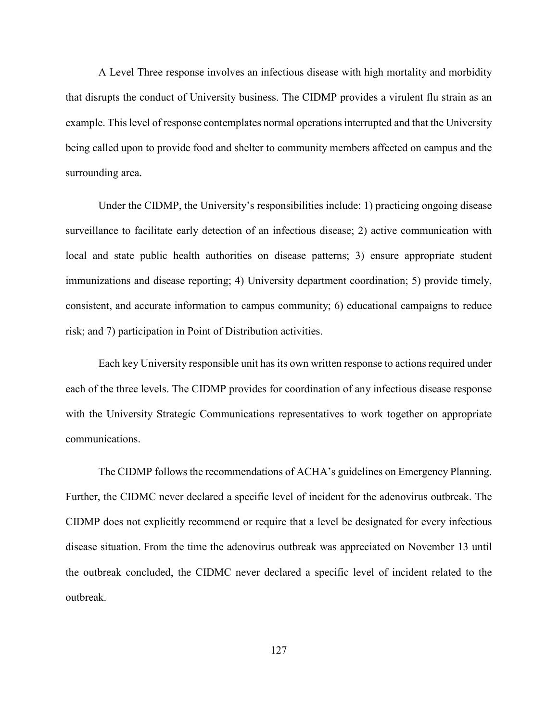A Level Three response involves an infectious disease with high mortality and morbidity that disrupts the conduct of University business. The CIDMP provides a virulent flu strain as an example. This level of response contemplates normal operations interrupted and that the University being called upon to provide food and shelter to community members affected on campus and the surrounding area.

Under the CIDMP, the University's responsibilities include: 1) practicing ongoing disease surveillance to facilitate early detection of an infectious disease; 2) active communication with local and state public health authorities on disease patterns; 3) ensure appropriate student immunizations and disease reporting; 4) University department coordination; 5) provide timely, consistent, and accurate information to campus community; 6) educational campaigns to reduce risk; and 7) participation in Point of Distribution activities.

Each key University responsible unit has its own written response to actions required under each of the three levels. The CIDMP provides for coordination of any infectious disease response with the University Strategic Communications representatives to work together on appropriate communications.

The CIDMP follows the recommendations of ACHA's guidelines on Emergency Planning. Further, the CIDMC never declared a specific level of incident for the adenovirus outbreak. The CIDMP does not explicitly recommend or require that a level be designated for every infectious disease situation. From the time the adenovirus outbreak was appreciated on November 13 until the outbreak concluded, the CIDMC never declared a specific level of incident related to the outbreak.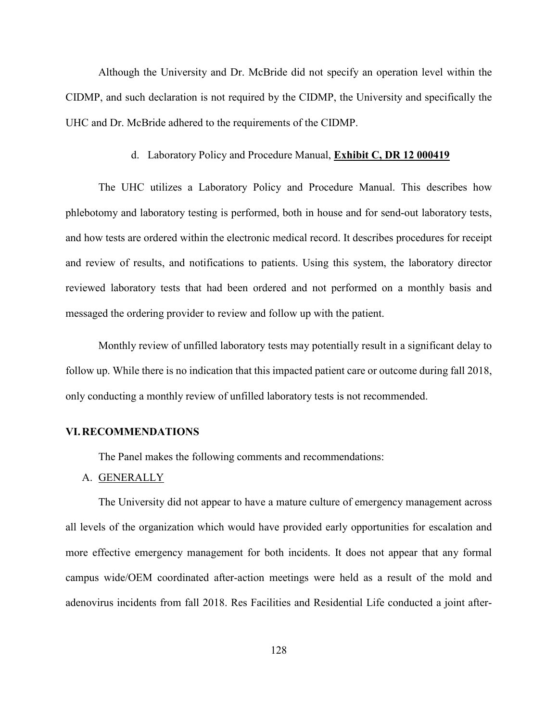Although the University and Dr. McBride did not specify an operation level within the CIDMP, and such declaration is not required by the CIDMP, the University and specifically the UHC and Dr. McBride adhered to the requirements of the CIDMP.

#### d. Laboratory Policy and Procedure Manual, **Exhibit C, DR 12 000419**

The UHC utilizes a Laboratory Policy and Procedure Manual. This describes how phlebotomy and laboratory testing is performed, both in house and for send-out laboratory tests, and how tests are ordered within the electronic medical record. It describes procedures for receipt and review of results, and notifications to patients. Using this system, the laboratory director reviewed laboratory tests that had been ordered and not performed on a monthly basis and messaged the ordering provider to review and follow up with the patient.

Monthly review of unfilled laboratory tests may potentially result in a significant delay to follow up. While there is no indication that this impacted patient care or outcome during fall 2018, only conducting a monthly review of unfilled laboratory tests is not recommended.

# **VI.RECOMMENDATIONS**

The Panel makes the following comments and recommendations:

### A. GENERALLY

The University did not appear to have a mature culture of emergency management across all levels of the organization which would have provided early opportunities for escalation and more effective emergency management for both incidents. It does not appear that any formal campus wide/OEM coordinated after-action meetings were held as a result of the mold and adenovirus incidents from fall 2018. Res Facilities and Residential Life conducted a joint after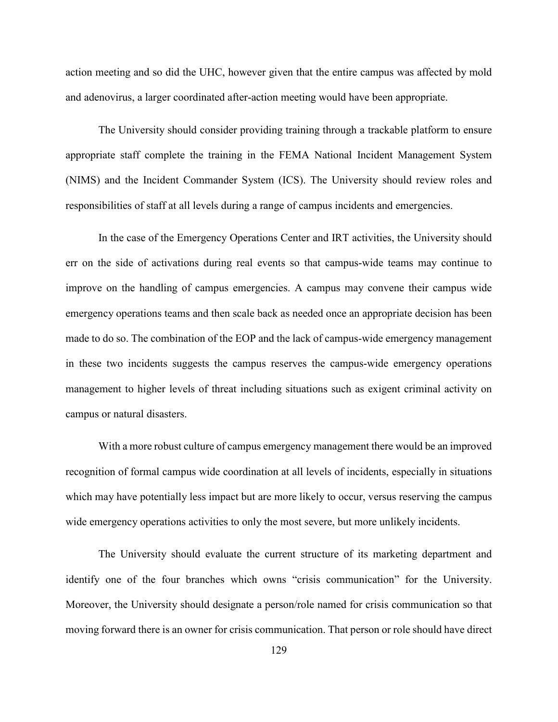action meeting and so did the UHC, however given that the entire campus was affected by mold and adenovirus, a larger coordinated after-action meeting would have been appropriate.

The University should consider providing training through a trackable platform to ensure appropriate staff complete the training in the FEMA National Incident Management System (NIMS) and the Incident Commander System (ICS). The University should review roles and responsibilities of staff at all levels during a range of campus incidents and emergencies.

In the case of the Emergency Operations Center and IRT activities, the University should err on the side of activations during real events so that campus-wide teams may continue to improve on the handling of campus emergencies. A campus may convene their campus wide emergency operations teams and then scale back as needed once an appropriate decision has been made to do so. The combination of the EOP and the lack of campus-wide emergency management in these two incidents suggests the campus reserves the campus-wide emergency operations management to higher levels of threat including situations such as exigent criminal activity on campus or natural disasters.

With a more robust culture of campus emergency management there would be an improved recognition of formal campus wide coordination at all levels of incidents, especially in situations which may have potentially less impact but are more likely to occur, versus reserving the campus wide emergency operations activities to only the most severe, but more unlikely incidents.

The University should evaluate the current structure of its marketing department and identify one of the four branches which owns "crisis communication" for the University. Moreover, the University should designate a person/role named for crisis communication so that moving forward there is an owner for crisis communication. That person or role should have direct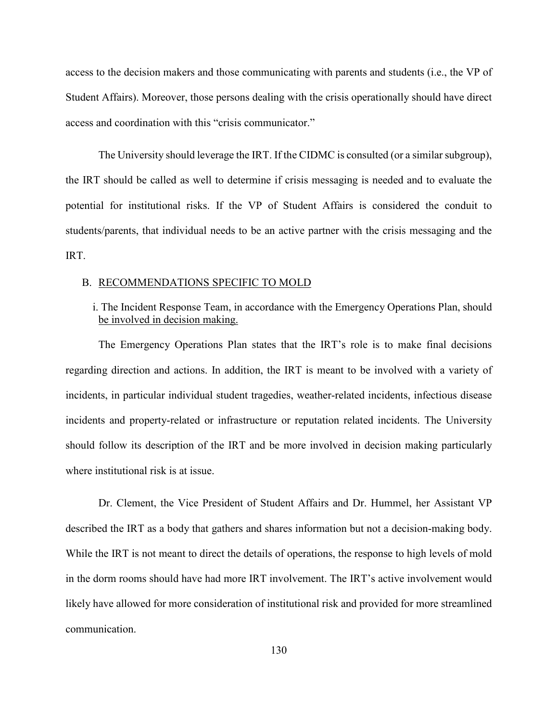access to the decision makers and those communicating with parents and students (i.e., the VP of Student Affairs). Moreover, those persons dealing with the crisis operationally should have direct access and coordination with this "crisis communicator."

The University should leverage the IRT. If the CIDMC is consulted (or a similar subgroup), the IRT should be called as well to determine if crisis messaging is needed and to evaluate the potential for institutional risks. If the VP of Student Affairs is considered the conduit to students/parents, that individual needs to be an active partner with the crisis messaging and the IRT.

#### B. RECOMMENDATIONS SPECIFIC TO MOLD

# i. The Incident Response Team, in accordance with the Emergency Operations Plan, should be involved in decision making.

The Emergency Operations Plan states that the IRT's role is to make final decisions regarding direction and actions. In addition, the IRT is meant to be involved with a variety of incidents, in particular individual student tragedies, weather-related incidents, infectious disease incidents and property-related or infrastructure or reputation related incidents. The University should follow its description of the IRT and be more involved in decision making particularly where institutional risk is at issue.

Dr. Clement, the Vice President of Student Affairs and Dr. Hummel, her Assistant VP described the IRT as a body that gathers and shares information but not a decision-making body. While the IRT is not meant to direct the details of operations, the response to high levels of mold in the dorm rooms should have had more IRT involvement. The IRT's active involvement would likely have allowed for more consideration of institutional risk and provided for more streamlined communication.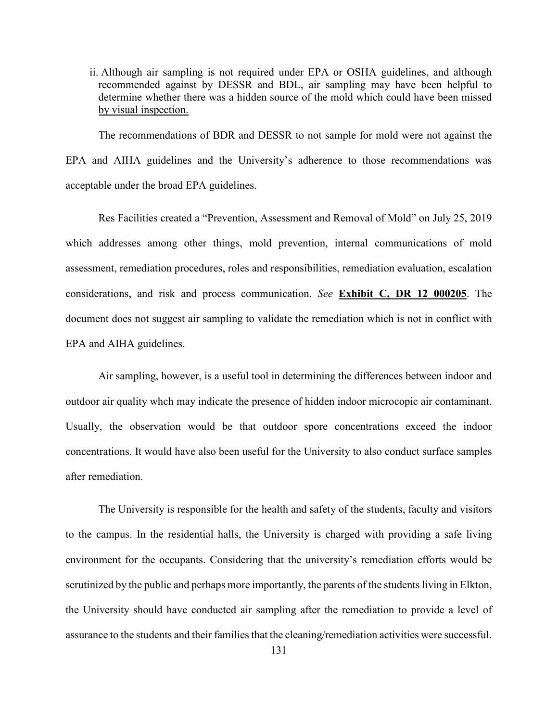ii. Although air sampling is not required under EPA or OSHA guidelines, and although recommended against by DESSR and BDL, air sampling may have been helpful to determine whether there was a hidden source of the mold which could have been missed by visual inspection.

The recommendations of BDR and DESSR to not sample for mold were not against the EPA and AIHA guidelines and the University's adherence to those recommendations was acceptable under the broad EPA guidelines.

Res Facilities created a "Prevention, Assessment and Removal of Mold" on July 25, 2019 which addresses among other things, mold prevention, internal communications of mold assessment, remediation procedures, roles and responsibilities, remediation evaluation, escalation considerations, and risk and process communication. *See* **Exhibit C, DR 12 000205**. The document does not suggest air sampling to validate the remediation which is not in conflict with EPA and AIHA guidelines.

Air sampling, however, is a useful tool in determining the differences between indoor and outdoor air quality whch may indicate the presence of hidden indoor microcopic air contaminant. Usually, the observation would be that outdoor spore concentrations exceed the indoor concentrations. It would have also been useful for the University to also conduct surface samples after remediation.

The University is responsible for the health and safety of the students, faculty and visitors to the campus. In the residential halls, the University is charged with providing a safe living environment for the occupants. Considering that the university's remediation efforts would be scrutinized by the public and perhaps more importantly, the parents of the students living in Elkton, the University should have conducted air sampling after the remediation to provide a level of assurance to the students and their families that the cleaning/remediation activities were successful.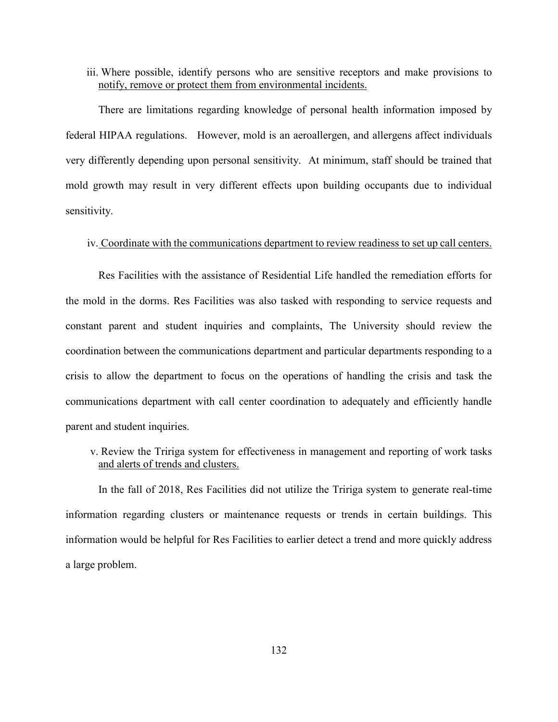## iii. Where possible, identify persons who are sensitive receptors and make provisions to notify, remove or protect them from environmental incidents.

There are limitations regarding knowledge of personal health information imposed by federal HIPAA regulations. However, mold is an aeroallergen, and allergens affect individuals very differently depending upon personal sensitivity. At minimum, staff should be trained that mold growth may result in very different effects upon building occupants due to individual sensitivity.

### iv. Coordinate with the communications department to review readiness to set up call centers.

Res Facilities with the assistance of Residential Life handled the remediation efforts for the mold in the dorms. Res Facilities was also tasked with responding to service requests and constant parent and student inquiries and complaints, The University should review the coordination between the communications department and particular departments responding to a crisis to allow the department to focus on the operations of handling the crisis and task the communications department with call center coordination to adequately and efficiently handle parent and student inquiries.

# v. Review the Tririga system for effectiveness in management and reporting of work tasks and alerts of trends and clusters.

In the fall of 2018, Res Facilities did not utilize the Tririga system to generate real-time information regarding clusters or maintenance requests or trends in certain buildings. This information would be helpful for Res Facilities to earlier detect a trend and more quickly address a large problem.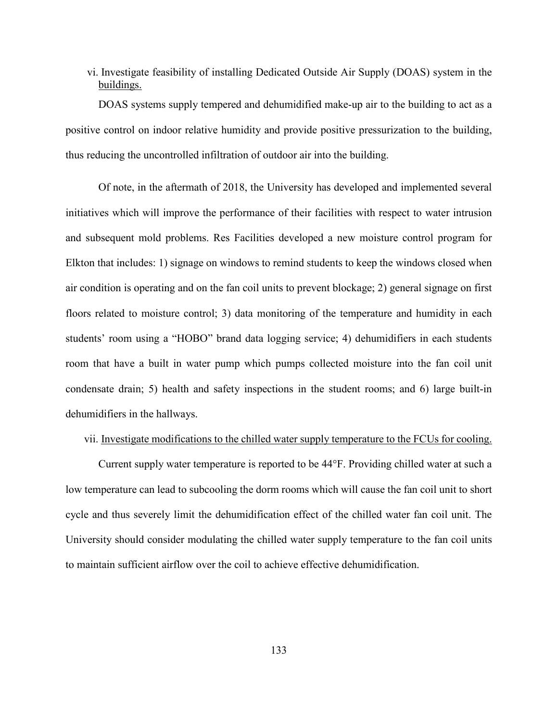vi. Investigate feasibility of installing Dedicated Outside Air Supply (DOAS) system in the buildings.

DOAS systems supply tempered and dehumidified make-up air to the building to act as a positive control on indoor relative humidity and provide positive pressurization to the building, thus reducing the uncontrolled infiltration of outdoor air into the building.

Of note, in the aftermath of 2018, the University has developed and implemented several initiatives which will improve the performance of their facilities with respect to water intrusion and subsequent mold problems. Res Facilities developed a new moisture control program for Elkton that includes: 1) signage on windows to remind students to keep the windows closed when air condition is operating and on the fan coil units to prevent blockage; 2) general signage on first floors related to moisture control; 3) data monitoring of the temperature and humidity in each students' room using a "HOBO" brand data logging service; 4) dehumidifiers in each students room that have a built in water pump which pumps collected moisture into the fan coil unit condensate drain; 5) health and safety inspections in the student rooms; and 6) large built-in dehumidifiers in the hallways.

#### vii. Investigate modifications to the chilled water supply temperature to the FCUs for cooling.

Current supply water temperature is reported to be 44°F. Providing chilled water at such a low temperature can lead to subcooling the dorm rooms which will cause the fan coil unit to short cycle and thus severely limit the dehumidification effect of the chilled water fan coil unit. The University should consider modulating the chilled water supply temperature to the fan coil units to maintain sufficient airflow over the coil to achieve effective dehumidification.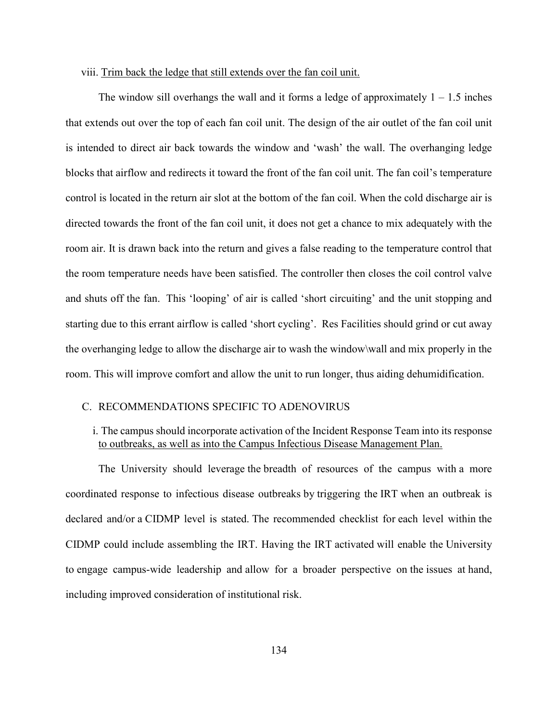### viii. Trim back the ledge that still extends over the fan coil unit.

The window sill overhangs the wall and it forms a ledge of approximately  $1 - 1.5$  inches that extends out over the top of each fan coil unit. The design of the air outlet of the fan coil unit is intended to direct air back towards the window and 'wash' the wall. The overhanging ledge blocks that airflow and redirects it toward the front of the fan coil unit. The fan coil's temperature control is located in the return air slot at the bottom of the fan coil. When the cold discharge air is directed towards the front of the fan coil unit, it does not get a chance to mix adequately with the room air. It is drawn back into the return and gives a false reading to the temperature control that the room temperature needs have been satisfied. The controller then closes the coil control valve and shuts off the fan. This 'looping' of air is called 'short circuiting' and the unit stopping and starting due to this errant airflow is called 'short cycling'. Res Facilities should grind or cut away the overhanging ledge to allow the discharge air to wash the window\wall and mix properly in the room. This will improve comfort and allow the unit to run longer, thus aiding dehumidification.

## C. RECOMMENDATIONS SPECIFIC TO ADENOVIRUS

## i. The campus should incorporate activation of the Incident Response Team into its response to outbreaks, as well as into the Campus Infectious Disease Management Plan.

The University should leverage the breadth of resources of the campus with a more coordinated response to infectious disease outbreaks by triggering the IRT when an outbreak is declared and/or a CIDMP level is stated. The recommended checklist for each level within the CIDMP could include assembling the IRT. Having the IRT activated will enable the University to engage campus-wide leadership and allow for a broader perspective on the issues at hand, including improved consideration of institutional risk.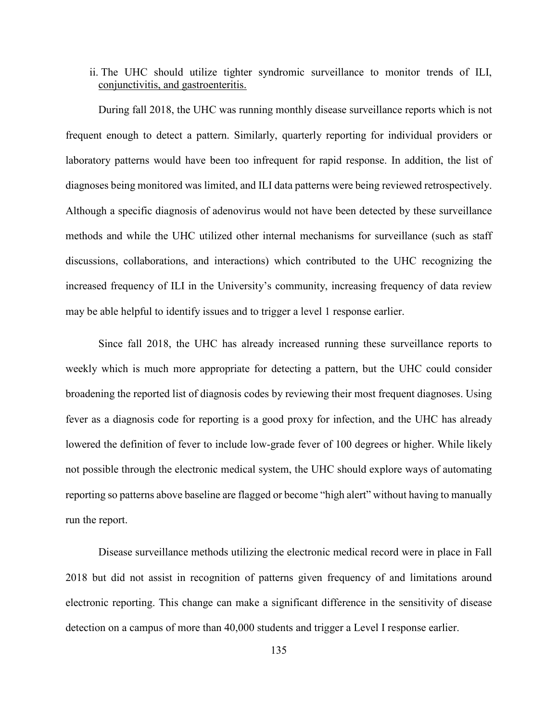ii. The UHC should utilize tighter syndromic surveillance to monitor trends of ILI, conjunctivitis, and gastroenteritis.

During fall 2018, the UHC was running monthly disease surveillance reports which is not frequent enough to detect a pattern. Similarly, quarterly reporting for individual providers or laboratory patterns would have been too infrequent for rapid response. In addition, the list of diagnoses being monitored was limited, and ILI data patterns were being reviewed retrospectively. Although a specific diagnosis of adenovirus would not have been detected by these surveillance methods and while the UHC utilized other internal mechanisms for surveillance (such as staff discussions, collaborations, and interactions) which contributed to the UHC recognizing the increased frequency of ILI in the University's community, increasing frequency of data review may be able helpful to identify issues and to trigger a level 1 response earlier.

Since fall 2018, the UHC has already increased running these surveillance reports to weekly which is much more appropriate for detecting a pattern, but the UHC could consider broadening the reported list of diagnosis codes by reviewing their most frequent diagnoses. Using fever as a diagnosis code for reporting is a good proxy for infection, and the UHC has already lowered the definition of fever to include low-grade fever of 100 degrees or higher. While likely not possible through the electronic medical system, the UHC should explore ways of automating reporting so patterns above baseline are flagged or become "high alert" without having to manually run the report.

Disease surveillance methods utilizing the electronic medical record were in place in Fall 2018 but did not assist in recognition of patterns given frequency of and limitations around electronic reporting. This change can make a significant difference in the sensitivity of disease detection on a campus of more than 40,000 students and trigger a Level I response earlier.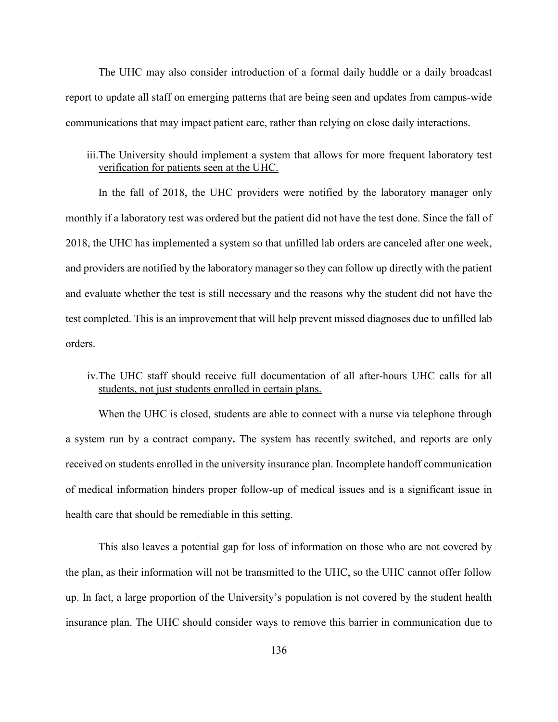The UHC may also consider introduction of a formal daily huddle or a daily broadcast report to update all staff on emerging patterns that are being seen and updates from campus-wide communications that may impact patient care, rather than relying on close daily interactions.

# iii.The University should implement a system that allows for more frequent laboratory test verification for patients seen at the UHC.

In the fall of 2018, the UHC providers were notified by the laboratory manager only monthly if a laboratory test was ordered but the patient did not have the test done. Since the fall of 2018, the UHC has implemented a system so that unfilled lab orders are canceled after one week, and providers are notified by the laboratory manager so they can follow up directly with the patient and evaluate whether the test is still necessary and the reasons why the student did not have the test completed. This is an improvement that will help prevent missed diagnoses due to unfilled lab orders.

# iv.The UHC staff should receive full documentation of all after-hours UHC calls for all students, not just students enrolled in certain plans.

When the UHC is closed, students are able to connect with a nurse via telephone through a system run by a contract company**.** The system has recently switched, and reports are only received on students enrolled in the university insurance plan. Incomplete handoff communication of medical information hinders proper follow-up of medical issues and is a significant issue in health care that should be remediable in this setting.

This also leaves a potential gap for loss of information on those who are not covered by the plan, as their information will not be transmitted to the UHC, so the UHC cannot offer follow up. In fact, a large proportion of the University's population is not covered by the student health insurance plan. The UHC should consider ways to remove this barrier in communication due to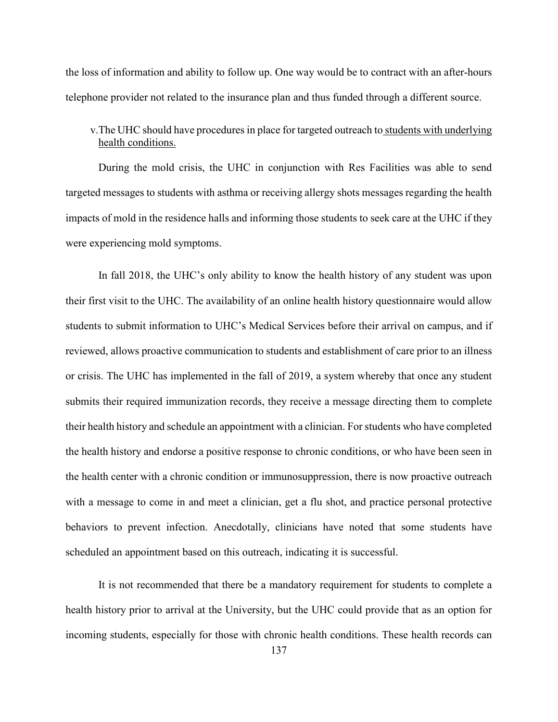the loss of information and ability to follow up. One way would be to contract with an after-hours telephone provider not related to the insurance plan and thus funded through a different source.

# v.The UHC should have procedures in place for targeted outreach to students with underlying health conditions.

During the mold crisis, the UHC in conjunction with Res Facilities was able to send targeted messages to students with asthma or receiving allergy shots messages regarding the health impacts of mold in the residence halls and informing those students to seek care at the UHC if they were experiencing mold symptoms.

In fall 2018, the UHC's only ability to know the health history of any student was upon their first visit to the UHC. The availability of an online health history questionnaire would allow students to submit information to UHC's Medical Services before their arrival on campus, and if reviewed, allows proactive communication to students and establishment of care prior to an illness or crisis. The UHC has implemented in the fall of 2019, a system whereby that once any student submits their required immunization records, they receive a message directing them to complete their health history and schedule an appointment with a clinician. For students who have completed the health history and endorse a positive response to chronic conditions, or who have been seen in the health center with a chronic condition or immunosuppression, there is now proactive outreach with a message to come in and meet a clinician, get a flu shot, and practice personal protective behaviors to prevent infection. Anecdotally, clinicians have noted that some students have scheduled an appointment based on this outreach, indicating it is successful.

It is not recommended that there be a mandatory requirement for students to complete a health history prior to arrival at the University, but the UHC could provide that as an option for incoming students, especially for those with chronic health conditions. These health records can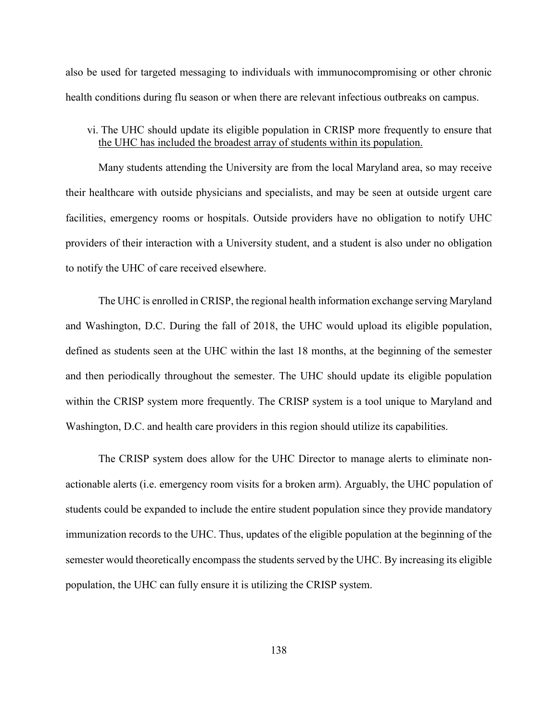also be used for targeted messaging to individuals with immunocompromising or other chronic health conditions during flu season or when there are relevant infectious outbreaks on campus.

# vi. The UHC should update its eligible population in CRISP more frequently to ensure that the UHC has included the broadest array of students within its population.

Many students attending the University are from the local Maryland area, so may receive their healthcare with outside physicians and specialists, and may be seen at outside urgent care facilities, emergency rooms or hospitals. Outside providers have no obligation to notify UHC providers of their interaction with a University student, and a student is also under no obligation to notify the UHC of care received elsewhere.

The UHC is enrolled in CRISP, the regional health information exchange serving Maryland and Washington, D.C. During the fall of 2018, the UHC would upload its eligible population, defined as students seen at the UHC within the last 18 months, at the beginning of the semester and then periodically throughout the semester. The UHC should update its eligible population within the CRISP system more frequently. The CRISP system is a tool unique to Maryland and Washington, D.C. and health care providers in this region should utilize its capabilities.

The CRISP system does allow for the UHC Director to manage alerts to eliminate nonactionable alerts (i.e. emergency room visits for a broken arm). Arguably, the UHC population of students could be expanded to include the entire student population since they provide mandatory immunization records to the UHC. Thus, updates of the eligible population at the beginning of the semester would theoretically encompass the students served by the UHC. By increasing its eligible population, the UHC can fully ensure it is utilizing the CRISP system.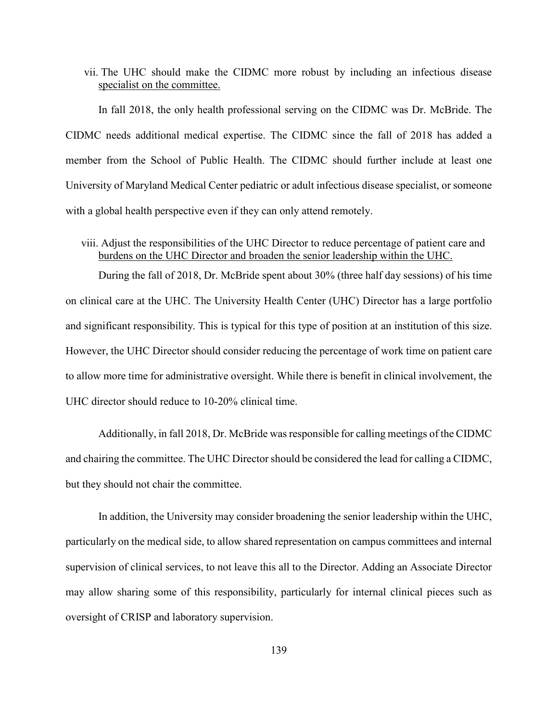vii. The UHC should make the CIDMC more robust by including an infectious disease specialist on the committee.

In fall 2018, the only health professional serving on the CIDMC was Dr. McBride. The CIDMC needs additional medical expertise. The CIDMC since the fall of 2018 has added a member from the School of Public Health. The CIDMC should further include at least one University of Maryland Medical Center pediatric or adult infectious disease specialist, or someone with a global health perspective even if they can only attend remotely.

## viii. Adjust the responsibilities of the UHC Director to reduce percentage of patient care and burdens on the UHC Director and broaden the senior leadership within the UHC.

During the fall of 2018, Dr. McBride spent about 30% (three half day sessions) of his time on clinical care at the UHC. The University Health Center (UHC) Director has a large portfolio and significant responsibility. This is typical for this type of position at an institution of this size. However, the UHC Director should consider reducing the percentage of work time on patient care to allow more time for administrative oversight. While there is benefit in clinical involvement, the UHC director should reduce to 10-20% clinical time.

Additionally, in fall 2018, Dr. McBride was responsible for calling meetings of the CIDMC and chairing the committee. The UHC Director should be considered the lead for calling a CIDMC, but they should not chair the committee.

In addition, the University may consider broadening the senior leadership within the UHC, particularly on the medical side, to allow shared representation on campus committees and internal supervision of clinical services, to not leave this all to the Director. Adding an Associate Director may allow sharing some of this responsibility, particularly for internal clinical pieces such as oversight of CRISP and laboratory supervision.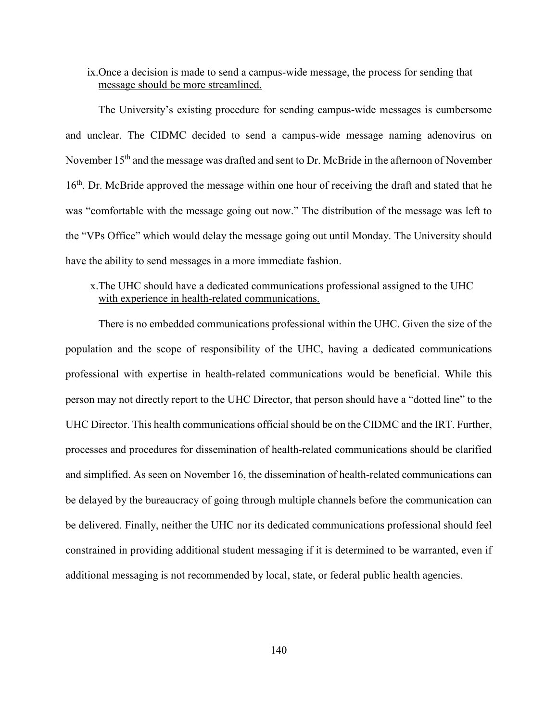## ix.Once a decision is made to send a campus-wide message, the process for sending that message should be more streamlined.

The University's existing procedure for sending campus-wide messages is cumbersome and unclear. The CIDMC decided to send a campus-wide message naming adenovirus on November 15<sup>th</sup> and the message was drafted and sent to Dr. McBride in the afternoon of November 16<sup>th</sup>. Dr. McBride approved the message within one hour of receiving the draft and stated that he was "comfortable with the message going out now." The distribution of the message was left to the "VPs Office" which would delay the message going out until Monday. The University should have the ability to send messages in a more immediate fashion.

# x.The UHC should have a dedicated communications professional assigned to the UHC with experience in health-related communications.

There is no embedded communications professional within the UHC. Given the size of the population and the scope of responsibility of the UHC, having a dedicated communications professional with expertise in health-related communications would be beneficial. While this person may not directly report to the UHC Director, that person should have a "dotted line" to the UHC Director. This health communications official should be on the CIDMC and the IRT. Further, processes and procedures for dissemination of health-related communications should be clarified and simplified. As seen on November 16, the dissemination of health-related communications can be delayed by the bureaucracy of going through multiple channels before the communication can be delivered. Finally, neither the UHC nor its dedicated communications professional should feel constrained in providing additional student messaging if it is determined to be warranted, even if additional messaging is not recommended by local, state, or federal public health agencies.